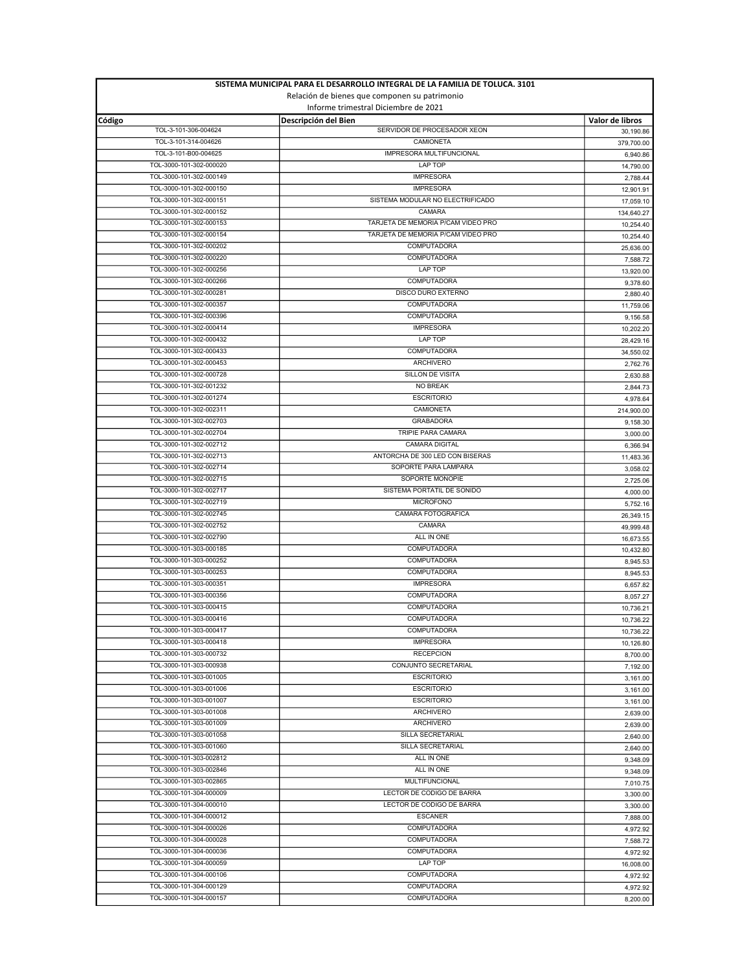| SISTEMA MUNICIPAL PARA EL DESARROLLO INTEGRAL DE LA FAMILIA DE TOLUCA. 3101<br>Relación de bienes que componen su patrimonio |                                                     |                              |
|------------------------------------------------------------------------------------------------------------------------------|-----------------------------------------------------|------------------------------|
|                                                                                                                              |                                                     |                              |
| Código<br>TOL-3-101-306-004624                                                                                               | Descripción del Bien<br>SERVIDOR DE PROCESADOR XEON | Valor de libros<br>30,190.86 |
| TOL-3-101-314-004626                                                                                                         | CAMIONETA                                           | 379,700.00                   |
| TOL-3-101-B00-004625                                                                                                         | IMPRESORA MULTIFUNCIONAL                            | 6,940.86                     |
| TOL-3000-101-302-000020                                                                                                      | <b>LAP TOP</b>                                      | 14,790.00                    |
| TOL-3000-101-302-000149                                                                                                      | <b>IMPRESORA</b>                                    | 2,788.44                     |
| TOL-3000-101-302-000150                                                                                                      | <b>IMPRESORA</b>                                    | 12,901.91                    |
| TOL-3000-101-302-000151                                                                                                      | SISTEMA MODULAR NO ELECTRIFICADO                    | 17,059.10                    |
| TOL-3000-101-302-000152                                                                                                      | CAMARA                                              | 134,640.27                   |
| TOL-3000-101-302-000153                                                                                                      | TARJETA DE MEMORIA P/CAM VIDEO PRO                  | 10,254.40                    |
| TOL-3000-101-302-000154                                                                                                      | TARJETA DE MEMORIA P/CAM VIDEO PRO                  | 10,254.40                    |
| TOL-3000-101-302-000202                                                                                                      | <b>COMPUTADORA</b>                                  | 25,636.00                    |
| TOL-3000-101-302-000220<br>TOL-3000-101-302-000256                                                                           | COMPUTADORA<br>LAP TOP                              | 7,588.72                     |
| TOL-3000-101-302-000266                                                                                                      | <b>COMPUTADORA</b>                                  | 13,920.00<br>9,378.60        |
| TOL-3000-101-302-000281                                                                                                      | DISCO DURO EXTERNO                                  | 2,880.40                     |
| TOL-3000-101-302-000357                                                                                                      | COMPUTADORA                                         | 11,759.06                    |
| TOL-3000-101-302-000396                                                                                                      | COMPUTADORA                                         | 9,156.58                     |
| TOL-3000-101-302-000414                                                                                                      | <b>IMPRESORA</b>                                    | 10,202.20                    |
| TOL-3000-101-302-000432                                                                                                      | LAP TOP                                             | 28,429.16                    |
| TOL-3000-101-302-000433                                                                                                      | COMPUTADORA                                         | 34,550.02                    |
| TOL-3000-101-302-000453                                                                                                      | <b>ARCHIVERO</b>                                    | 2,762.76                     |
| TOL-3000-101-302-000728                                                                                                      | SILLON DE VISITA                                    | 2,630.88                     |
| TOL-3000-101-302-001232                                                                                                      | NO BREAK                                            | 2,844.73                     |
| TOL-3000-101-302-001274                                                                                                      | <b>ESCRITORIO</b><br><b>CAMIONETA</b>               | 4,978.64                     |
| TOL-3000-101-302-002311<br>TOL-3000-101-302-002703                                                                           | <b>GRABADORA</b>                                    | 214,900.00                   |
| TOL-3000-101-302-002704                                                                                                      | TRIPIE PARA CAMARA                                  | 9,158.30<br>3,000.00         |
| TOL-3000-101-302-002712                                                                                                      | <b>CAMARA DIGITAL</b>                               | 6,366.94                     |
| TOL-3000-101-302-002713                                                                                                      | ANTORCHA DE 300 LED CON BISERAS                     | 11,483.36                    |
| TOL-3000-101-302-002714                                                                                                      | SOPORTE PARA LAMPARA                                | 3,058.02                     |
| TOL-3000-101-302-002715                                                                                                      | SOPORTE MONOPIE                                     | 2,725.06                     |
| TOL-3000-101-302-002717                                                                                                      | SISTEMA PORTATIL DE SONIDO                          | 4,000.00                     |
| TOL-3000-101-302-002719                                                                                                      | <b>MICROFONO</b>                                    | 5,752.16                     |
| TOL-3000-101-302-002745                                                                                                      | CAMARA FOTOGRAFICA                                  | 26,349.15                    |
| TOL-3000-101-302-002752                                                                                                      | CAMARA                                              | 49,999.48                    |
| TOL-3000-101-302-002790                                                                                                      | ALL IN ONE                                          | 16,673.55                    |
| TOL-3000-101-303-000185<br>TOL-3000-101-303-000252                                                                           | COMPUTADORA                                         | 10,432.80                    |
| TOL-3000-101-303-000253                                                                                                      | COMPUTADORA<br>COMPUTADORA                          | 8,945.53                     |
| TOL-3000-101-303-000351                                                                                                      | <b>IMPRESORA</b>                                    | 8,945.53                     |
| TOL-3000-101-303-000356                                                                                                      | COMPUTADORA                                         | 6,657.82<br>8,057.27         |
| TOL-3000-101-303-000415                                                                                                      | COMPUTADORA                                         | 10,736.21                    |
| TOL-3000-101-303-000416                                                                                                      | <b>COMPUTADORA</b>                                  | 10,736.22                    |
| TOL-3000-101-303-000417                                                                                                      | COMPUTADORA                                         | 10,736.22                    |
| TOL-3000-101-303-000418                                                                                                      | <b>IMPRESORA</b>                                    | 10,126.80                    |
| TOL-3000-101-303-000732                                                                                                      | <b>RECEPCION</b>                                    | 8,700.00                     |
| TOL-3000-101-303-000938                                                                                                      | CONJUNTO SECRETARIAL                                | 7.192.00                     |
| TOL-3000-101-303-001005                                                                                                      | <b>ESCRITORIO</b>                                   | 3,161.00                     |
| TOL-3000-101-303-001006                                                                                                      | <b>ESCRITORIO</b>                                   | 3,161.00                     |
| TOL-3000-101-303-001007                                                                                                      | <b>ESCRITORIO</b>                                   | 3,161.00                     |
| TOL-3000-101-303-001008                                                                                                      | <b>ARCHIVERO</b>                                    | 2,639.00                     |
| TOL-3000-101-303-001009<br>TOL-3000-101-303-001058                                                                           | <b>ARCHIVERO</b><br>SILLA SECRETARIAL               | 2,639.00                     |
| TOL-3000-101-303-001060                                                                                                      | SILLA SECRETARIAL                                   | 2,640.00                     |
| TOL-3000-101-303-002812                                                                                                      | ALL IN ONE                                          | 2,640.00<br>9,348.09         |
| TOL-3000-101-303-002846                                                                                                      | ALL IN ONE                                          | 9,348.09                     |
| TOL-3000-101-303-002865                                                                                                      | MULTIFUNCIONAL                                      | 7,010.75                     |
| TOL-3000-101-304-000009                                                                                                      | LECTOR DE CODIGO DE BARRA                           | 3,300.00                     |
| TOL-3000-101-304-000010                                                                                                      | LECTOR DE CODIGO DE BARRA                           | 3,300.00                     |
| TOL-3000-101-304-000012                                                                                                      | <b>ESCANER</b>                                      | 7,888.00                     |
| TOL-3000-101-304-000026                                                                                                      | <b>COMPUTADORA</b>                                  | 4,972.92                     |
| TOL-3000-101-304-000028                                                                                                      | <b>COMPUTADORA</b>                                  | 7,588.72                     |
| TOL-3000-101-304-000036                                                                                                      | COMPUTADORA                                         | 4,972.92                     |
| TOL-3000-101-304-000059                                                                                                      | LAP TOP                                             | 16,008.00                    |
| TOL-3000-101-304-000106                                                                                                      | COMPUTADORA                                         | 4,972.92                     |
| TOL-3000-101-304-000129<br>TOL-3000-101-304-000157                                                                           | COMPUTADORA<br>COMPUTADORA                          | 4,972.92                     |
|                                                                                                                              |                                                     | 8,200.00                     |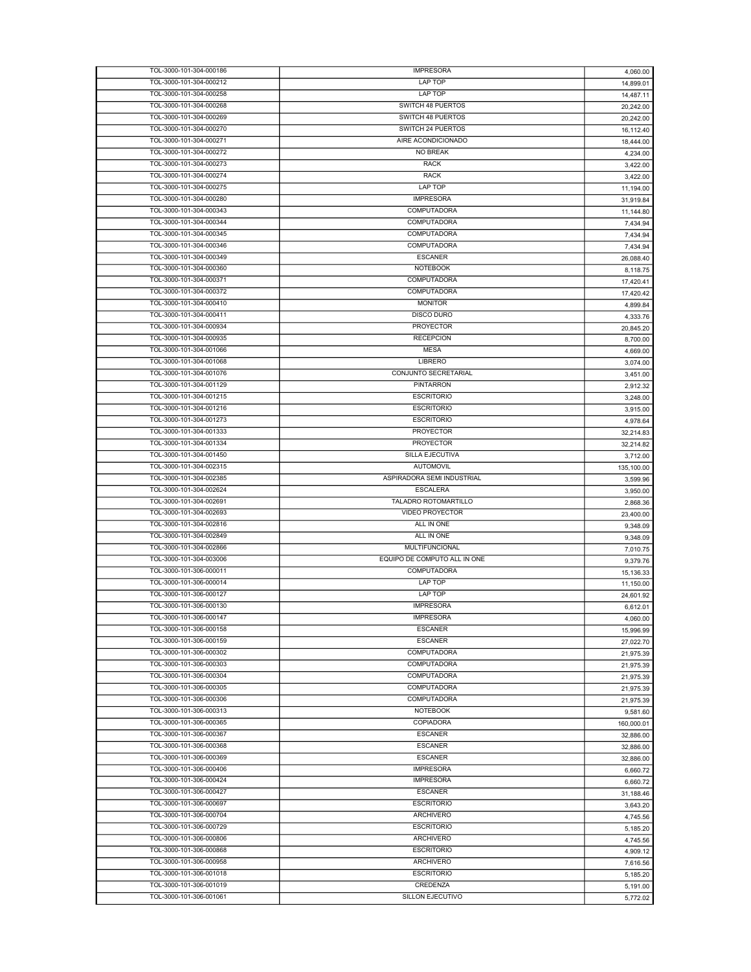| TOL-3000-101-304-000212 | <b>IMPRESORA</b>             | 4,060.00   |
|-------------------------|------------------------------|------------|
|                         | LAP TOP                      | 14,899.01  |
| TOL-3000-101-304-000258 | LAP TOP                      | 14,487.11  |
|                         |                              |            |
| TOL-3000-101-304-000268 | SWITCH 48 PUERTOS            | 20,242.00  |
| TOL-3000-101-304-000269 | SWITCH 48 PUERTOS            | 20,242.00  |
| TOL-3000-101-304-000270 | SWITCH 24 PUERTOS            | 16,112.40  |
| TOL-3000-101-304-000271 | AIRE ACONDICIONADO           | 18,444.00  |
| TOL-3000-101-304-000272 | NO BREAK                     | 4,234.00   |
| TOL-3000-101-304-000273 | <b>RACK</b>                  | 3,422.00   |
| TOL-3000-101-304-000274 | <b>RACK</b>                  |            |
|                         |                              | 3,422.00   |
| TOL-3000-101-304-000275 | LAP TOP                      | 11,194.00  |
| TOL-3000-101-304-000280 | <b>IMPRESORA</b>             | 31,919.84  |
| TOL-3000-101-304-000343 | COMPUTADORA                  | 11,144.80  |
| TOL-3000-101-304-000344 | COMPUTADORA                  | 7.434.94   |
| TOL-3000-101-304-000345 | COMPUTADORA                  |            |
|                         |                              | 7,434.94   |
| TOL-3000-101-304-000346 | COMPUTADORA                  | 7,434.94   |
| TOL-3000-101-304-000349 | <b>ESCANER</b>               | 26,088.40  |
| TOL-3000-101-304-000360 | <b>NOTEBOOK</b>              | 8,118.75   |
| TOL-3000-101-304-000371 | COMPUTADORA                  | 17,420.41  |
| TOL-3000-101-304-000372 | COMPUTADORA                  | 17,420.42  |
|                         |                              |            |
| TOL-3000-101-304-000410 | <b>MONITOR</b>               | 4,899.84   |
| TOL-3000-101-304-000411 | <b>DISCO DURO</b>            | 4,333.76   |
| TOL-3000-101-304-000934 | <b>PROYECTOR</b>             | 20,845.20  |
| TOL-3000-101-304-000935 | <b>RECEPCION</b>             | 8,700.00   |
| TOL-3000-101-304-001066 | <b>MESA</b>                  | 4,669.00   |
|                         |                              |            |
| TOL-3000-101-304-001068 | LIBRERO                      | 3,074.00   |
| TOL-3000-101-304-001076 | CONJUNTO SECRETARIAL         | 3,451.00   |
| TOL-3000-101-304-001129 | <b>PINTARRON</b>             | 2,912.32   |
| TOL-3000-101-304-001215 | <b>ESCRITORIO</b>            | 3,248.00   |
| TOL-3000-101-304-001216 | <b>ESCRITORIO</b>            | 3,915.00   |
| TOL-3000-101-304-001273 | <b>ESCRITORIO</b>            |            |
|                         |                              | 4,978.64   |
| TOL-3000-101-304-001333 | <b>PROYECTOR</b>             | 32,214.83  |
| TOL-3000-101-304-001334 | <b>PROYECTOR</b>             | 32,214.82  |
| TOL-3000-101-304-001450 | SILLA EJECUTIVA              | 3,712.00   |
| TOL-3000-101-304-002315 | <b>AUTOMOVIL</b>             | 135,100.00 |
| TOL-3000-101-304-002385 | ASPIRADORA SEMI INDUSTRIAL   | 3,599.96   |
| TOL-3000-101-304-002624 | <b>ESCALERA</b>              |            |
|                         |                              | 3,950.00   |
| TOL-3000-101-304-002691 | TALADRO ROTOMARTILLO         | 2,868.36   |
| TOL-3000-101-304-002693 | <b>VIDEO PROYECTOR</b>       | 23,400.00  |
| TOL-3000-101-304-002816 | ALL IN ONE                   | 9,348.09   |
| TOL-3000-101-304-002849 | ALL IN ONE                   | 9,348.09   |
| TOL-3000-101-304-002866 | <b>MULTIFUNCIONAL</b>        |            |
| TOL-3000-101-304-003006 |                              |            |
|                         |                              | 7,010.75   |
|                         | EQUIPO DE COMPUTO ALL IN ONE | 9,379.76   |
| TOL-3000-101-306-000011 | <b>COMPUTADORA</b>           | 15,136.33  |
| TOL-3000-101-306-000014 | LAP TOP                      | 11,150.00  |
| TOL-3000-101-306-000127 | LAP TOP                      |            |
|                         |                              | 24,601.92  |
| TOL-3000-101-306-000130 | <b>IMPRESORA</b>             | 6,612.01   |
| TOL-3000-101-306-000147 | <b>IMPRESORA</b>             | 4,060.00   |
| TOL-3000-101-306-000158 | <b>ESCANER</b>               | 15,996.99  |
| TOL-3000-101-306-000159 | <b>ESCANER</b>               | 27,022.70  |
| TOL-3000-101-306-000302 | COMPUTADORA                  | 21,975.39  |
| TOL-3000-101-306-000303 | COMPUTADORA                  |            |
|                         |                              | 21,975.39  |
| TOL-3000-101-306-000304 | COMPUTADORA                  | 21,975.39  |
| TOL-3000-101-306-000305 | COMPUTADORA                  | 21,975.39  |
| TOL-3000-101-306-000306 | COMPUTADORA                  | 21,975.39  |
| TOL-3000-101-306-000313 | <b>NOTEBOOK</b>              | 9,581.60   |
|                         |                              |            |
| TOL-3000-101-306-000365 | COPIADORA                    | 160,000.01 |
| TOL-3000-101-306-000367 | <b>ESCANER</b>               | 32,886.00  |
| TOL-3000-101-306-000368 | <b>ESCANER</b>               | 32,886.00  |
| TOL-3000-101-306-000369 | <b>ESCANER</b>               | 32,886.00  |
| TOL-3000-101-306-000406 | <b>IMPRESORA</b>             | 6,660.72   |
| TOL-3000-101-306-000424 | <b>IMPRESORA</b>             | 6,660.72   |
|                         |                              |            |
| TOL-3000-101-306-000427 | <b>ESCANER</b>               | 31,188.46  |
| TOL-3000-101-306-000697 | <b>ESCRITORIO</b>            | 3,643.20   |
| TOL-3000-101-306-000704 | ARCHIVERO                    | 4,745.56   |
| TOL-3000-101-306-000729 | <b>ESCRITORIO</b>            | 5,185.20   |
| TOL-3000-101-306-000806 | <b>ARCHIVERO</b>             | 4,745.56   |
|                         | <b>ESCRITORIO</b>            |            |
| TOL-3000-101-306-000868 |                              | 4,909.12   |
| TOL-3000-101-306-000958 | <b>ARCHIVERO</b>             | 7,616.56   |
| TOL-3000-101-306-001018 | <b>ESCRITORIO</b>            | 5,185.20   |
| TOL-3000-101-306-001019 | <b>CREDENZA</b>              | 5,191.00   |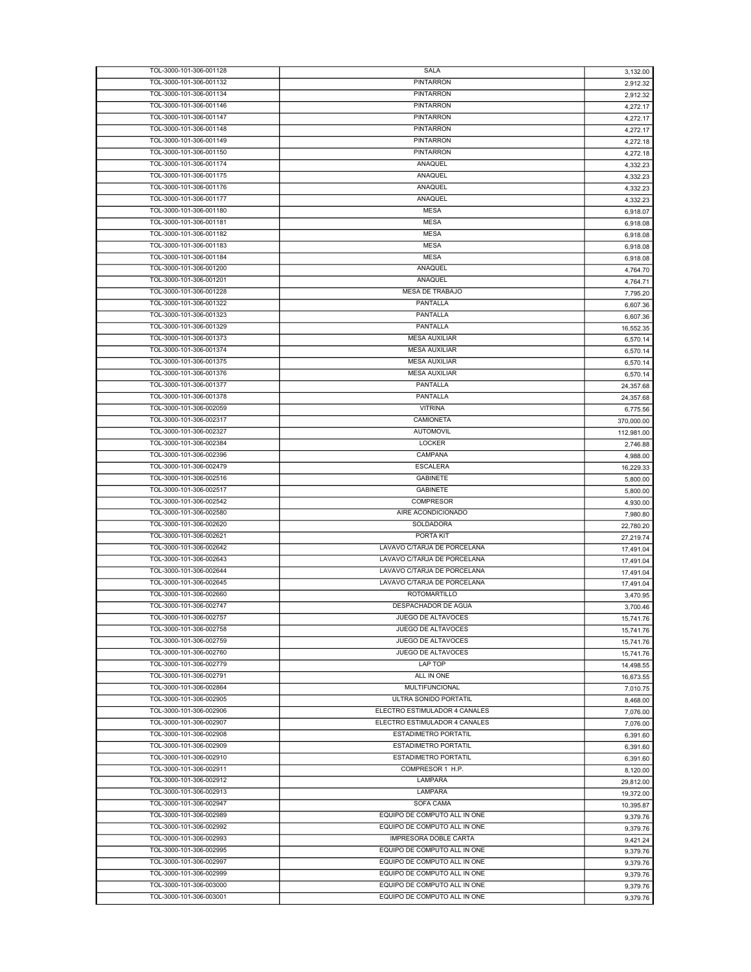| TOL-3000-101-306-001128 | SALA                          | 3,132.00   |
|-------------------------|-------------------------------|------------|
| TOL-3000-101-306-001132 | <b>PINTARRON</b>              | 2,912.32   |
| TOL-3000-101-306-001134 | PINTARRON                     | 2,912.32   |
| TOL-3000-101-306-001146 | <b>PINTARRON</b>              | 4,272.17   |
| TOL-3000-101-306-001147 | <b>PINTARRON</b>              | 4,272.17   |
| TOL-3000-101-306-001148 | <b>PINTARRON</b>              | 4,272.17   |
| TOL-3000-101-306-001149 | <b>PINTARRON</b>              |            |
| TOL-3000-101-306-001150 | <b>PINTARRON</b>              | 4,272.18   |
|                         |                               | 4,272.18   |
| TOL-3000-101-306-001174 | ANAQUEL                       | 4,332.23   |
| TOL-3000-101-306-001175 | ANAQUEL                       | 4,332.23   |
| TOL-3000-101-306-001176 | ANAQUEL                       | 4,332.23   |
| TOL-3000-101-306-001177 | ANAQUEL                       | 4,332.23   |
| TOL-3000-101-306-001180 | <b>MESA</b>                   | 6,918.07   |
| TOL-3000-101-306-001181 | <b>MESA</b>                   | 6,918.08   |
| TOL-3000-101-306-001182 | <b>MESA</b>                   | 6,918.08   |
| TOL-3000-101-306-001183 | <b>MESA</b>                   | 6,918.08   |
| TOL-3000-101-306-001184 | <b>MESA</b>                   | 6,918.08   |
| TOL-3000-101-306-001200 | ANAQUEL                       |            |
| TOL-3000-101-306-001201 | ANAQUEL                       | 4,764.70   |
|                         |                               | 4,764.71   |
| TOL-3000-101-306-001228 | MESA DE TRABAJO               | 7,795.20   |
| TOL-3000-101-306-001322 | PANTALLA                      | 6,607.36   |
| TOL-3000-101-306-001323 | PANTALLA                      | 6,607.36   |
| TOL-3000-101-306-001329 | PANTALLA                      | 16,552.35  |
| TOL-3000-101-306-001373 | <b>MESA AUXILIAR</b>          | 6,570.14   |
| TOL-3000-101-306-001374 | <b>MESA AUXILIAR</b>          | 6,570.14   |
| TOL-3000-101-306-001375 | <b>MESA AUXILIAR</b>          | 6,570.14   |
| TOL-3000-101-306-001376 | <b>MESA AUXILIAR</b>          | 6,570.14   |
| TOL-3000-101-306-001377 | PANTALLA                      | 24,357.68  |
| TOL-3000-101-306-001378 | PANTALLA                      |            |
| TOL-3000-101-306-002059 |                               | 24,357.68  |
|                         | <b>VITRINA</b>                | 6,775.56   |
| TOL-3000-101-306-002317 | CAMIONETA                     | 370,000.00 |
| TOL-3000-101-306-002327 | <b>AUTOMOVIL</b>              | 112,981.00 |
| TOL-3000-101-306-002384 | <b>LOCKER</b>                 | 2,746.88   |
| TOL-3000-101-306-002396 | CAMPANA                       | 4,988.00   |
| TOL-3000-101-306-002479 | <b>ESCALERA</b>               | 16,229.33  |
| TOL-3000-101-306-002516 | <b>GABINETE</b>               | 5,800.00   |
| TOL-3000-101-306-002517 | <b>GABINETE</b>               | 5,800.00   |
| TOL-3000-101-306-002542 | <b>COMPRESOR</b>              | 4,930.00   |
| TOL-3000-101-306-002580 | AIRE ACONDICIONADO            |            |
| TOL-3000-101-306-002620 | SOLDADORA                     | 7,980.80   |
|                         | PORTA KIT                     | 22,780.20  |
| TOL-3000-101-306-002621 |                               | 27,219.74  |
| TOL-3000-101-306-002642 | LAVAVO C/TARJA DE PORCELANA   | 17,491.04  |
| TOL-3000-101-306-002643 | LAVAVO C/TARJA DE PORCELANA   | 17,491.04  |
| TOL-3000-101-306-002644 | LAVAVO C/TARJA DE PORCELANA   | 17,491.04  |
| TOL-3000-101-306-002645 | LAVAVO C/TARJA DE PORCELANA   | 17,491.04  |
| TOL-3000-101-306-002660 | ROTOMARTILLO                  | 3,470.95   |
| TOL-3000-101-306-002747 | DESPACHADOR DE AGUA           | 3,700.46   |
| TOL-3000-101-306-002757 | JUEGO DE ALTAVOCES            | 15,741.76  |
| TOL-3000-101-306-002758 | JUEGO DE ALTAVOCES            | 15,741.76  |
| TOL-3000-101-306-002759 | <b>JUEGO DE ALTAVOCES</b>     |            |
| TOL-3000-101-306-002760 | JUEGO DE ALTAVOCES            | 15,741.76  |
| TOL-3000-101-306-002779 | LAP TOP                       | 15,741.76  |
|                         |                               | 14,498.55  |
| TOL-3000-101-306-002791 | ALL IN ONE                    | 16,673.55  |
| TOL-3000-101-306-002864 | MULTIFUNCIONAL                | 7,010.75   |
| TOL-3000-101-306-002905 | ULTRA SONIDO PORTATIL         | 8,468.00   |
| TOL-3000-101-306-002906 | ELECTRO ESTIMULADOR 4 CANALES | 7,076.00   |
| TOL-3000-101-306-002907 | ELECTRO ESTIMULADOR 4 CANALES | 7,076.00   |
| TOL-3000-101-306-002908 | <b>ESTADIMETRO PORTATIL</b>   | 6,391.60   |
| TOL-3000-101-306-002909 | <b>ESTADIMETRO PORTATIL</b>   | 6,391.60   |
| TOL-3000-101-306-002910 | <b>ESTADIMETRO PORTATIL</b>   | 6,391.60   |
| TOL-3000-101-306-002911 | COMPRESOR 1 H.P.              |            |
| TOL-3000-101-306-002912 | LAMPARA                       | 8,120.00   |
| TOL-3000-101-306-002913 | LAMPARA                       | 29,812.00  |
|                         |                               | 19,372.00  |
| TOL-3000-101-306-002947 | SOFA CAMA                     | 10,395.87  |
| TOL-3000-101-306-002989 | EQUIPO DE COMPUTO ALL IN ONE  | 9,379.76   |
| TOL-3000-101-306-002992 | EQUIPO DE COMPUTO ALL IN ONE  | 9,379.76   |
| TOL-3000-101-306-002993 | IMPRESORA DOBLE CARTA         | 9,421.24   |
| TOL-3000-101-306-002995 | EQUIPO DE COMPUTO ALL IN ONE  | 9,379.76   |
| TOL-3000-101-306-002997 | EQUIPO DE COMPUTO ALL IN ONE  | 9,379.76   |
| TOL-3000-101-306-002999 | EQUIPO DE COMPUTO ALL IN ONE  | 9,379.76   |
| TOL-3000-101-306-003000 | EQUIPO DE COMPUTO ALL IN ONE  |            |
| TOL-3000-101-306-003001 | EQUIPO DE COMPUTO ALL IN ONE  | 9,379.76   |
|                         |                               | 9,379.76   |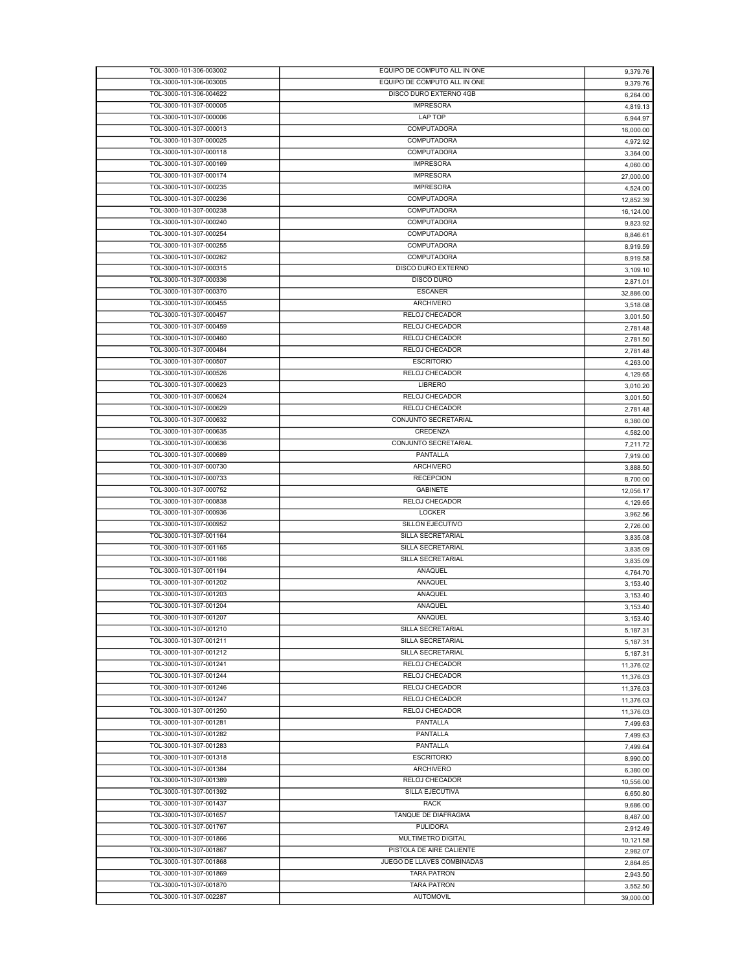| TOL-3000-101-306-003002 | EQUIPO DE COMPUTO ALL IN ONE | 9,379.76  |
|-------------------------|------------------------------|-----------|
| TOL-3000-101-306-003005 | EQUIPO DE COMPUTO ALL IN ONE | 9,379.76  |
| TOL-3000-101-306-004622 | DISCO DURO EXTERNO 4GB       |           |
|                         |                              | 6,264.00  |
| TOL-3000-101-307-000005 | <b>IMPRESORA</b>             | 4,819.13  |
| TOL-3000-101-307-000006 | LAP TOP                      | 6,944.97  |
| TOL-3000-101-307-000013 | COMPUTADORA                  |           |
|                         |                              | 16,000.00 |
| TOL-3000-101-307-000025 | <b>COMPUTADORA</b>           | 4,972.92  |
| TOL-3000-101-307-000118 | COMPUTADORA                  | 3,364.00  |
| TOL-3000-101-307-000169 | <b>IMPRESORA</b>             | 4,060.00  |
| TOL-3000-101-307-000174 | <b>IMPRESORA</b>             |           |
|                         |                              | 27,000.00 |
| TOL-3000-101-307-000235 | <b>IMPRESORA</b>             | 4,524.00  |
| TOL-3000-101-307-000236 | <b>COMPUTADORA</b>           | 12,852.39 |
| TOL-3000-101-307-000238 | COMPUTADORA                  | 16,124.00 |
| TOL-3000-101-307-000240 |                              |           |
|                         | <b>COMPUTADORA</b>           | 9,823.92  |
| TOL-3000-101-307-000254 | COMPUTADORA                  | 8,846.61  |
| TOL-3000-101-307-000255 | <b>COMPUTADORA</b>           | 8,919.59  |
| TOL-3000-101-307-000262 | <b>COMPUTADORA</b>           |           |
|                         |                              | 8,919.58  |
| TOL-3000-101-307-000315 | DISCO DURO EXTERNO           | 3,109.10  |
| TOL-3000-101-307-000336 | <b>DISCO DURO</b>            | 2,871.01  |
| TOL-3000-101-307-000370 | <b>ESCANER</b>               | 32,886.00 |
|                         |                              |           |
| TOL-3000-101-307-000455 | <b>ARCHIVERO</b>             | 3,518.08  |
| TOL-3000-101-307-000457 | RELOJ CHECADOR               | 3,001.50  |
| TOL-3000-101-307-000459 | RELOJ CHECADOR               | 2,781.48  |
| TOL-3000-101-307-000460 | RELOJ CHECADOR               |           |
|                         |                              | 2,781.50  |
| TOL-3000-101-307-000484 | RELOJ CHECADOR               | 2,781.48  |
| TOL-3000-101-307-000507 | <b>ESCRITORIO</b>            | 4,263.00  |
| TOL-3000-101-307-000526 | <b>RELOJ CHECADOR</b>        | 4,129.65  |
|                         |                              |           |
| TOL-3000-101-307-000623 | LIBRERO                      | 3,010.20  |
| TOL-3000-101-307-000624 | RELOJ CHECADOR               | 3,001.50  |
| TOL-3000-101-307-000629 | RELOJ CHECADOR               | 2,781.48  |
| TOL-3000-101-307-000632 | CONJUNTO SECRETARIAL         |           |
|                         |                              | 6,380.00  |
| TOL-3000-101-307-000635 | CREDENZA                     | 4,582.00  |
| TOL-3000-101-307-000636 | CONJUNTO SECRETARIAL         | 7,211.72  |
| TOL-3000-101-307-000689 | PANTALLA                     |           |
|                         |                              | 7,919.00  |
| TOL-3000-101-307-000730 | <b>ARCHIVERO</b>             | 3,888.50  |
| TOL-3000-101-307-000733 | <b>RECEPCION</b>             | 8,700.00  |
| TOL-3000-101-307-000752 | <b>GABINETE</b>              | 12,056.17 |
| TOL-3000-101-307-000838 | RELOJ CHECADOR               |           |
|                         |                              | 4,129.65  |
| TOL-3000-101-307-000936 | <b>LOCKER</b>                | 3,962.56  |
| TOL-3000-101-307-000952 | SILLON EJECUTIVO             | 2,726.00  |
| TOL-3000-101-307-001164 | SILLA SECRETARIAL            |           |
|                         |                              | 3,835.08  |
| TOL-3000-101-307-001165 | SILLA SECRETARIAL            | 3,835.09  |
| TOL-3000-101-307-001166 | SILLA SECRETARIAL            | 3,835.09  |
| TOL-3000-101-307-001194 | ANAQUEL                      | 4,764.70  |
| TOL-3000-101-307-001202 | ANAQUEL                      |           |
|                         |                              | 3,153.40  |
| TOL-3000-101-307-001203 | <b>ANAQUEL</b>               | 3,153.40  |
| TOL-3000-101-307-001204 | ANAQUEL                      | 3,153.40  |
| TOL-3000-101-307-001207 | ANAQUEL                      |           |
|                         |                              | 3,153.40  |
| TOL-3000-101-307-001210 | SILLA SECRETARIAL            | 5,187.31  |
| TOL-3000-101-307-001211 | SILLA SECRETARIAL            | 5,187.31  |
| TOL-3000-101-307-001212 | SILLA SECRETARIAL            | 5,187.31  |
| TOL-3000-101-307-001241 | RELOJ CHECADOR               |           |
|                         |                              | 11,376.02 |
| TOL-3000-101-307-001244 | RELOJ CHECADOR               | 11,376.03 |
| TOL-3000-101-307-001246 | RELOJ CHECADOR               | 11,376.03 |
| TOL-3000-101-307-001247 | RELOJ CHECADOR               | 11,376.03 |
|                         |                              |           |
| TOL-3000-101-307-001250 | RELOJ CHECADOR               | 11,376.03 |
| TOL-3000-101-307-001281 | PANTALLA                     | 7,499.63  |
| TOL-3000-101-307-001282 | PANTALLA                     | 7.499.63  |
| TOL-3000-101-307-001283 | PANTALLA                     |           |
|                         |                              | 7,499.64  |
| TOL-3000-101-307-001318 | <b>ESCRITORIO</b>            | 8,990.00  |
| TOL-3000-101-307-001384 | ARCHIVERO                    | 6.380.00  |
| TOL-3000-101-307-001389 | RELOJ CHECADOR               | 10,556.00 |
|                         |                              |           |
| TOL-3000-101-307-001392 | SILLA EJECUTIVA              | 6,650.80  |
| TOL-3000-101-307-001437 | RACK                         | 9,686.00  |
| TOL-3000-101-307-001657 | TANQUE DE DIAFRAGMA          | 8,487.00  |
| TOL-3000-101-307-001767 |                              |           |
|                         | <b>PULIDORA</b>              | 2,912.49  |
| TOL-3000-101-307-001866 | MULTIMETRO DIGITAL           | 10,121.58 |
| TOL-3000-101-307-001867 | PISTOLA DE AIRE CALIENTE     | 2,982.07  |
| TOL-3000-101-307-001868 | JUEGO DE LLAVES COMBINADAS   |           |
|                         |                              | 2,864.85  |
| TOL-3000-101-307-001869 | <b>TARA PATRON</b>           | 2,943.50  |
| TOL-3000-101-307-001870 | <b>TARA PATRON</b>           | 3,552.50  |
| TOL-3000-101-307-002287 | <b>AUTOMOVIL</b>             | 39,000.00 |
|                         |                              |           |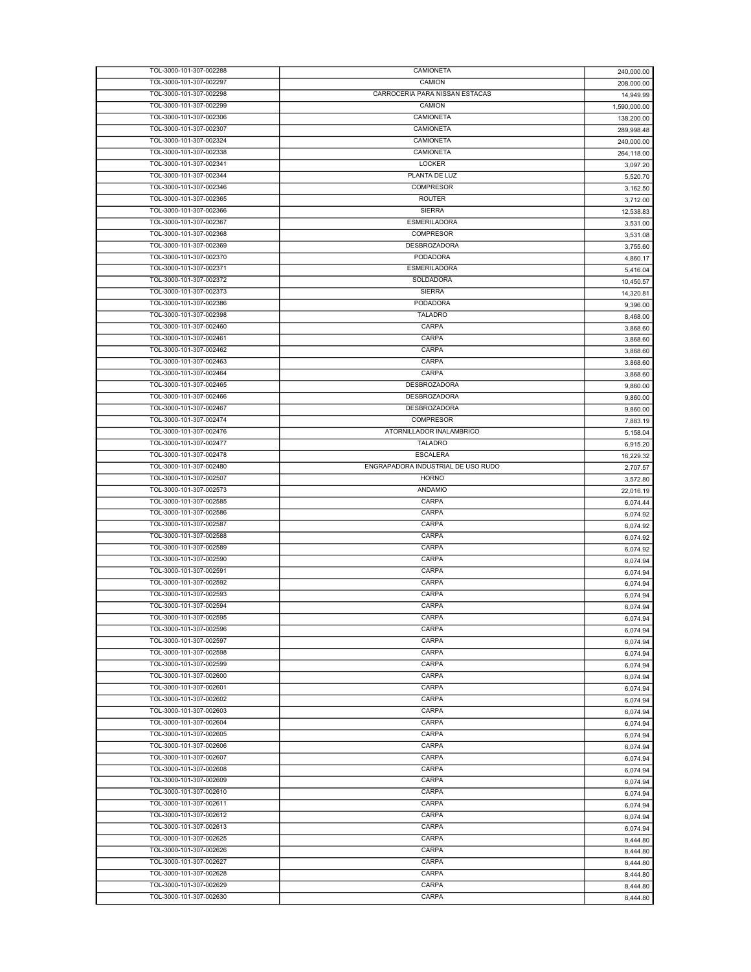| TOL-3000-101-307-002288 | CAMIONETA                          | 240,000.00   |
|-------------------------|------------------------------------|--------------|
| TOL-3000-101-307-002297 | CAMION                             | 208,000.00   |
| TOL-3000-101-307-002298 | CARROCERIA PARA NISSAN ESTACAS     | 14,949.99    |
| TOL-3000-101-307-002299 | CAMION                             | 1,590,000.00 |
| TOL-3000-101-307-002306 | CAMIONETA                          | 138,200.00   |
| TOL-3000-101-307-002307 | CAMIONETA                          | 289,998.48   |
| TOL-3000-101-307-002324 | CAMIONETA                          | 240,000.00   |
| TOL-3000-101-307-002338 | CAMIONETA                          | 264,118.00   |
| TOL-3000-101-307-002341 | LOCKER                             | 3,097.20     |
| TOL-3000-101-307-002344 | PLANTA DE LUZ                      | 5,520.70     |
| TOL-3000-101-307-002346 | COMPRESOR                          | 3,162.50     |
| TOL-3000-101-307-002365 | <b>ROUTER</b>                      | 3,712.00     |
| TOL-3000-101-307-002366 | <b>SIERRA</b>                      | 12,538.83    |
| TOL-3000-101-307-002367 | <b>ESMERILADORA</b>                |              |
| TOL-3000-101-307-002368 | <b>COMPRESOR</b>                   | 3,531.00     |
|                         |                                    | 3,531.08     |
| TOL-3000-101-307-002369 | DESBROZADORA                       | 3,755.60     |
| TOL-3000-101-307-002370 | PODADORA                           | 4,860.17     |
| TOL-3000-101-307-002371 | <b>ESMERILADORA</b>                | 5,416.04     |
| TOL-3000-101-307-002372 | SOLDADORA                          | 10,450.57    |
| TOL-3000-101-307-002373 | <b>SIERRA</b>                      | 14,320.81    |
| TOL-3000-101-307-002386 | PODADORA                           | 9,396.00     |
| TOL-3000-101-307-002398 | <b>TALADRO</b>                     | 8,468.00     |
| TOL-3000-101-307-002460 | CARPA                              | 3,868.60     |
| TOL-3000-101-307-002461 | CARPA                              | 3,868.60     |
| TOL-3000-101-307-002462 | CARPA                              | 3,868.60     |
| TOL-3000-101-307-002463 | CARPA                              | 3,868.60     |
| TOL-3000-101-307-002464 | CARPA                              | 3,868.60     |
| TOL-3000-101-307-002465 | DESBROZADORA                       |              |
| TOL-3000-101-307-002466 | <b>DESBROZADORA</b>                | 9,860.00     |
|                         |                                    | 9,860.00     |
| TOL-3000-101-307-002467 | <b>DESBROZADORA</b>                | 9,860.00     |
| TOL-3000-101-307-002474 | <b>COMPRESOR</b>                   | 7,883.19     |
| TOL-3000-101-307-002476 | ATORNILLADOR INALAMBRICO           | 5,158.04     |
| TOL-3000-101-307-002477 | <b>TALADRO</b>                     | 6,915.20     |
| TOL-3000-101-307-002478 | <b>ESCALERA</b>                    | 16,229.32    |
| TOL-3000-101-307-002480 | ENGRAPADORA INDUSTRIAL DE USO RUDO | 2,707.57     |
| TOL-3000-101-307-002507 | <b>HORNO</b>                       | 3,572.80     |
| TOL-3000-101-307-002573 | ANDAMIO                            | 22,016.19    |
| TOL-3000-101-307-002585 | CARPA                              | 6,074.44     |
| TOL-3000-101-307-002586 | CARPA                              | 6,074.92     |
| TOL-3000-101-307-002587 | CARPA                              | 6,074.92     |
| TOL-3000-101-307-002588 | CARPA                              | 6,074.92     |
| TOL-3000-101-307-002589 | CARPA                              | 6,074.92     |
| TOL-3000-101-307-002590 | CARPA                              |              |
| TOL-3000-101-307-002591 | CARPA                              | 6,074.94     |
| TOL-3000-101-307-002592 | CARPA                              | 6,074.94     |
|                         |                                    | 6,074.94     |
| TOL-3000-101-307-002593 | CARPA                              | 6,074.94     |
| TOL-3000-101-307-002594 | CARPA                              | 6,074.94     |
| TOL-3000-101-307-002595 | CARPA                              | 6,074.94     |
| TOL-3000-101-307-002596 | CARPA                              | 6,074.94     |
| TOL-3000-101-307-002597 | CARPA                              | 6,074.94     |
| TOL-3000-101-307-002598 | CARPA                              | 6,074.94     |
| TOL-3000-101-307-002599 | CARPA                              | 6,074.94     |
| TOL-3000-101-307-002600 | CARPA                              | 6,074.94     |
| TOL-3000-101-307-002601 | CARPA                              | 6,074.94     |
| TOL-3000-101-307-002602 | CARPA                              | 6,074.94     |
| TOL-3000-101-307-002603 | CARPA                              | 6,074.94     |
| TOL-3000-101-307-002604 | CARPA                              | 6,074.94     |
| TOL-3000-101-307-002605 | CARPA                              | 6,074.94     |
| TOL-3000-101-307-002606 | CARPA                              |              |
| TOL-3000-101-307-002607 | CARPA                              | 6,074.94     |
|                         |                                    | 6,074.94     |
| TOL-3000-101-307-002608 | CARPA                              | 6,074.94     |
| TOL-3000-101-307-002609 | CARPA                              | 6,074.94     |
| TOL-3000-101-307-002610 | CARPA                              | 6,074.94     |
| TOL-3000-101-307-002611 | CARPA                              | 6,074.94     |
| TOL-3000-101-307-002612 | CARPA                              | 6,074.94     |
| TOL-3000-101-307-002613 | CARPA                              | 6,074.94     |
| TOL-3000-101-307-002625 | CARPA                              | 8,444.80     |
| TOL-3000-101-307-002626 | CARPA                              | 8,444.80     |
| TOL-3000-101-307-002627 | CARPA                              | 8,444.80     |
| TOL-3000-101-307-002628 | CARPA                              | 8,444.80     |
| TOL-3000-101-307-002629 | CARPA                              | 8,444.80     |
| TOL-3000-101-307-002630 | CARPA                              | 8,444.80     |
|                         |                                    |              |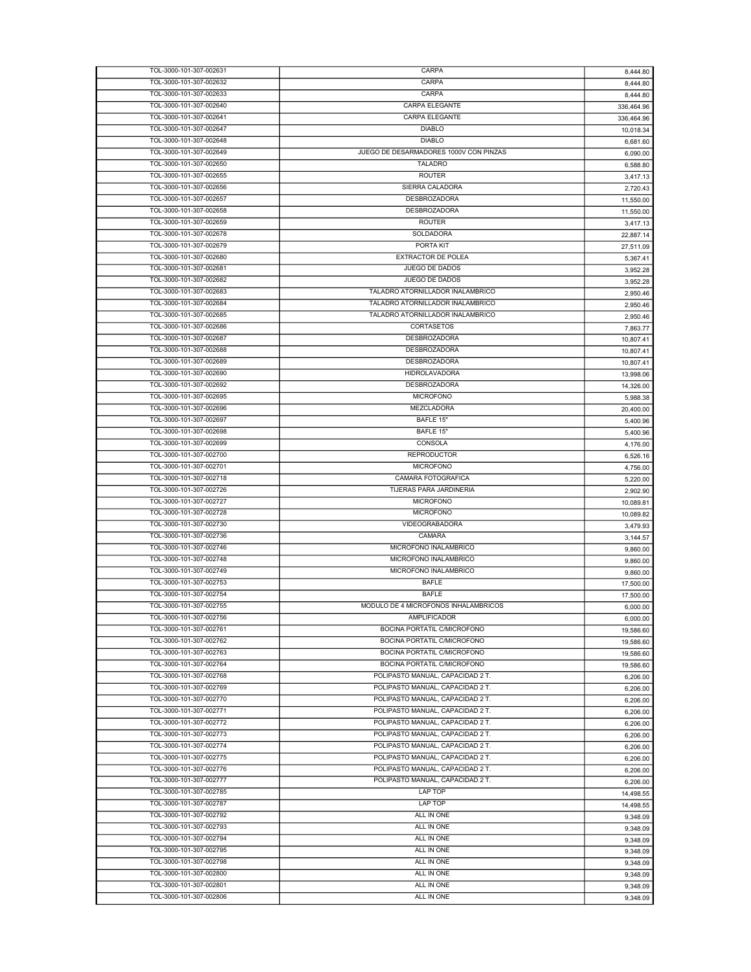| TOL-3000-101-307-002631 | CARPA                                  | 8,444.80   |
|-------------------------|----------------------------------------|------------|
| TOL-3000-101-307-002632 | CARPA                                  | 8,444.80   |
| TOL-3000-101-307-002633 | CARPA                                  | 8,444.80   |
| TOL-3000-101-307-002640 | <b>CARPA ELEGANTE</b>                  |            |
|                         |                                        | 336,464.96 |
| TOL-3000-101-307-002641 | CARPA ELEGANTE                         | 336,464.96 |
| TOL-3000-101-307-002647 | <b>DIABLO</b>                          | 10,018.34  |
| TOL-3000-101-307-002648 | <b>DIABLO</b>                          | 6,681.60   |
| TOL-3000-101-307-002649 | JUEGO DE DESARMADORES 1000V CON PINZAS | 6,090.00   |
| TOL-3000-101-307-002650 | <b>TALADRO</b>                         | 6,588.80   |
| TOL-3000-101-307-002655 | <b>ROUTER</b>                          |            |
|                         |                                        | 3,417.13   |
| TOL-3000-101-307-002656 | SIERRA CALADORA                        | 2,720.43   |
| TOL-3000-101-307-002657 | DESBROZADORA                           | 11,550.00  |
| TOL-3000-101-307-002658 | DESBROZADORA                           | 11,550.00  |
| TOL-3000-101-307-002659 | <b>ROUTER</b>                          | 3,417.13   |
| TOL-3000-101-307-002678 | SOLDADORA                              | 22.887.14  |
| TOL-3000-101-307-002679 | PORTA KIT                              | 27,511.09  |
| TOL-3000-101-307-002680 | <b>EXTRACTOR DE POLEA</b>              |            |
|                         |                                        | 5,367.41   |
| TOL-3000-101-307-002681 | JUEGO DE DADOS                         | 3,952.28   |
| TOL-3000-101-307-002682 | JUEGO DE DADOS                         | 3,952.28   |
| TOL-3000-101-307-002683 | TALADRO ATORNILLADOR INALAMBRICO       | 2,950.46   |
| TOL-3000-101-307-002684 | TALADRO ATORNILLADOR INALAMBRICO       | 2,950.46   |
| TOL-3000-101-307-002685 | TALADRO ATORNILLADOR INALAMBRICO       | 2,950.46   |
|                         |                                        |            |
| TOL-3000-101-307-002686 | CORTASETOS                             | 7,863.77   |
| TOL-3000-101-307-002687 | DESBROZADORA                           | 10,807.41  |
| TOL-3000-101-307-002688 | <b>DESBROZADORA</b>                    | 10,807.41  |
| TOL-3000-101-307-002689 | DESBROZADORA                           | 10,807.41  |
| TOL-3000-101-307-002690 | <b>HIDROLAVADORA</b>                   | 13,998.06  |
| TOL-3000-101-307-002692 | DESBROZADORA                           | 14,326.00  |
| TOL-3000-101-307-002695 | <b>MICROFONO</b>                       |            |
|                         |                                        | 5,988.38   |
| TOL-3000-101-307-002696 | MEZCLADORA                             | 20,400.00  |
| TOL-3000-101-307-002697 | BAFLE 15"                              | 5,400.96   |
| TOL-3000-101-307-002698 | BAFLE 15"                              | 5,400.96   |
| TOL-3000-101-307-002699 | CONSOLA                                | 4,176.00   |
| TOL-3000-101-307-002700 | <b>REPRODUCTOR</b>                     | 6,526.16   |
| TOL-3000-101-307-002701 | <b>MICROFONO</b>                       |            |
|                         |                                        | 4,756.00   |
| TOL-3000-101-307-002718 | CAMARA FOTOGRAFICA                     | 5,220.00   |
|                         |                                        |            |
| TOL-3000-101-307-002726 | TIJERAS PARA JARDINERIA                | 2,902.90   |
| TOL-3000-101-307-002727 | <b>MICROFONO</b>                       | 10,089.81  |
| TOL-3000-101-307-002728 | <b>MICROFONO</b>                       | 10,089.82  |
|                         |                                        |            |
| TOL-3000-101-307-002730 | VIDEOGRABADORA                         | 3,479.93   |
| TOL-3000-101-307-002736 | CAMARA                                 | 3,144.57   |
| TOL-3000-101-307-002746 | MICROFONO INALAMBRICO                  | 9,860.00   |
| TOL-3000-101-307-002748 | MICROFONO INALAMBRICO                  | 9,860.00   |
| TOL-3000-101-307-002749 | MICROFONO INALAMBRICO                  | 9,860.00   |
| TOL-3000-101-307-002753 | <b>BAFLE</b>                           | 17,500.00  |
| TOL-3000-101-307-002754 | <b>BAFLE</b>                           |            |
|                         |                                        | 17,500.00  |
| TOL-3000-101-307-002755 | MODULO DE 4 MICROFONOS INHALAMBRICOS   | 6,000.00   |
| TOL-3000-101-307-002756 | AMPLIFICADOR                           | 6,000.00   |
| TOL-3000-101-307-002761 | BOCINA PORTATIL C/MICROFONO            | 19,586.60  |
| TOL-3000-101-307-002762 | BOCINA PORTATIL C/MICROFONO            | 19,586.60  |
| TOL-3000-101-307-002763 | BOCINA PORTATIL C/MICROFONO            | 19,586.60  |
| TOL-3000-101-307-002764 | BOCINA PORTATIL C/MICROFONO            | 19,586.60  |
|                         |                                        |            |
| TOL-3000-101-307-002768 | POLIPASTO MANUAL, CAPACIDAD 2 T.       | 6,206.00   |
| TOL-3000-101-307-002769 | POLIPASTO MANUAL, CAPACIDAD 2 T.       | 6,206.00   |
| TOL-3000-101-307-002770 | POLIPASTO MANUAL, CAPACIDAD 2 T.       | 6,206.00   |
| TOL-3000-101-307-002771 | POLIPASTO MANUAL, CAPACIDAD 2 T.       | 6,206.00   |
| TOL-3000-101-307-002772 | POLIPASTO MANUAL, CAPACIDAD 2 T.       | 6,206.00   |
| TOL-3000-101-307-002773 | POLIPASTO MANUAL, CAPACIDAD 2 T.       | 6,206.00   |
| TOL-3000-101-307-002774 | POLIPASTO MANUAL, CAPACIDAD 2 T.       |            |
|                         |                                        | 6,206.00   |
| TOL-3000-101-307-002775 | POLIPASTO MANUAL, CAPACIDAD 2 T.       | 6,206.00   |
| TOL-3000-101-307-002776 | POLIPASTO MANUAL, CAPACIDAD 2 T.       | 6,206.00   |
| TOL-3000-101-307-002777 | POLIPASTO MANUAL, CAPACIDAD 2 T.       | 6,206.00   |
| TOL-3000-101-307-002785 | LAP TOP                                | 14,498.55  |
| TOL-3000-101-307-002787 | LAP TOP                                | 14,498.55  |
| TOL-3000-101-307-002792 | ALL IN ONE                             |            |
|                         |                                        | 9,348.09   |
| TOL-3000-101-307-002793 | ALL IN ONE                             | 9,348.09   |
| TOL-3000-101-307-002794 | ALL IN ONE                             | 9,348.09   |
| TOL-3000-101-307-002795 | ALL IN ONE                             | 9,348.09   |
| TOL-3000-101-307-002798 | ALL IN ONE                             | 9,348.09   |
| TOL-3000-101-307-002800 | ALL IN ONE                             | 9,348.09   |
| TOL-3000-101-307-002801 | ALL IN ONE                             | 9,348.09   |
| TOL-3000-101-307-002806 | ALL IN ONE                             | 9,348.09   |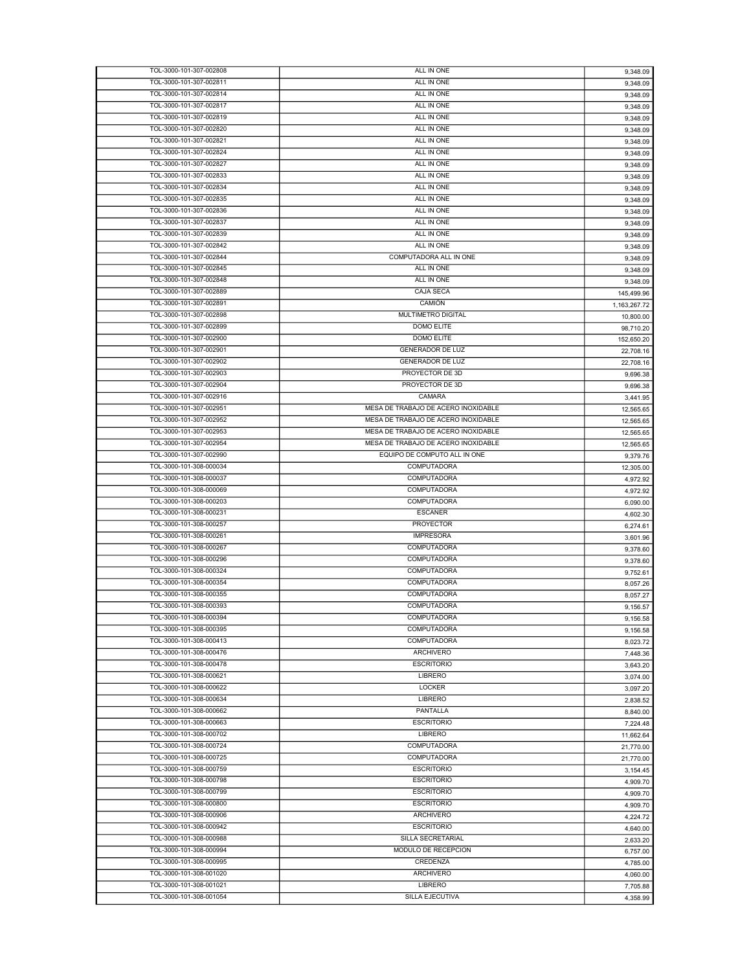| TOL-3000-101-307-002808                            | ALL IN ONE                          | 9,348.09             |
|----------------------------------------------------|-------------------------------------|----------------------|
| TOL-3000-101-307-002811                            | ALL IN ONE                          | 9,348.09             |
| TOL-3000-101-307-002814                            | ALL IN ONE                          | 9,348.09             |
| TOL-3000-101-307-002817                            | ALL IN ONE                          | 9,348.09             |
| TOL-3000-101-307-002819                            | ALL IN ONE                          | 9,348.09             |
| TOL-3000-101-307-002820                            | ALL IN ONE                          | 9,348.09             |
| TOL-3000-101-307-002821                            | ALL IN ONE                          | 9,348.09             |
| TOL-3000-101-307-002824                            | ALL IN ONE                          | 9,348.09             |
| TOL-3000-101-307-002827                            | ALL IN ONE                          | 9,348.09             |
| TOL-3000-101-307-002833                            | ALL IN ONE                          | 9,348.09             |
| TOL-3000-101-307-002834                            | ALL IN ONE                          | 9,348.09             |
| TOL-3000-101-307-002835                            | ALL IN ONE                          | 9,348.09             |
| TOL-3000-101-307-002836                            | ALL IN ONE                          | 9,348.09             |
| TOL-3000-101-307-002837                            | ALL IN ONE                          | 9,348.09             |
| TOL-3000-101-307-002839                            | ALL IN ONE                          | 9,348.09             |
| TOL-3000-101-307-002842                            | ALL IN ONE                          | 9,348.09             |
| TOL-3000-101-307-002844                            | COMPUTADORA ALL IN ONE              | 9,348.09             |
| TOL-3000-101-307-002845                            | ALL IN ONE                          | 9,348.09             |
| TOL-3000-101-307-002848                            | ALL IN ONE                          | 9,348.09             |
| TOL-3000-101-307-002889                            | CAJA SECA                           | 145,499.96           |
| TOL-3000-101-307-002891                            | CAMIÓN                              | 1.163.267.72         |
| TOL-3000-101-307-002898                            | MULTIMETRO DIGITAL                  | 10,800.00            |
| TOL-3000-101-307-002899                            | DOMO ELITE                          | 98,710.20            |
| TOL-3000-101-307-002900                            | <b>DOMO ELITE</b>                   | 152,650.20           |
| TOL-3000-101-307-002901                            | <b>GENERADOR DE LUZ</b>             | 22.708.16            |
| TOL-3000-101-307-002902                            | <b>GENERADOR DE LUZ</b>             | 22,708.16            |
| TOL-3000-101-307-002903                            | PROYECTOR DE 3D                     | 9,696.38             |
| TOL-3000-101-307-002904                            | PROYECTOR DE 3D                     | 9,696.38             |
| TOL-3000-101-307-002916                            | CAMARA                              | 3,441.95             |
| TOL-3000-101-307-002951                            | MESA DE TRABAJO DE ACERO INOXIDABLE | 12,565.65            |
| TOL-3000-101-307-002952                            | MESA DE TRABAJO DE ACERO INOXIDABLE | 12,565.65            |
| TOL-3000-101-307-002953                            | MESA DE TRABAJO DE ACERO INOXIDABLE | 12,565.65            |
| TOL-3000-101-307-002954                            | MESA DE TRABAJO DE ACERO INOXIDABLE | 12,565.65            |
| TOL-3000-101-307-002990                            | EQUIPO DE COMPUTO ALL IN ONE        | 9,379.76             |
| TOL-3000-101-308-000034                            | COMPUTADORA                         | 12,305.00            |
| TOL-3000-101-308-000037                            | COMPUTADORA                         | 4,972.92             |
| TOL-3000-101-308-000069                            | COMPUTADORA                         | 4,972.92             |
| TOL-3000-101-308-000203                            | <b>COMPUTADORA</b>                  | 6,090.00             |
| TOL-3000-101-308-000231                            | <b>ESCANER</b>                      |                      |
| TOL-3000-101-308-000257                            | PROYECTOR                           | 4,602.30<br>6,274.61 |
| TOL-3000-101-308-000261                            | <b>IMPRESORA</b>                    | 3,601.96             |
| TOL-3000-101-308-000267                            | COMPUTADORA                         |                      |
| TOL-3000-101-308-000296                            | COMPUTADORA                         | 9,378.60             |
| TOL-3000-101-308-000324                            | <b>COMPUTADORA</b>                  | 9,378.60             |
| TOL-3000-101-308-000354                            | <b>COMPUTADORA</b>                  | 9,752.61             |
| TOL-3000-101-308-000355                            | <b>COMPUTADORA</b>                  | 8,057.26             |
| TOL-3000-101-308-000393                            | COMPUTADORA                         | 8.057.27             |
| TOL-3000-101-308-000394                            | <b>COMPUTADORA</b>                  | 9,156.57             |
|                                                    |                                     | 9,156.58             |
| TOL-3000-101-308-000395                            | <b>COMPUTADORA</b>                  | 9,156.58             |
| TOL-3000-101-308-000413                            | <b>COMPUTADORA</b>                  | 8,023.72             |
| TOL-3000-101-308-000476<br>TOL-3000-101-308-000478 | <b>ARCHIVERO</b>                    | 7,448.36             |
| TOL-3000-101-308-000621                            | <b>ESCRITORIO</b>                   | 3,643.20             |
|                                                    | LIBRERO                             | 3,074.00             |
| TOL-3000-101-308-000622                            | LOCKER                              | 3,097.20             |
| TOL-3000-101-308-000634                            | <b>LIBRERO</b>                      | 2,838.52             |
| TOL-3000-101-308-000662                            | PANTALLA                            | 8,840.00             |
| TOL-3000-101-308-000663                            | <b>ESCRITORIO</b>                   | 7,224.48             |
| TOL-3000-101-308-000702                            | <b>LIBRERO</b>                      | 11,662.64            |
| TOL-3000-101-308-000724                            | <b>COMPUTADORA</b>                  | 21,770.00            |
| TOL-3000-101-308-000725                            | COMPUTADORA                         | 21,770.00            |
| TOL-3000-101-308-000759                            | <b>ESCRITORIO</b>                   | 3,154.45             |
| TOL-3000-101-308-000798                            | <b>ESCRITORIO</b>                   | 4,909.70             |
| TOL-3000-101-308-000799                            | <b>ESCRITORIO</b>                   | 4,909.70             |
| TOL-3000-101-308-000800                            | <b>ESCRITORIO</b>                   | 4,909.70             |
| TOL-3000-101-308-000906                            | ARCHIVERO                           | 4,224.72             |
| TOL-3000-101-308-000942                            | <b>ESCRITORIO</b>                   | 4,640.00             |
| TOL-3000-101-308-000988                            | SILLA SECRETARIAL                   | 2,633.20             |
| TOL-3000-101-308-000994                            | MODULO DE RECEPCION                 | 6,757.00             |
| TOL-3000-101-308-000995                            | CREDENZA                            | 4,785.00             |
| TOL-3000-101-308-001020                            | <b>ARCHIVERO</b>                    | 4,060.00             |
| TOL-3000-101-308-001021                            | LIBRERO                             | 7,705.88             |
| TOL-3000-101-308-001054                            | SILLA EJECUTIVA                     | 4,358.99             |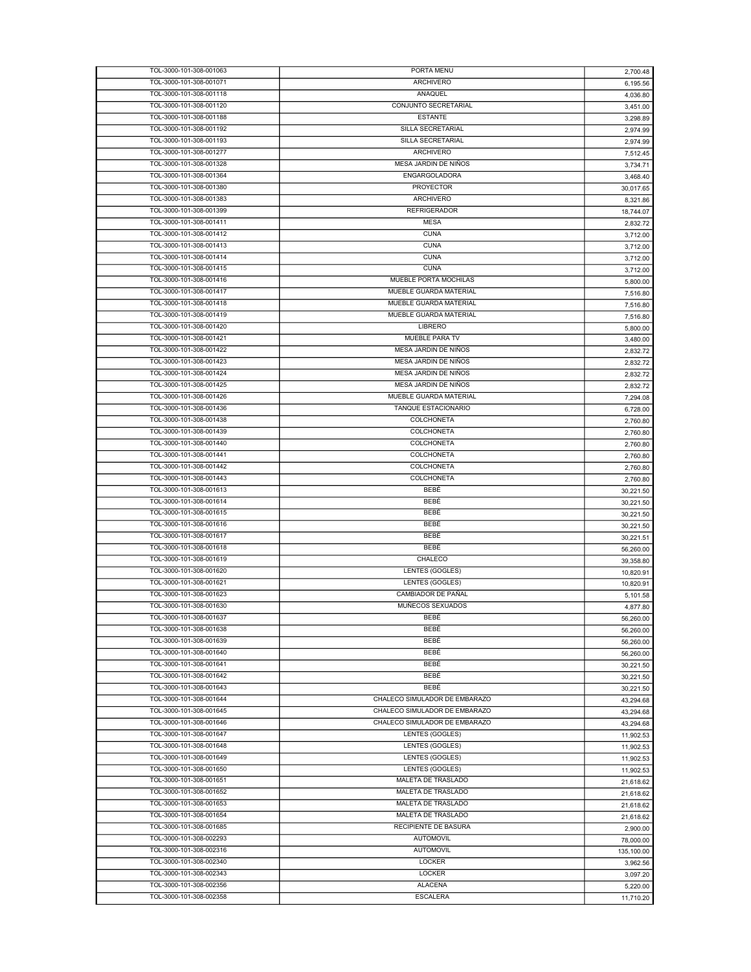| TOL-3000-101-308-001063                            | PORTA MENU                        | 2,700.48               |
|----------------------------------------------------|-----------------------------------|------------------------|
| TOL-3000-101-308-001071                            | <b>ARCHIVERO</b>                  | 6.195.56               |
| TOL-3000-101-308-001118                            | ANAQUEL                           | 4,036.80               |
| TOL-3000-101-308-001120                            | CONJUNTO SECRETARIAL              | 3,451.00               |
| TOL-3000-101-308-001188                            | <b>ESTANTE</b>                    | 3,298.89               |
| TOL-3000-101-308-001192                            | SILLA SECRETARIAL                 | 2,974.99               |
| TOL-3000-101-308-001193                            | SILLA SECRETARIAL                 | 2,974.99               |
| TOL-3000-101-308-001277                            | <b>ARCHIVERO</b>                  | 7,512.45               |
| TOL-3000-101-308-001328                            | MESA JARDIN DE NIÑOS              | 3,734.71               |
| TOL-3000-101-308-001364                            | ENGARGOLADORA                     | 3,468.40               |
| TOL-3000-101-308-001380                            | <b>PROYECTOR</b>                  | 30,017.65              |
| TOL-3000-101-308-001383                            | <b>ARCHIVERO</b>                  | 8,321.86               |
| TOL-3000-101-308-001399                            | <b>REFRIGERADOR</b>               |                        |
| TOL-3000-101-308-001411                            | <b>MESA</b>                       | 18,744.07              |
|                                                    |                                   | 2,832.72               |
| TOL-3000-101-308-001412                            | <b>CUNA</b>                       | 3,712.00               |
| TOL-3000-101-308-001413                            | <b>CUNA</b>                       | 3,712.00               |
| TOL-3000-101-308-001414                            | <b>CUNA</b>                       | 3,712.00               |
| TOL-3000-101-308-001415                            | <b>CUNA</b>                       | 3,712.00               |
| TOL-3000-101-308-001416                            | MUEBLE PORTA MOCHILAS             | 5,800.00               |
| TOL-3000-101-308-001417                            | MUEBLE GUARDA MATERIAL            | 7,516.80               |
| TOL-3000-101-308-001418                            | MUEBLE GUARDA MATERIAL            | 7,516.80               |
| TOL-3000-101-308-001419                            | MUEBLE GUARDA MATERIAL            | 7,516.80               |
| TOL-3000-101-308-001420                            | LIBRERO                           | 5,800.00               |
| TOL-3000-101-308-001421                            | MUEBLE PARA TV                    | 3,480.00               |
| TOL-3000-101-308-001422                            | MESA JARDIN DE NIÑOS              | 2,832.72               |
| TOL-3000-101-308-001423                            | MESA JARDIN DE NIÑOS              | 2.832.72               |
| TOL-3000-101-308-001424                            | MESA JARDIN DE NIÑOS              |                        |
| TOL-3000-101-308-001425                            | MESA JARDIN DE NIÑOS              | 2,832.72               |
|                                                    |                                   | 2,832.72               |
| TOL-3000-101-308-001426                            | MUEBLE GUARDA MATERIAL            | 7,294.08               |
| TOL-3000-101-308-001436                            | TANQUE ESTACIONARIO               | 6,728.00               |
| TOL-3000-101-308-001438                            | COLCHONETA                        | 2,760.80               |
| TOL-3000-101-308-001439                            | <b>COLCHONETA</b>                 | 2,760.80               |
| TOL-3000-101-308-001440                            | COLCHONETA                        | 2,760.80               |
| TOL-3000-101-308-001441                            | COLCHONETA                        | 2,760.80               |
| TOL-3000-101-308-001442                            | COLCHONETA                        | 2,760.80               |
| TOL-3000-101-308-001443                            | COLCHONETA                        | 2,760.80               |
|                                                    |                                   |                        |
| TOL-3000-101-308-001613                            | BEBÉ                              |                        |
|                                                    |                                   | 30,221.50              |
| TOL-3000-101-308-001614                            | BEBÉ                              | 30,221.50              |
| TOL-3000-101-308-001615                            | BEBÉ                              | 30,221.50              |
| TOL-3000-101-308-001616                            | BEBÉ                              | 30,221.50              |
| TOL-3000-101-308-001617                            | BEBÉ                              | 30,221.51              |
| TOL-3000-101-308-001618                            | BEBÉ                              | 56,260.00              |
| TOL-3000-101-308-001619                            | CHALECO                           | 39,358.80              |
| TOL-3000-101-308-001620                            | <b>LENTES (GOGLES)</b>            | 10,820.91              |
| TOL-3000-101-308-001621                            | LENTES (GOGLES)                   | 10,820.91              |
| TOL-3000-101-308-001623                            | CAMBIADOR DE PAÑAL                | 5,101.58               |
| TOL-3000-101-308-001630                            | MUÑECOS SEXUADOS                  | 4,877.80               |
| TOL-3000-101-308-001637                            | BEBÉ                              | 56,260.00              |
| TOL-3000-101-308-001638                            | BEBÉ                              | 56,260.00              |
| TOL-3000-101-308-001639                            | BEBÉ                              |                        |
| TOL-3000-101-308-001640                            | BEBÉ                              | 56,260.00<br>56.260.00 |
| TOL-3000-101-308-001641                            | BEBÉ                              |                        |
|                                                    |                                   | 30,221.50              |
| TOL-3000-101-308-001642                            | BEBÉ                              | 30,221.50              |
| TOL-3000-101-308-001643                            | BEBÉ                              | 30,221.50              |
| TOL-3000-101-308-001644                            | CHALECO SIMULADOR DE EMBARAZO     | 43,294.68              |
| TOL-3000-101-308-001645                            | CHALECO SIMULADOR DE EMBARAZO     | 43,294.68              |
| TOL-3000-101-308-001646                            | CHALECO SIMULADOR DE EMBARAZO     | 43,294.68              |
| TOL-3000-101-308-001647                            | LENTES (GOGLES)                   | 11,902.53              |
| TOL-3000-101-308-001648                            | LENTES (GOGLES)                   | 11,902.53              |
| TOL-3000-101-308-001649                            | LENTES (GOGLES)                   | 11,902.53              |
| TOL-3000-101-308-001650                            | LENTES (GOGLES)                   | 11,902.53              |
| TOL-3000-101-308-001651                            | MALETA DE TRASLADO                | 21,618.62              |
| TOL-3000-101-308-001652                            | MALETA DE TRASLADO                | 21,618.62              |
| TOL-3000-101-308-001653                            | MALETA DE TRASLADO                |                        |
| TOL-3000-101-308-001654                            | MALETA DE TRASLADO                | 21,618.62              |
|                                                    |                                   | 21,618.62              |
| TOL-3000-101-308-001685                            | RECIPIENTE DE BASURA              | 2,900.00               |
| TOL-3000-101-308-002293                            | <b>AUTOMOVIL</b>                  | 78,000.00              |
| TOL-3000-101-308-002316                            | <b>AUTOMOVIL</b>                  | 135,100.00             |
| TOL-3000-101-308-002340                            | <b>LOCKER</b>                     | 3,962.56               |
| TOL-3000-101-308-002343                            | <b>LOCKER</b>                     | 3,097.20               |
| TOL-3000-101-308-002356<br>TOL-3000-101-308-002358 | <b>ALACENA</b><br><b>ESCALERA</b> | 5,220.00               |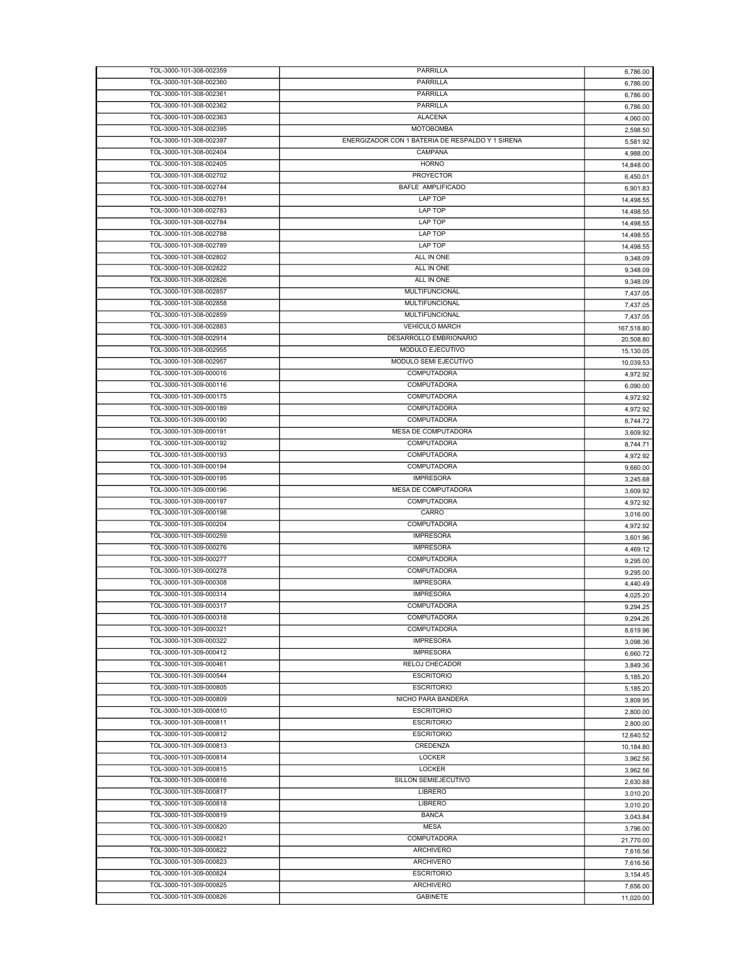| TOL-3000-101-308-002359 | PARRILLA                                         | 6,786.00   |
|-------------------------|--------------------------------------------------|------------|
| TOL-3000-101-308-002360 | PARRILLA                                         | 6,786.00   |
| TOL-3000-101-308-002361 | PARRILLA                                         | 6,786.00   |
| TOL-3000-101-308-002362 | PARRILLA                                         | 6,786.00   |
| TOL-3000-101-308-002363 | <b>ALACENA</b>                                   | 4,060.00   |
| TOL-3000-101-308-002395 | <b>MOTOBOMBA</b>                                 | 2,598.50   |
| TOL-3000-101-308-002397 | ENERGIZADOR CON 1 BATERIA DE RESPALDO Y 1 SIRENA |            |
| TOL-3000-101-308-002404 | CAMPANA                                          | 5,581.92   |
|                         |                                                  | 4,988.00   |
| TOL-3000-101-308-002405 | <b>HORNO</b>                                     | 14,848.00  |
| TOL-3000-101-308-002702 | <b>PROYECTOR</b>                                 | 6,450.01   |
| TOL-3000-101-308-002744 | <b>BAFLE AMPLIFICADO</b>                         | 6,901.83   |
| TOL-3000-101-308-002781 | LAP TOP                                          | 14,498.55  |
| TOL-3000-101-308-002783 | LAP TOP                                          | 14.498.55  |
| TOL-3000-101-308-002784 | <b>LAP TOP</b>                                   | 14,498.55  |
| TOL-3000-101-308-002788 | LAP TOP                                          | 14,498.55  |
| TOL-3000-101-308-002789 | LAP TOP                                          | 14,498.55  |
| TOL-3000-101-308-002802 | ALL IN ONE                                       | 9,348.09   |
| TOL-3000-101-308-002822 | ALL IN ONE                                       |            |
| TOL-3000-101-308-002826 | ALL IN ONE                                       | 9,348.09   |
|                         |                                                  | 9,348.09   |
| TOL-3000-101-308-002857 | MULTIFUNCIONAL                                   | 7,437.05   |
| TOL-3000-101-308-002858 | MULTIFUNCIONAL                                   | 7.437.05   |
| TOL-3000-101-308-002859 | <b>MULTIFUNCIONAL</b>                            | 7.437.05   |
| TOL-3000-101-308-002883 | <b>VEHÍCULO MARCH</b>                            | 167,518.80 |
| TOL-3000-101-308-002914 | DESARROLLO EMBRIONARIO                           | 20,508.80  |
| TOL-3000-101-308-002955 | MODULO EJECUTIVO                                 | 15,130.05  |
| TOL-3000-101-308-002957 | MODULO SEMI EJECUTIVO                            | 10,039.53  |
| TOL-3000-101-309-000016 | COMPUTADORA                                      | 4,972.92   |
| TOL-3000-101-309-000116 | COMPUTADORA                                      | 6,090.00   |
| TOL-3000-101-309-000175 | COMPUTADORA                                      |            |
|                         | COMPUTADORA                                      | 4,972.92   |
| TOL-3000-101-309-000189 |                                                  | 4,972.92   |
| TOL-3000-101-309-000190 | <b>COMPUTADORA</b>                               | 8,744.72   |
| TOL-3000-101-309-000191 | MESA DE COMPUTADORA                              | 3,609.92   |
| TOL-3000-101-309-000192 | COMPUTADORA                                      | 8,744.71   |
| TOL-3000-101-309-000193 | COMPUTADORA                                      | 4,972.92   |
| TOL-3000-101-309-000194 | COMPUTADORA                                      | 9,660.00   |
| TOL-3000-101-309-000195 | <b>IMPRESORA</b>                                 | 3,245.68   |
| TOL-3000-101-309-000196 | MESA DE COMPUTADORA                              | 3,609.92   |
| TOL-3000-101-309-000197 | COMPUTADORA                                      | 4,972.92   |
| TOL-3000-101-309-000198 | CARRO                                            |            |
| TOL-3000-101-309-000204 | COMPUTADORA                                      | 3,016.00   |
|                         |                                                  | 4,972.92   |
| TOL-3000-101-309-000259 | <b>IMPRESORA</b>                                 | 3,601.96   |
| TOL-3000-101-309-000276 | <b>IMPRESORA</b>                                 | 4,469.12   |
| TOL-3000-101-309-000277 | <b>COMPUTADORA</b>                               | 9,295.00   |
| TOL-3000-101-309-000278 | <b>COMPUTADORA</b>                               | 9,295.00   |
| TOL-3000-101-309-000308 | <b>IMPRESORA</b>                                 | 4,440.49   |
| TOL-3000-101-309-000314 | <b>IMPRESORA</b>                                 | 4,025.20   |
| TOL-3000-101-309-000317 | COMPUTADORA                                      | 9,294.25   |
| TOL-3000-101-309-000318 | COMPUTADORA                                      | 9,294.26   |
| TOL-3000-101-309-000321 | COMPUTADORA                                      |            |
| TOL-3000-101-309-000322 | <b>IMPRESORA</b>                                 | 8,619.96   |
| TOL-3000-101-309-000412 | <b>IMPRESORA</b>                                 | 3,098.36   |
|                         |                                                  | 6,660.72   |
| TOL-3000-101-309-000461 | RELOJ CHECADOR                                   | 3,849.36   |
| TOL-3000-101-309-000544 | <b>ESCRITORIO</b>                                | 5,185.20   |
| TOL-3000-101-309-000805 | <b>ESCRITORIO</b>                                | 5,185.20   |
| TOL-3000-101-309-000809 | NICHO PARA BANDERA                               | 3,809.95   |
| TOL-3000-101-309-000810 | <b>ESCRITORIO</b>                                | 2,800.00   |
| TOL-3000-101-309-000811 | <b>ESCRITORIO</b>                                | 2,800.00   |
| TOL-3000-101-309-000812 | <b>ESCRITORIO</b>                                | 12,640.52  |
| TOL-3000-101-309-000813 | CREDENZA                                         | 10,184.80  |
| TOL-3000-101-309-000814 | LOCKER                                           |            |
| TOL-3000-101-309-000815 | LOCKER                                           | 3,962.56   |
|                         |                                                  | 3,962.56   |
| TOL-3000-101-309-000816 | SILLON SEMIEJECUTIVO                             | 2,630.88   |
| TOL-3000-101-309-000817 | <b>LIBRERO</b>                                   | 3,010.20   |
| TOL-3000-101-309-000818 | LIBRERO                                          | 3,010.20   |
| TOL-3000-101-309-000819 | <b>BANCA</b>                                     | 3,043.84   |
| TOL-3000-101-309-000820 | <b>MESA</b>                                      | 3,796.00   |
| TOL-3000-101-309-000821 | COMPUTADORA                                      | 21,770.00  |
| TOL-3000-101-309-000822 | <b>ARCHIVERO</b>                                 | 7,616.56   |
| TOL-3000-101-309-000823 | <b>ARCHIVERO</b>                                 | 7,616.56   |
| TOL-3000-101-309-000824 | <b>ESCRITORIO</b>                                | 3,154.45   |
| TOL-3000-101-309-000825 | <b>ARCHIVERO</b>                                 |            |
| TOL-3000-101-309-000826 | <b>GABINETE</b>                                  | 7,656.00   |
|                         |                                                  | 11,020.00  |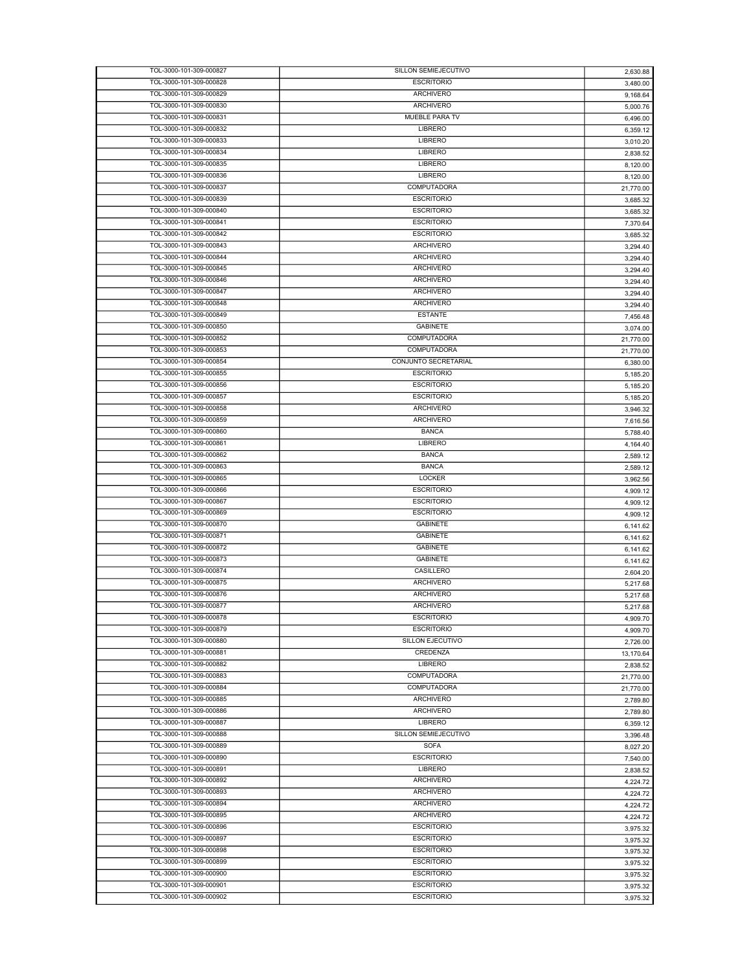| TOL-3000-101-309-000827 | SILLON SEMIEJECUTIVO    | 2,630.88  |
|-------------------------|-------------------------|-----------|
| TOL-3000-101-309-000828 | <b>ESCRITORIO</b>       | 3,480.00  |
| TOL-3000-101-309-000829 | <b>ARCHIVERO</b>        | 9,168.64  |
| TOL-3000-101-309-000830 | <b>ARCHIVERO</b>        | 5,000.76  |
| TOL-3000-101-309-000831 | MUEBLE PARA TV          | 6,496.00  |
| TOL-3000-101-309-000832 | <b>LIBRERO</b>          | 6,359.12  |
| TOL-3000-101-309-000833 | <b>LIBRERO</b>          |           |
|                         |                         | 3,010.20  |
| TOL-3000-101-309-000834 | <b>LIBRERO</b>          | 2,838.52  |
| TOL-3000-101-309-000835 | <b>LIBRERO</b>          | 8,120.00  |
| TOL-3000-101-309-000836 | LIBRERO                 | 8,120.00  |
| TOL-3000-101-309-000837 | COMPUTADORA             | 21,770.00 |
| TOL-3000-101-309-000839 | <b>ESCRITORIO</b>       | 3,685.32  |
| TOL-3000-101-309-000840 | <b>ESCRITORIO</b>       | 3,685.32  |
| TOL-3000-101-309-000841 | <b>ESCRITORIO</b>       | 7,370.64  |
| TOL-3000-101-309-000842 | <b>ESCRITORIO</b>       | 3,685.32  |
| TOL-3000-101-309-000843 | <b>ARCHIVERO</b>        | 3,294.40  |
| TOL-3000-101-309-000844 | <b>ARCHIVERO</b>        | 3,294.40  |
| TOL-3000-101-309-000845 | <b>ARCHIVERO</b>        |           |
|                         |                         | 3,294.40  |
| TOL-3000-101-309-000846 | <b>ARCHIVERO</b>        | 3,294.40  |
| TOL-3000-101-309-000847 | <b>ARCHIVERO</b>        | 3,294.40  |
| TOL-3000-101-309-000848 | <b>ARCHIVERO</b>        | 3,294.40  |
| TOL-3000-101-309-000849 | <b>ESTANTE</b>          | 7,456.48  |
| TOL-3000-101-309-000850 | <b>GABINETE</b>         | 3,074.00  |
| TOL-3000-101-309-000852 | COMPUTADORA             | 21,770.00 |
| TOL-3000-101-309-000853 | <b>COMPUTADORA</b>      | 21,770.00 |
| TOL-3000-101-309-000854 | CONJUNTO SECRETARIAL    | 6,380.00  |
| TOL-3000-101-309-000855 | <b>ESCRITORIO</b>       | 5,185.20  |
| TOL-3000-101-309-000856 | <b>ESCRITORIO</b>       |           |
|                         | <b>ESCRITORIO</b>       | 5,185.20  |
| TOL-3000-101-309-000857 |                         | 5,185.20  |
| TOL-3000-101-309-000858 | <b>ARCHIVERO</b>        | 3,946.32  |
| TOL-3000-101-309-000859 | <b>ARCHIVERO</b>        | 7,616.56  |
| TOL-3000-101-309-000860 | <b>BANCA</b>            | 5,788.40  |
| TOL-3000-101-309-000861 | <b>LIBRERO</b>          | 4,164.40  |
| TOL-3000-101-309-000862 | <b>BANCA</b>            | 2,589.12  |
| TOL-3000-101-309-000863 | <b>BANCA</b>            | 2,589.12  |
| TOL-3000-101-309-000865 | <b>LOCKER</b>           | 3,962.56  |
| TOL-3000-101-309-000866 | <b>ESCRITORIO</b>       | 4,909.12  |
| TOL-3000-101-309-000867 | <b>ESCRITORIO</b>       | 4,909.12  |
| TOL-3000-101-309-000869 | <b>ESCRITORIO</b>       |           |
|                         |                         | 4,909.12  |
| TOL-3000-101-309-000870 | <b>GABINETE</b>         | 6,141.62  |
| TOL-3000-101-309-000871 | <b>GABINETE</b>         | 6,141.62  |
| TOL-3000-101-309-000872 | <b>GABINETE</b>         | 6,141.62  |
| TOL-3000-101-309-000873 | <b>GABINETE</b>         | 6,141.62  |
| TOL-3000-101-309-000874 | CASILLERO               | 2,604.20  |
| TOL-3000-101-309-000875 | <b>ARCHIVERO</b>        | 5,217.68  |
| TOL-3000-101-309-000876 | <b>ARCHIVERO</b>        | 5,217.68  |
| TOL-3000-101-309-000877 | <b>ARCHIVERO</b>        | 5.217.68  |
| TOL-3000-101-309-000878 | <b>ESCRITORIO</b>       | 4,909.70  |
| TOL-3000-101-309-000879 | <b>ESCRITORIO</b>       |           |
| TOL-3000-101-309-000880 | <b>SILLON EJECUTIVO</b> | 4,909.70  |
|                         |                         | 2,726.00  |
| TOL-3000-101-309-000881 | <b>CREDENZA</b>         | 13,170.64 |
| TOL-3000-101-309-000882 | LIBRERO                 | 2,838.52  |
| TOL-3000-101-309-000883 | <b>COMPUTADORA</b>      | 21,770.00 |
| TOL-3000-101-309-000884 | COMPUTADORA             | 21,770.00 |
| TOL-3000-101-309-000885 | <b>ARCHIVERO</b>        | 2,789.80  |
| TOL-3000-101-309-000886 | <b>ARCHIVERO</b>        | 2,789.80  |
| TOL-3000-101-309-000887 | <b>LIBRERO</b>          | 6,359.12  |
| TOL-3000-101-309-000888 | SILLON SEMIEJECUTIVO    | 3,396.48  |
| TOL-3000-101-309-000889 | <b>SOFA</b>             | 8,027.20  |
| TOL-3000-101-309-000890 | <b>ESCRITORIO</b>       | 7,540.00  |
| TOL-3000-101-309-000891 | LIBRERO                 |           |
|                         |                         | 2,838.52  |
| TOL-3000-101-309-000892 | <b>ARCHIVERO</b>        | 4,224.72  |
| TOL-3000-101-309-000893 | ARCHIVERO               | 4,224.72  |
| TOL-3000-101-309-000894 | <b>ARCHIVERO</b>        | 4,224.72  |
| TOL-3000-101-309-000895 | <b>ARCHIVERO</b>        | 4,224.72  |
| TOL-3000-101-309-000896 | <b>ESCRITORIO</b>       | 3,975.32  |
| TOL-3000-101-309-000897 | <b>ESCRITORIO</b>       | 3,975.32  |
| TOL-3000-101-309-000898 | <b>ESCRITORIO</b>       | 3,975.32  |
| TOL-3000-101-309-000899 | <b>ESCRITORIO</b>       | 3,975.32  |
| TOL-3000-101-309-000900 | <b>ESCRITORIO</b>       | 3,975.32  |
| TOL-3000-101-309-000901 | <b>ESCRITORIO</b>       |           |
| TOL-3000-101-309-000902 | <b>ESCRITORIO</b>       | 3,975.32  |
|                         |                         | 3,975.32  |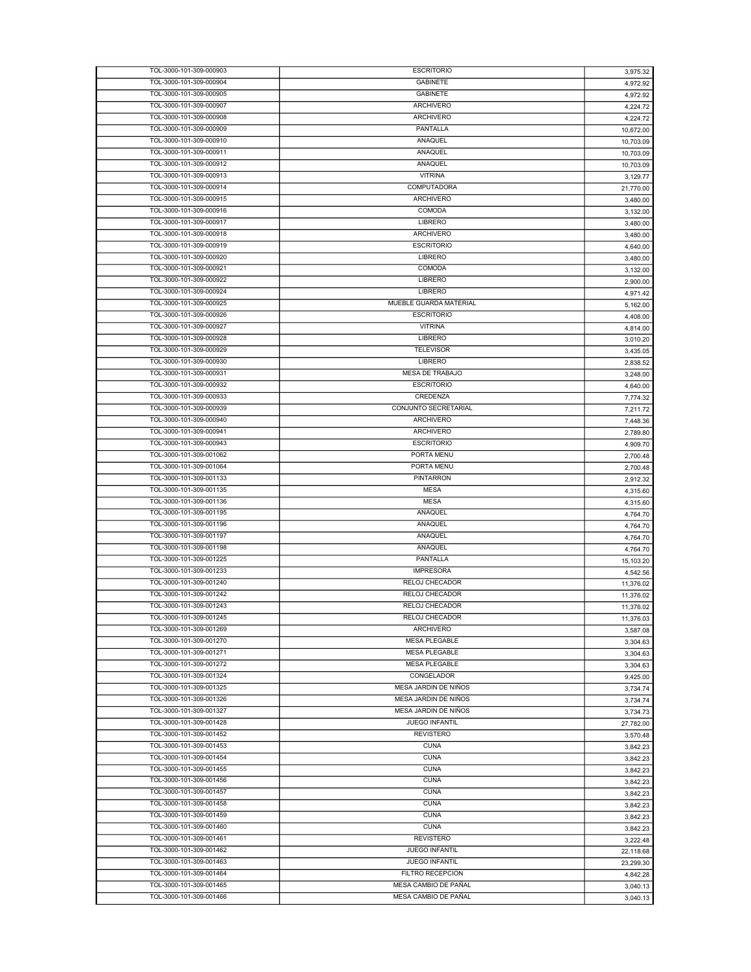| TOL-3000-101-309-000903                            | <b>ESCRITORIO</b>                            | 3,975.32  |
|----------------------------------------------------|----------------------------------------------|-----------|
| TOL-3000-101-309-000904                            | <b>GABINETE</b>                              | 4,972.92  |
| TOL-3000-101-309-000905                            | <b>GABINETE</b>                              | 4,972.92  |
| TOL-3000-101-309-000907                            | <b>ARCHIVERO</b>                             | 4,224.72  |
| TOL-3000-101-309-000908                            | <b>ARCHIVERO</b>                             | 4,224.72  |
| TOL-3000-101-309-000909                            | PANTALLA                                     | 10,672.00 |
| TOL-3000-101-309-000910                            | ANAQUEL                                      | 10,703.09 |
| TOL-3000-101-309-000911                            | ANAQUEL                                      | 10,703.09 |
| TOL-3000-101-309-000912                            | ANAQUEL                                      | 10,703.09 |
| TOL-3000-101-309-000913                            | <b>VITRINA</b>                               | 3,129.77  |
| TOL-3000-101-309-000914                            | COMPUTADORA                                  | 21,770.00 |
| TOL-3000-101-309-000915                            | <b>ARCHIVERO</b>                             | 3,480.00  |
| TOL-3000-101-309-000916                            | <b>COMODA</b>                                | 3,132.00  |
| TOL-3000-101-309-000917                            | <b>LIBRERO</b>                               |           |
| TOL-3000-101-309-000918                            | <b>ARCHIVERO</b>                             | 3,480.00  |
| TOL-3000-101-309-000919                            | <b>ESCRITORIO</b>                            | 3,480.00  |
| TOL-3000-101-309-000920                            | LIBRERO                                      | 4,640.00  |
| TOL-3000-101-309-000921                            | <b>COMODA</b>                                | 3,480.00  |
|                                                    |                                              | 3,132.00  |
| TOL-3000-101-309-000922                            | <b>LIBRERO</b>                               | 2,900.00  |
| TOL-3000-101-309-000924                            | LIBRERO                                      | 4,971.42  |
| TOL-3000-101-309-000925                            | MUEBLE GUARDA MATERIAL                       | 5,162.00  |
| TOL-3000-101-309-000926                            | <b>ESCRITORIO</b>                            | 4,408.00  |
| TOL-3000-101-309-000927                            | <b>VITRINA</b>                               | 4,814.00  |
| TOL-3000-101-309-000928                            | <b>LIBRERO</b>                               | 3,010.20  |
| TOL-3000-101-309-000929                            | <b>TELEVISOR</b>                             | 3,435.05  |
| TOL-3000-101-309-000930                            | LIBRERO                                      | 2,838.52  |
| TOL-3000-101-309-000931                            | MESA DE TRABAJO                              | 3,248.00  |
| TOL-3000-101-309-000932                            | <b>ESCRITORIO</b>                            | 4.640.00  |
| TOL-3000-101-309-000933                            | CREDENZA                                     | 7,774.32  |
| TOL-3000-101-309-000939                            | CONJUNTO SECRETARIAL                         | 7,211.72  |
| TOL-3000-101-309-000940                            | <b>ARCHIVERO</b>                             | 7,448.36  |
| TOL-3000-101-309-000941                            | <b>ARCHIVERO</b>                             | 2,789.80  |
| TOL-3000-101-309-000943                            | <b>ESCRITORIO</b>                            | 4,909.70  |
| TOL-3000-101-309-001062                            | PORTA MENU                                   | 2,700.48  |
| TOL-3000-101-309-001064                            | PORTA MENU                                   | 2,700.48  |
| TOL-3000-101-309-001133                            | PINTARRON                                    | 2,912.32  |
| TOL-3000-101-309-001135                            | <b>MESA</b>                                  | 4,315.60  |
| TOL-3000-101-309-001136                            | <b>MESA</b>                                  | 4,315.60  |
| TOL-3000-101-309-001195                            | ANAQUEL                                      | 4,764.70  |
| TOL-3000-101-309-001196                            | ANAQUEL                                      | 4,764.70  |
| TOL-3000-101-309-001197                            | ANAQUEL                                      | 4,764.70  |
| TOL-3000-101-309-001198                            | ANAQUEL                                      | 4,764.70  |
| TOL-3000-101-309-001225                            | PANTALLA                                     | 15,103.20 |
| TOL-3000-101-309-001233                            | <b>IMPRESORA</b>                             | 4,542.56  |
| TOL-3000-101-309-001240                            | RELOJ CHECADOR                               | 11,376.02 |
| TOL-3000-101-309-001242                            | RELOJ CHECADOR                               | 11,376.02 |
| TOL-3000-101-309-001243                            | RELOJ CHECADOR                               | 11,376.02 |
| TOL-3000-101-309-001245                            | RELOJ CHECADOR                               |           |
| TOL-3000-101-309-001269                            | <b>ARCHIVERO</b>                             | 11,376.03 |
| TOL-3000-101-309-001270                            | <b>MESA PLEGABLE</b>                         | 3,587.08  |
|                                                    |                                              | 3,304.63  |
| TOL-3000-101-309-001271<br>TOL-3000-101-309-001272 | <b>MESA PLEGABLE</b><br><b>MESA PLEGABLE</b> | 3,304.63  |
|                                                    | CONGELADOR                                   | 3,304.63  |
| TOL-3000-101-309-001324                            |                                              | 9,425.00  |
| TOL-3000-101-309-001325                            | MESA JARDIN DE NIÑOS                         | 3,734.74  |
| TOL-3000-101-309-001326                            | MESA JARDIN DE NIÑOS                         | 3,734.74  |
| TOL-3000-101-309-001327                            | MESA JARDIN DE NIÑOS                         | 3,734.73  |
| TOL-3000-101-309-001428                            | JUEGO INFANTIL                               | 27,782.00 |
| TOL-3000-101-309-001452                            | <b>REVISTERO</b>                             | 3,570.48  |
| TOL-3000-101-309-001453                            | <b>CUNA</b>                                  | 3,842.23  |
| TOL-3000-101-309-001454                            | <b>CUNA</b>                                  | 3,842.23  |
| TOL-3000-101-309-001455                            | <b>CUNA</b>                                  | 3,842.23  |
| TOL-3000-101-309-001456                            | <b>CUNA</b>                                  | 3,842.23  |
| TOL-3000-101-309-001457                            | <b>CUNA</b>                                  | 3,842.23  |
| TOL-3000-101-309-001458                            | <b>CUNA</b>                                  | 3,842.23  |
| TOL-3000-101-309-001459                            | <b>CUNA</b>                                  | 3,842.23  |
| TOL-3000-101-309-001460                            | <b>CUNA</b>                                  | 3,842.23  |
| TOL-3000-101-309-001461                            | <b>REVISTERO</b>                             | 3,222.48  |
| TOL-3000-101-309-001462                            | JUEGO INFANTIL                               | 22,118.68 |
|                                                    | JUEGO INFANTIL                               | 23,299.30 |
| TOL-3000-101-309-001463                            |                                              |           |
| TOL-3000-101-309-001464                            | FILTRO RECEPCION                             | 4,842.28  |
| TOL-3000-101-309-001465                            | MESA CAMBIO DE PAÑAL                         | 3,040.13  |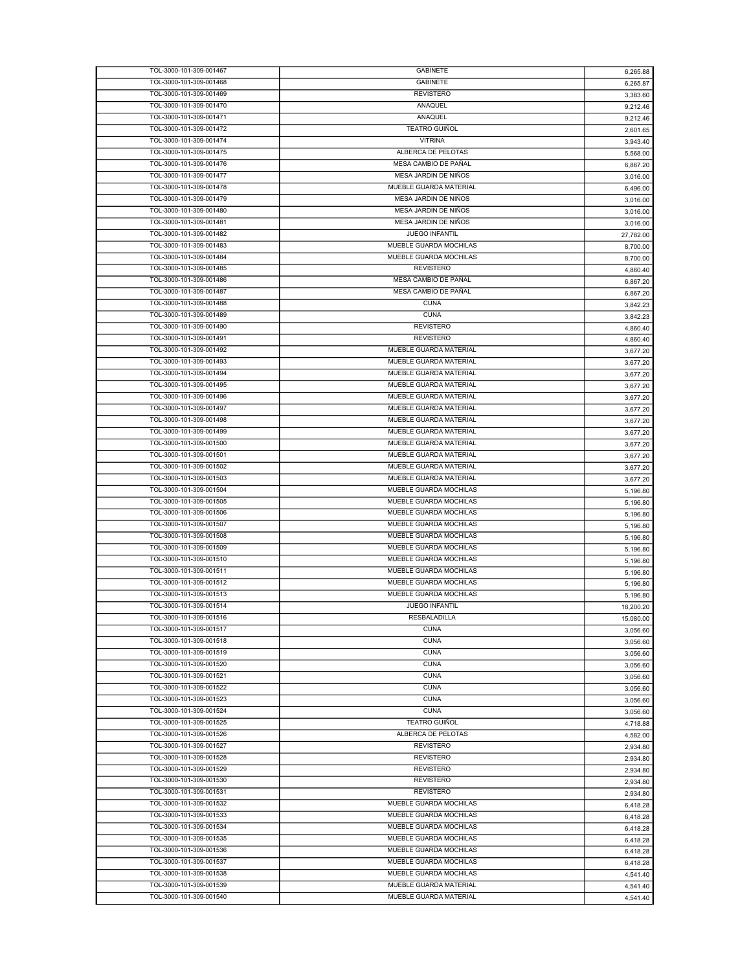| TOL-3000-101-309-001467 | <b>GABINETE</b>        | 6,265.88  |
|-------------------------|------------------------|-----------|
| TOL-3000-101-309-001468 | <b>GABINETE</b>        | 6,265.87  |
| TOL-3000-101-309-001469 | <b>REVISTERO</b>       | 3,383.60  |
| TOL-3000-101-309-001470 | <b>ANAQUEL</b>         | 9,212.46  |
| TOL-3000-101-309-001471 | ANAQUEL                | 9,212.46  |
| TOL-3000-101-309-001472 | <b>TEATRO GUIÑOL</b>   |           |
| TOL-3000-101-309-001474 | <b>VITRINA</b>         | 2,601.65  |
|                         |                        | 3.943.40  |
| TOL-3000-101-309-001475 | ALBERCA DE PELOTAS     | 5.568.00  |
| TOL-3000-101-309-001476 | MESA CAMBIO DE PAÑAL   | 6,867.20  |
| TOL-3000-101-309-001477 | MESA JARDIN DE NIÑOS   | 3,016.00  |
| TOL-3000-101-309-001478 | MUEBLE GUARDA MATERIAL | 6,496.00  |
| TOL-3000-101-309-001479 | MESA JARDIN DE NIÑOS   | 3,016.00  |
| TOL-3000-101-309-001480 | MESA JARDIN DE NIÑOS   | 3,016.00  |
| TOL-3000-101-309-001481 | MESA JARDIN DE NIÑOS   | 3,016.00  |
| TOL-3000-101-309-001482 | JUEGO INFANTIL         |           |
|                         |                        | 27,782.00 |
| TOL-3000-101-309-001483 | MUEBLE GUARDA MOCHILAS | 8,700.00  |
| TOL-3000-101-309-001484 | MUEBLE GUARDA MOCHILAS | 8,700.00  |
| TOL-3000-101-309-001485 | <b>REVISTERO</b>       | 4,860.40  |
| TOL-3000-101-309-001486 | MESA CAMBIO DE PAÑAL   | 6,867.20  |
| TOL-3000-101-309-001487 | MESA CAMBIO DE PAÑAL   | 6,867.20  |
| TOL-3000-101-309-001488 | <b>CUNA</b>            | 3,842.23  |
| TOL-3000-101-309-001489 | <b>CUNA</b>            |           |
| TOL-3000-101-309-001490 | <b>REVISTERO</b>       | 3,842.23  |
|                         |                        | 4,860.40  |
| TOL-3000-101-309-001491 | <b>REVISTERO</b>       | 4,860.40  |
| TOL-3000-101-309-001492 | MUEBLE GUARDA MATERIAL | 3,677.20  |
| TOL-3000-101-309-001493 | MUEBLE GUARDA MATERIAL | 3,677.20  |
| TOL-3000-101-309-001494 | MUEBLE GUARDA MATERIAL | 3,677.20  |
| TOL-3000-101-309-001495 | MUEBLE GUARDA MATERIAL | 3,677.20  |
| TOL-3000-101-309-001496 | MUEBLE GUARDA MATERIAL | 3,677.20  |
| TOL-3000-101-309-001497 | MUEBLE GUARDA MATERIAL | 3,677.20  |
| TOL-3000-101-309-001498 | MUEBLE GUARDA MATERIAL |           |
|                         |                        | 3,677.20  |
| TOL-3000-101-309-001499 | MUEBLE GUARDA MATERIAL | 3,677.20  |
| TOL-3000-101-309-001500 | MUEBLE GUARDA MATERIAL | 3,677.20  |
| TOL-3000-101-309-001501 | MUEBLE GUARDA MATERIAL | 3,677.20  |
| TOL-3000-101-309-001502 | MUEBLE GUARDA MATERIAL | 3,677.20  |
| TOL-3000-101-309-001503 | MUEBLE GUARDA MATERIAL | 3,677.20  |
| TOL-3000-101-309-001504 | MUEBLE GUARDA MOCHILAS | 5,196.80  |
| TOL-3000-101-309-001505 | MUEBLE GUARDA MOCHILAS | 5,196.80  |
| TOL-3000-101-309-001506 | MUEBLE GUARDA MOCHILAS |           |
|                         |                        | 5,196.80  |
| TOL-3000-101-309-001507 | MUEBLE GUARDA MOCHILAS | 5,196.80  |
| TOL-3000-101-309-001508 | MUEBLE GUARDA MOCHILAS | 5,196.80  |
| TOL-3000-101-309-001509 | MUEBLE GUARDA MOCHILAS | 5,196.80  |
| TOL-3000-101-309-001510 | MUEBLE GUARDA MOCHILAS | 5,196.80  |
| TOL-3000-101-309-001511 | MUEBLE GUARDA MOCHILAS | 5,196.80  |
| TOL-3000-101-309-001512 | MUEBLE GUARDA MOCHILAS | 5,196.80  |
| TOL-3000-101-309-001513 | MUEBLE GUARDA MOCHILAS | 5,196.80  |
| TOL-3000-101-309-001514 | <b>JUEGO INFANTIL</b>  | 18,200.20 |
| TOL-3000-101-309-001516 | RESBALADILLA           |           |
| TOL-3000-101-309-001517 |                        | 15,080.00 |
|                         | <b>CUNA</b>            | 3,056.60  |
| TOL-3000-101-309-001518 | <b>CUNA</b>            | 3,056.60  |
| TOL-3000-101-309-001519 | <b>CUNA</b>            | 3,056.60  |
| TOL-3000-101-309-001520 | <b>CUNA</b>            | 3,056.60  |
| TOL-3000-101-309-001521 | <b>CUNA</b>            | 3,056.60  |
| TOL-3000-101-309-001522 | <b>CUNA</b>            | 3,056.60  |
| TOL-3000-101-309-001523 | <b>CUNA</b>            | 3,056.60  |
| TOL-3000-101-309-001524 | <b>CUNA</b>            | 3,056.60  |
| TOL-3000-101-309-001525 | <b>TEATRO GUIÑOL</b>   |           |
|                         |                        | 4,718.88  |
| TOL-3000-101-309-001526 | ALBERCA DE PELOTAS     | 4,582.00  |
| TOL-3000-101-309-001527 | <b>REVISTERO</b>       | 2,934.80  |
| TOL-3000-101-309-001528 | <b>REVISTERO</b>       | 2,934.80  |
| TOL-3000-101-309-001529 | <b>REVISTERO</b>       | 2,934.80  |
| TOL-3000-101-309-001530 | <b>REVISTERO</b>       | 2,934.80  |
| TOL-3000-101-309-001531 | <b>REVISTERO</b>       | 2,934.80  |
| TOL-3000-101-309-001532 | MUEBLE GUARDA MOCHILAS | 6,418.28  |
| TOL-3000-101-309-001533 | MUEBLE GUARDA MOCHILAS |           |
|                         |                        | 6,418.28  |
| TOL-3000-101-309-001534 | MUEBLE GUARDA MOCHILAS | 6,418.28  |
| TOL-3000-101-309-001535 | MUEBLE GUARDA MOCHILAS | 6,418.28  |
| TOL-3000-101-309-001536 | MUEBLE GUARDA MOCHILAS | 6,418.28  |
| TOL-3000-101-309-001537 | MUEBLE GUARDA MOCHILAS | 6,418.28  |
| TOL-3000-101-309-001538 | MUEBLE GUARDA MOCHILAS | 4,541.40  |
| TOL-3000-101-309-001539 | MUEBLE GUARDA MATERIAL | 4,541.40  |
| TOL-3000-101-309-001540 | MUEBLE GUARDA MATERIAL | 4,541.40  |
|                         |                        |           |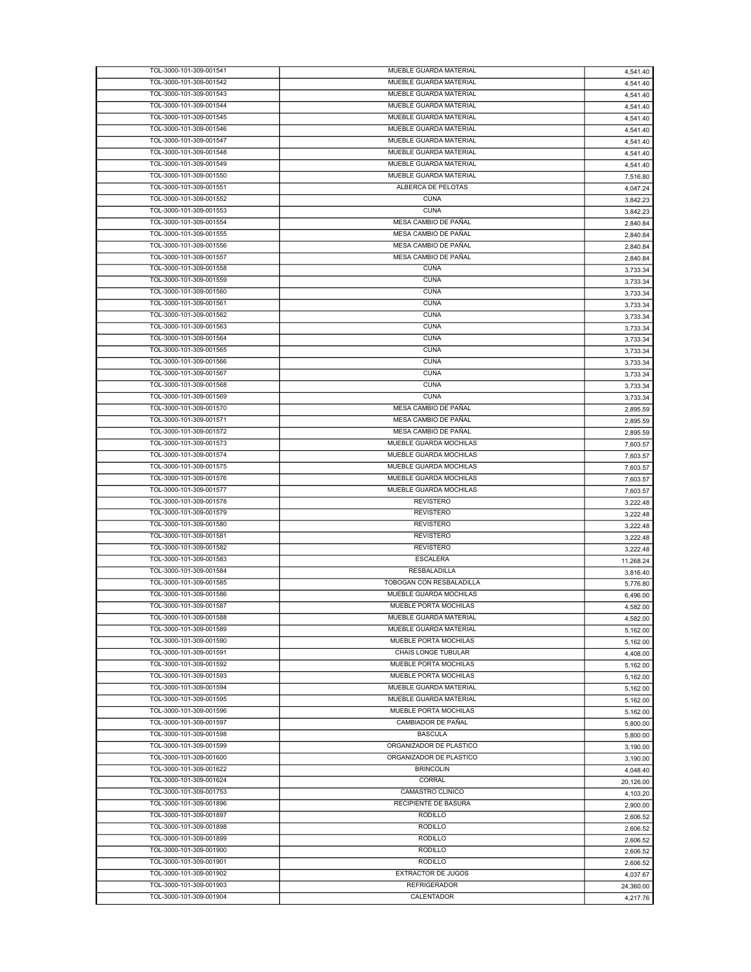| TOL-3000-101-309-001541                            | MUEBLE GUARDA MATERIAL            | 4,541.40  |
|----------------------------------------------------|-----------------------------------|-----------|
| TOL-3000-101-309-001542                            | MUEBLE GUARDA MATERIAL            | 4,541.40  |
| TOL-3000-101-309-001543                            | MUEBLE GUARDA MATERIAL            | 4,541.40  |
| TOL-3000-101-309-001544                            | MUEBLE GUARDA MATERIAL            | 4,541.40  |
| TOL-3000-101-309-001545                            | MUEBLE GUARDA MATERIAL            | 4,541.40  |
| TOL-3000-101-309-001546                            | MUEBLE GUARDA MATERIAL            |           |
| TOL-3000-101-309-001547                            | MUEBLE GUARDA MATERIAL            | 4,541.40  |
|                                                    |                                   | 4,541.40  |
| TOL-3000-101-309-001548                            | MUEBLE GUARDA MATERIAL            | 4,541.40  |
| TOL-3000-101-309-001549                            | MUEBLE GUARDA MATERIAL            | 4,541.40  |
| TOL-3000-101-309-001550                            | MUEBLE GUARDA MATERIAL            | 7,516.80  |
| TOL-3000-101-309-001551                            | ALBERCA DE PELOTAS                | 4,047.24  |
| TOL-3000-101-309-001552                            | <b>CUNA</b>                       | 3,842.23  |
| TOL-3000-101-309-001553                            | <b>CUNA</b>                       | 3,842.23  |
| TOL-3000-101-309-001554                            | MESA CAMBIO DE PAÑAL              | 2,840.84  |
| TOL-3000-101-309-001555                            | MESA CAMBIO DE PAÑAL              |           |
|                                                    |                                   | 2,840.84  |
| TOL-3000-101-309-001556                            | MESA CAMBIO DE PAÑAL              | 2,840.84  |
| TOL-3000-101-309-001557                            | MESA CAMBIO DE PAÑAL              | 2,840.84  |
| TOL-3000-101-309-001558                            | <b>CUNA</b>                       | 3,733.34  |
| TOL-3000-101-309-001559                            | <b>CUNA</b>                       | 3,733.34  |
| TOL-3000-101-309-001560                            | <b>CUNA</b>                       | 3,733.34  |
| TOL-3000-101-309-001561                            | <b>CUNA</b>                       | 3,733.34  |
| TOL-3000-101-309-001562                            | <b>CUNA</b>                       | 3,733.34  |
| TOL-3000-101-309-001563                            | <b>CUNA</b>                       |           |
|                                                    |                                   | 3,733.34  |
| TOL-3000-101-309-001564                            | <b>CUNA</b>                       | 3,733.34  |
| TOL-3000-101-309-001565                            | <b>CUNA</b>                       | 3,733.34  |
| TOL-3000-101-309-001566                            | <b>CUNA</b>                       | 3,733.34  |
| TOL-3000-101-309-001567                            | <b>CUNA</b>                       | 3,733.34  |
| TOL-3000-101-309-001568                            | <b>CUNA</b>                       | 3,733.34  |
| TOL-3000-101-309-001569                            | <b>CUNA</b>                       | 3,733.34  |
| TOL-3000-101-309-001570                            | MESA CAMBIO DE PAÑAL              |           |
| TOL-3000-101-309-001571                            | MESA CAMBIO DE PAÑAL              | 2,895.59  |
|                                                    |                                   | 2,895.59  |
| TOL-3000-101-309-001572                            | MESA CAMBIO DE PAÑAL              | 2,895.59  |
| TOL-3000-101-309-001573                            | MUEBLE GUARDA MOCHILAS            | 7,603.57  |
| TOL-3000-101-309-001574                            | MUEBLE GUARDA MOCHILAS            | 7,603.57  |
| TOL-3000-101-309-001575                            | MUEBLE GUARDA MOCHILAS            | 7,603.57  |
| TOL-3000-101-309-001576                            | MUEBLE GUARDA MOCHILAS            | 7,603.57  |
| TOL-3000-101-309-001577                            | MUEBLE GUARDA MOCHILAS            | 7,603.57  |
| TOL-3000-101-309-001578                            | <b>REVISTERO</b>                  |           |
|                                                    |                                   | 3,222.48  |
| TOL-3000-101-309-001579                            | <b>REVISTERO</b>                  | 3,222.48  |
| TOL-3000-101-309-001580                            | <b>REVISTERO</b>                  | 3,222.48  |
| TOL-3000-101-309-001581                            | <b>REVISTERO</b>                  | 3,222.48  |
| TOL-3000-101-309-001582                            | <b>REVISTERO</b>                  | 3,222.48  |
| TOL-3000-101-309-001583                            | <b>ESCALERA</b>                   | 11,268.24 |
| TOL-3000-101-309-001584                            | <b>RESBALADILLA</b>               | 3,816.40  |
| TOL-3000-101-309-001585                            | TOBOGAN CON RESBALADILLA          | 5,776.80  |
| TOL-3000-101-309-001586                            | MUEBLE GUARDA MOCHILAS            |           |
|                                                    |                                   | 6,496.00  |
| TOL-3000-101-309-001587                            | MUEBLE PORTA MOCHILAS             | 4,582.00  |
| TOL-3000-101-309-001588                            | MUEBLE GUARDA MATERIAL            | 4,582.00  |
| TOL-3000-101-309-001589                            | MUEBLE GUARDA MATERIAL            | 5.162.00  |
| TOL-3000-101-309-001590                            | MUEBLE PORTA MOCHILAS             | 5,162.00  |
| TOL-3000-101-309-001591                            | CHAIS LONGE TUBULAR               | 4,408.00  |
| TOL-3000-101-309-001592                            | MUEBLE PORTA MOCHILAS             | 5,162.00  |
| TOL-3000-101-309-001593                            | MUEBLE PORTA MOCHILAS             | 5,162.00  |
| TOL-3000-101-309-001594                            | MUEBLE GUARDA MATERIAL            |           |
|                                                    | MUEBLE GUARDA MATERIAL            | 5,162.00  |
| TOL-3000-101-309-001595                            |                                   | 5,162.00  |
| TOL-3000-101-309-001596                            | MUEBLE PORTA MOCHILAS             | 5,162.00  |
| TOL-3000-101-309-001597                            | CAMBIADOR DE PAÑAL                | 5,800.00  |
| TOL-3000-101-309-001598                            | <b>BASCULA</b>                    | 5,800.00  |
| TOL-3000-101-309-001599                            | ORGANIZADOR DE PLASTICO           | 3,190.00  |
| TOL-3000-101-309-001600                            | ORGANIZADOR DE PLASTICO           | 3,190.00  |
| TOL-3000-101-309-001622                            | <b>BRINCOLIN</b>                  | 4,048.40  |
| TOL-3000-101-309-001624                            | CORRAL                            |           |
|                                                    |                                   | 20,126.00 |
| TOL-3000-101-309-001753                            | CAMASTRO CLINICO                  | 4,103.20  |
| TOL-3000-101-309-001896                            | RECIPIENTE DE BASURA              | 2,900.00  |
| TOL-3000-101-309-001897                            | <b>RODILLO</b>                    | 2,606.52  |
| TOL-3000-101-309-001898                            | <b>RODILLO</b>                    | 2,606.52  |
| TOL-3000-101-309-001899                            | <b>RODILLO</b>                    | 2,606.52  |
| TOL-3000-101-309-001900                            | <b>RODILLO</b>                    | 2,606.52  |
| TOL-3000-101-309-001901                            | <b>RODILLO</b>                    |           |
| TOL-3000-101-309-001902                            | <b>EXTRACTOR DE JUGOS</b>         | 2,606.52  |
|                                                    |                                   | 4,037.67  |
|                                                    |                                   |           |
| TOL-3000-101-309-001903<br>TOL-3000-101-309-001904 | <b>REFRIGERADOR</b><br>CALENTADOR | 24,360.00 |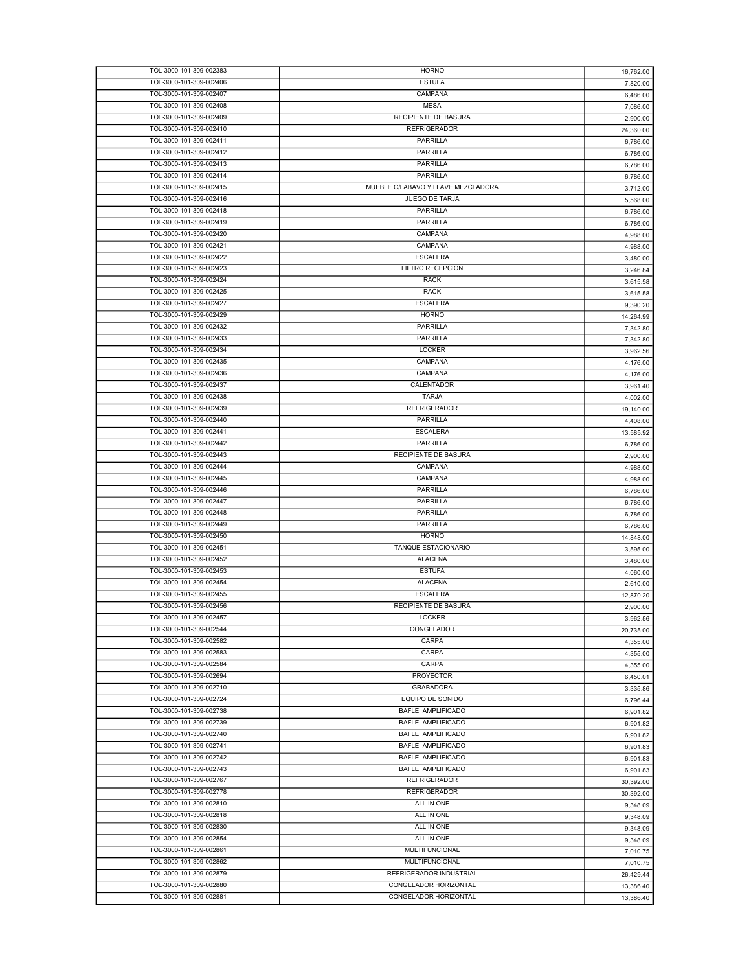| TOL-3000-101-309-002383 | <b>HORNO</b>                       | 16,762.00 |
|-------------------------|------------------------------------|-----------|
| TOL-3000-101-309-002406 | <b>ESTUFA</b>                      | 7,820.00  |
| TOL-3000-101-309-002407 | CAMPANA                            | 6,486.00  |
|                         |                                    |           |
| TOL-3000-101-309-002408 | <b>MESA</b>                        | 7,086.00  |
| TOL-3000-101-309-002409 | RECIPIENTE DE BASURA               | 2,900.00  |
| TOL-3000-101-309-002410 | <b>REFRIGERADOR</b>                | 24,360.00 |
| TOL-3000-101-309-002411 | PARRILLA                           | 6,786.00  |
| TOL-3000-101-309-002412 | <b>PARRILLA</b>                    | 6,786.00  |
| TOL-3000-101-309-002413 | PARRILLA                           |           |
|                         | PARRILLA                           | 6,786.00  |
| TOL-3000-101-309-002414 |                                    | 6,786.00  |
| TOL-3000-101-309-002415 | MUEBLE C/LABAVO Y LLAVE MEZCLADORA | 3,712.00  |
| TOL-3000-101-309-002416 | JUEGO DE TARJA                     | 5,568.00  |
| TOL-3000-101-309-002418 | PARRILLA                           | 6,786.00  |
| TOL-3000-101-309-002419 | PARRILLA                           | 6,786.00  |
| TOL-3000-101-309-002420 | CAMPANA                            |           |
|                         |                                    | 4,988.00  |
| TOL-3000-101-309-002421 | CAMPANA                            | 4,988.00  |
| TOL-3000-101-309-002422 | <b>ESCALERA</b>                    | 3,480.00  |
| TOL-3000-101-309-002423 | FILTRO RECEPCION                   | 3,246.84  |
| TOL-3000-101-309-002424 | <b>RACK</b>                        | 3,615.58  |
| TOL-3000-101-309-002425 | <b>RACK</b>                        |           |
|                         |                                    | 3,615.58  |
| TOL-3000-101-309-002427 | <b>ESCALERA</b>                    | 9,390.20  |
| TOL-3000-101-309-002429 | <b>HORNO</b>                       | 14,264.99 |
| TOL-3000-101-309-002432 | PARRILLA                           | 7,342.80  |
| TOL-3000-101-309-002433 | PARRILLA                           | 7,342.80  |
| TOL-3000-101-309-002434 | <b>LOCKER</b>                      | 3,962.56  |
| TOL-3000-101-309-002435 | CAMPANA                            |           |
|                         |                                    | 4,176.00  |
| TOL-3000-101-309-002436 | CAMPANA                            | 4.176.00  |
| TOL-3000-101-309-002437 | CALENTADOR                         | 3,961.40  |
| TOL-3000-101-309-002438 | <b>TARJA</b>                       | 4,002.00  |
| TOL-3000-101-309-002439 | <b>REFRIGERADOR</b>                | 19,140.00 |
| TOL-3000-101-309-002440 | PARRILLA                           |           |
|                         |                                    | 4,408.00  |
| TOL-3000-101-309-002441 | <b>ESCALERA</b>                    | 13,585.92 |
| TOL-3000-101-309-002442 | PARRILLA                           | 6,786.00  |
| TOL-3000-101-309-002443 | RECIPIENTE DE BASURA               | 2,900.00  |
| TOL-3000-101-309-002444 | CAMPANA                            | 4,988.00  |
| TOL-3000-101-309-002445 | CAMPANA                            | 4,988.00  |
| TOL-3000-101-309-002446 | PARRILLA                           |           |
|                         |                                    | 6,786.00  |
| TOL-3000-101-309-002447 | PARRILLA                           | 6,786.00  |
| TOL-3000-101-309-002448 | PARRILLA                           | 6,786.00  |
| TOL-3000-101-309-002449 | PARRILLA                           | 6,786.00  |
| TOL-3000-101-309-002450 | <b>HORNO</b>                       | 14,848.00 |
| TOL-3000-101-309-002451 | TANQUE ESTACIONARIO                | 3,595.00  |
|                         |                                    |           |
| TOL-3000-101-309-002452 | <b>ALACENA</b>                     | 3,480.00  |
| TOL-3000-101-309-002453 | <b>ESTUFA</b>                      | 4,060.00  |
| TOL-3000-101-309-002454 | <b>ALACENA</b>                     | 2,610.00  |
| TOL-3000-101-309-002455 | <b>ESCALERA</b>                    | 12,870.20 |
| TOL-3000-101-309-002456 | RECIPIENTE DE BASURA               | 2,900.00  |
| TOL-3000-101-309-002457 | LOCKER                             |           |
|                         |                                    | 3,962.56  |
| TOL-3000-101-309-002544 | CONGELADOR                         | 20,735.00 |
| TOL-3000-101-309-002582 | CARPA                              | 4,355.00  |
| TOL-3000-101-309-002583 | CARPA                              | 4,355.00  |
| TOL-3000-101-309-002584 | CARPA                              | 4,355.00  |
| TOL-3000-101-309-002694 | PROYECTOR                          |           |
|                         |                                    | 6,450.01  |
| TOL-3000-101-309-002710 | <b>GRABADORA</b>                   | 3,335.86  |
| TOL-3000-101-309-002724 | EQUIPO DE SONIDO                   | 6,796.44  |
| TOL-3000-101-309-002738 | BAFLE AMPLIFICADO                  | 6,901.82  |
| TOL-3000-101-309-002739 | <b>BAFLE AMPLIFICADO</b>           | 6,901.82  |
| TOL-3000-101-309-002740 | <b>BAFLE AMPLIFICADO</b>           | 6,901.82  |
| TOL-3000-101-309-002741 | BAFLE AMPLIFICADO                  |           |
|                         |                                    | 6,901.83  |
| TOL-3000-101-309-002742 | <b>BAFLE AMPLIFICADO</b>           | 6,901.83  |
| TOL-3000-101-309-002743 | <b>BAFLE AMPLIFICADO</b>           | 6,901.83  |
| TOL-3000-101-309-002767 | <b>REFRIGERADOR</b>                | 30,392.00 |
| TOL-3000-101-309-002778 | <b>REFRIGERADOR</b>                | 30,392.00 |
| TOL-3000-101-309-002810 | ALL IN ONE                         |           |
|                         |                                    | 9,348.09  |
| TOL-3000-101-309-002818 | ALL IN ONE                         | 9,348.09  |
| TOL-3000-101-309-002830 | ALL IN ONE                         | 9,348.09  |
| TOL-3000-101-309-002854 | ALL IN ONE                         | 9,348.09  |
| TOL-3000-101-309-002861 | <b>MULTIFUNCIONAL</b>              | 7,010.75  |
| TOL-3000-101-309-002862 | MULTIFUNCIONAL                     |           |
|                         |                                    | 7,010.75  |
| TOL-3000-101-309-002879 | REFRIGERADOR INDUSTRIAL            | 26,429.44 |
| TOL-3000-101-309-002880 | CONGELADOR HORIZONTAL              | 13,386.40 |
| TOL-3000-101-309-002881 | CONGELADOR HORIZONTAL              | 13,386.40 |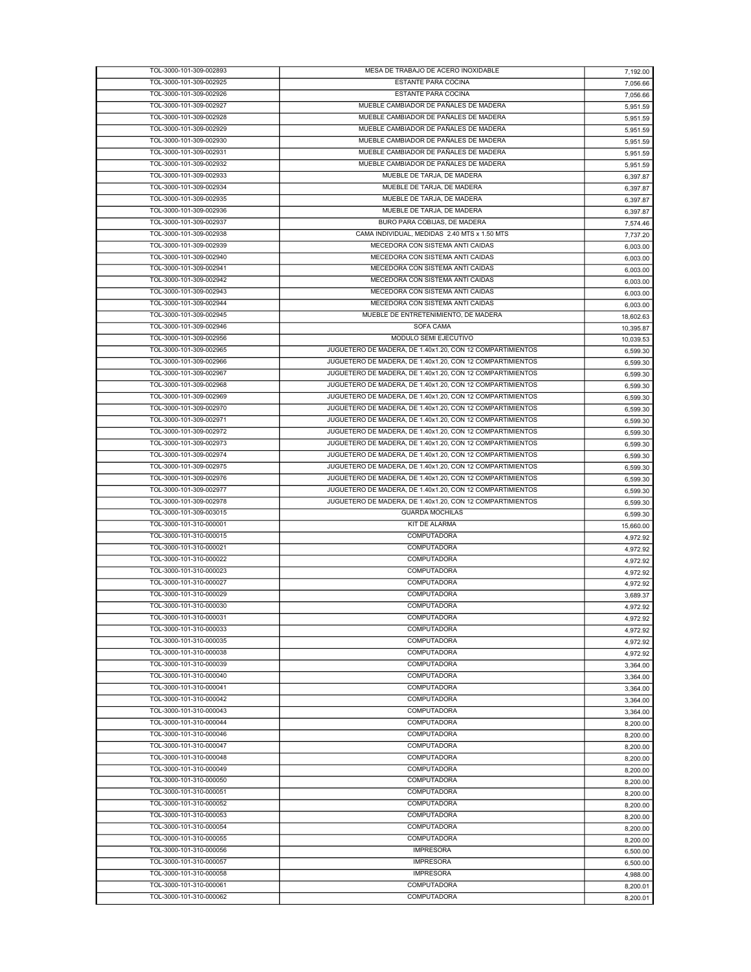| TOL-3000-101-309-002893 | MESA DE TRABAJO DE ACERO INOXIDABLE                       | 7,192.00  |
|-------------------------|-----------------------------------------------------------|-----------|
| TOL-3000-101-309-002925 | <b>ESTANTE PARA COCINA</b>                                | 7,056.66  |
| TOL-3000-101-309-002926 | <b>ESTANTE PARA COCINA</b>                                | 7,056.66  |
| TOL-3000-101-309-002927 | MUEBLE CAMBIADOR DE PAÑALES DE MADERA                     | 5,951.59  |
| TOL-3000-101-309-002928 | MUEBLE CAMBIADOR DE PAÑALES DE MADERA                     | 5,951.59  |
| TOL-3000-101-309-002929 | MUEBLE CAMBIADOR DE PAÑALES DE MADERA                     |           |
| TOL-3000-101-309-002930 | MUEBLE CAMBIADOR DE PAÑALES DE MADERA                     | 5,951.59  |
|                         |                                                           | 5,951.59  |
| TOL-3000-101-309-002931 | MUEBLE CAMBIADOR DE PAÑALES DE MADERA                     | 5,951.59  |
| TOL-3000-101-309-002932 | MUEBLE CAMBIADOR DE PAÑALES DE MADERA                     | 5,951.59  |
| TOL-3000-101-309-002933 | MUEBLE DE TARJA, DE MADERA                                | 6,397.87  |
| TOL-3000-101-309-002934 | MUEBLE DE TARJA, DE MADERA                                | 6,397.87  |
| TOL-3000-101-309-002935 | MUEBLE DE TARJA, DE MADERA                                | 6,397.87  |
| TOL-3000-101-309-002936 | MUEBLE DE TARJA, DE MADERA                                | 6,397.87  |
| TOL-3000-101-309-002937 | BURO PARA COBIJAS, DE MADERA                              |           |
|                         |                                                           | 7,574.46  |
| TOL-3000-101-309-002938 | CAMA INDIVIDUAL, MEDIDAS 2.40 MTS x 1.50 MTS              | 7,737.20  |
| TOL-3000-101-309-002939 | MECEDORA CON SISTEMA ANTI CAIDAS                          | 6,003.00  |
| TOL-3000-101-309-002940 | MECEDORA CON SISTEMA ANTI CAIDAS                          | 6,003.00  |
| TOL-3000-101-309-002941 | MECEDORA CON SISTEMA ANTI CAIDAS                          | 6,003.00  |
| TOL-3000-101-309-002942 | MECEDORA CON SISTEMA ANTI CAIDAS                          | 6,003.00  |
| TOL-3000-101-309-002943 | MECEDORA CON SISTEMA ANTI CAIDAS                          | 6,003.00  |
| TOL-3000-101-309-002944 | MECEDORA CON SISTEMA ANTI CAIDAS                          |           |
|                         |                                                           | 6,003.00  |
| TOL-3000-101-309-002945 | MUEBLE DE ENTRETENIMIENTO, DE MADERA                      | 18,602.63 |
| TOL-3000-101-309-002946 | SOFA CAMA                                                 | 10,395.87 |
| TOL-3000-101-309-002956 | MODULO SEMI EJECUTIVO                                     | 10,039.53 |
| TOL-3000-101-309-002965 | JUGUETERO DE MADERA, DE 1.40x1.20, CON 12 COMPARTIMIENTOS | 6,599.30  |
| TOL-3000-101-309-002966 | JUGUETERO DE MADERA, DE 1.40x1.20, CON 12 COMPARTIMIENTOS | 6,599.30  |
| TOL-3000-101-309-002967 | JUGUETERO DE MADERA, DE 1.40x1.20, CON 12 COMPARTIMIENTOS | 6,599.30  |
| TOL-3000-101-309-002968 | JUGUETERO DE MADERA, DE 1.40x1.20, CON 12 COMPARTIMIENTOS | 6,599.30  |
|                         |                                                           |           |
| TOL-3000-101-309-002969 | JUGUETERO DE MADERA, DE 1.40x1.20, CON 12 COMPARTIMIENTOS | 6,599.30  |
| TOL-3000-101-309-002970 | JUGUETERO DE MADERA, DE 1.40x1.20, CON 12 COMPARTIMIENTOS | 6,599.30  |
| TOL-3000-101-309-002971 | JUGUETERO DE MADERA, DE 1.40x1.20, CON 12 COMPARTIMIENTOS | 6,599.30  |
| TOL-3000-101-309-002972 | JUGUETERO DE MADERA, DE 1.40x1.20, CON 12 COMPARTIMIENTOS | 6,599.30  |
| TOL-3000-101-309-002973 | JUGUETERO DE MADERA, DE 1.40x1.20, CON 12 COMPARTIMIENTOS | 6,599.30  |
| TOL-3000-101-309-002974 | JUGUETERO DE MADERA, DE 1.40x1.20, CON 12 COMPARTIMIENTOS | 6,599.30  |
| TOL-3000-101-309-002975 | JUGUETERO DE MADERA, DE 1.40x1.20, CON 12 COMPARTIMIENTOS | 6,599.30  |
|                         |                                                           |           |
| TOL-3000-101-309-002976 | JUGUETERO DE MADERA, DE 1.40x1.20, CON 12 COMPARTIMIENTOS | 6,599.30  |
|                         |                                                           |           |
| TOL-3000-101-309-002977 | JUGUETERO DE MADERA, DE 1.40x1.20, CON 12 COMPARTIMIENTOS | 6,599.30  |
| TOL-3000-101-309-002978 | JUGUETERO DE MADERA, DE 1.40x1.20, CON 12 COMPARTIMIENTOS | 6,599.30  |
| TOL-3000-101-309-003015 | <b>GUARDA MOCHILAS</b>                                    | 6,599.30  |
| TOL-3000-101-310-000001 | KIT DE ALARMA                                             | 15,660.00 |
| TOL-3000-101-310-000015 | COMPUTADORA                                               |           |
|                         |                                                           | 4,972.92  |
| TOL-3000-101-310-000021 | COMPUTADORA                                               | 4,972.92  |
| TOL-3000-101-310-000022 | <b>COMPUTADORA</b>                                        | 4,972.92  |
| TOL-3000-101-310-000023 | COMPUTADORA                                               | 4,972.92  |
| TOL-3000-101-310-000027 | <b>COMPUTADORA</b>                                        | 4,972.92  |
| TOL-3000-101-310-000029 | COMPUTADORA                                               | 3,689.37  |
| TOL-3000-101-310-000030 | COMPUTADORA                                               | 4,972.92  |
| TOL-3000-101-310-000031 | COMPUTADORA                                               |           |
| TOL-3000-101-310-000033 | <b>COMPUTADORA</b>                                        | 4,972.92  |
| TOL-3000-101-310-000035 | <b>COMPUTADORA</b>                                        | 4,972.92  |
|                         |                                                           | 4,972.92  |
| TOL-3000-101-310-000038 | COMPUTADORA                                               | 4,972.92  |
| TOL-3000-101-310-000039 | COMPUTADORA                                               | 3,364.00  |
| TOL-3000-101-310-000040 | <b>COMPUTADORA</b>                                        | 3,364.00  |
| TOL-3000-101-310-000041 | COMPUTADORA                                               | 3,364.00  |
| TOL-3000-101-310-000042 | <b>COMPUTADORA</b>                                        | 3,364.00  |
| TOL-3000-101-310-000043 | <b>COMPUTADORA</b>                                        |           |
| TOL-3000-101-310-000044 | <b>COMPUTADORA</b>                                        | 3,364.00  |
|                         |                                                           | 8,200.00  |
| TOL-3000-101-310-000046 | <b>COMPUTADORA</b>                                        | 8,200.00  |
| TOL-3000-101-310-000047 | <b>COMPUTADORA</b>                                        | 8,200.00  |
| TOL-3000-101-310-000048 | <b>COMPUTADORA</b>                                        | 8,200.00  |
| TOL-3000-101-310-000049 | <b>COMPUTADORA</b>                                        | 8,200.00  |
| TOL-3000-101-310-000050 | <b>COMPUTADORA</b>                                        | 8,200.00  |
| TOL-3000-101-310-000051 | <b>COMPUTADORA</b>                                        | 8,200.00  |
| TOL-3000-101-310-000052 | <b>COMPUTADORA</b>                                        | 8,200.00  |
| TOL-3000-101-310-000053 | <b>COMPUTADORA</b>                                        |           |
|                         |                                                           | 8,200.00  |
| TOL-3000-101-310-000054 | <b>COMPUTADORA</b>                                        | 8,200.00  |
| TOL-3000-101-310-000055 | COMPUTADORA                                               | 8,200.00  |
| TOL-3000-101-310-000056 | <b>IMPRESORA</b>                                          | 6,500.00  |
| TOL-3000-101-310-000057 | <b>IMPRESORA</b>                                          | 6,500.00  |
| TOL-3000-101-310-000058 | <b>IMPRESORA</b>                                          | 4,988.00  |
| TOL-3000-101-310-000061 | <b>COMPUTADORA</b>                                        | 8,200.01  |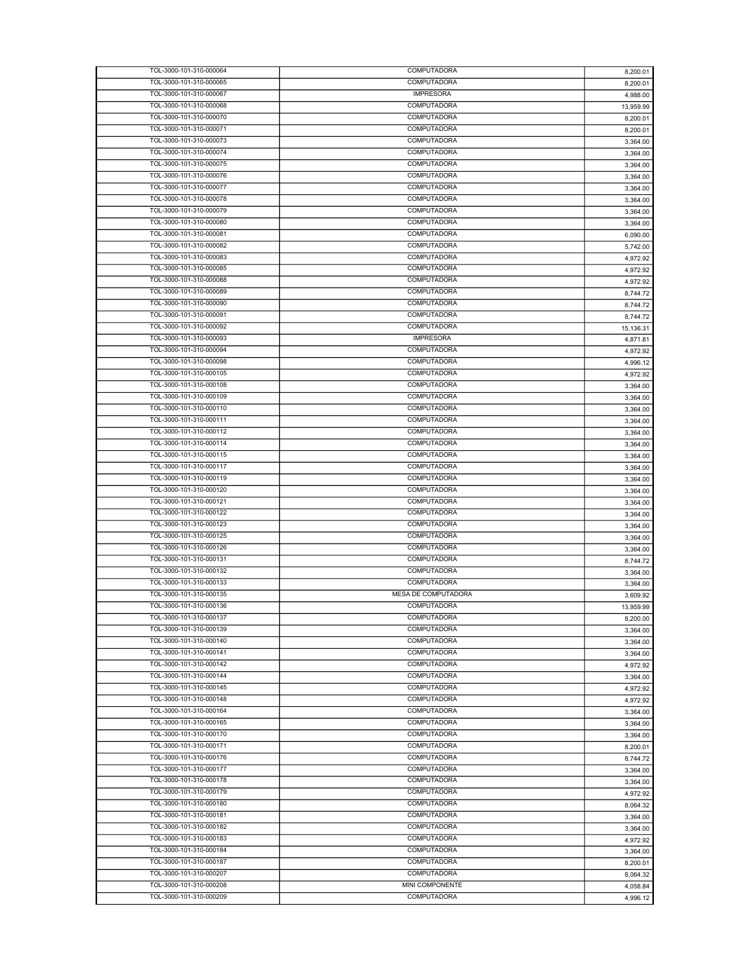| TOL-3000-101-310-000064                            | COMPUTADORA                    | 8,200.01  |
|----------------------------------------------------|--------------------------------|-----------|
| TOL-3000-101-310-000065                            | COMPUTADORA                    | 8,200.01  |
| TOL-3000-101-310-000067                            | <b>IMPRESORA</b>               | 4,988.00  |
| TOL-3000-101-310-000068                            | <b>COMPUTADORA</b>             | 13,959.99 |
| TOL-3000-101-310-000070                            | <b>COMPUTADORA</b>             | 8,200.01  |
| TOL-3000-101-310-000071                            | COMPUTADORA                    |           |
|                                                    |                                | 8,200.01  |
| TOL-3000-101-310-000073                            | COMPUTADORA                    | 3,364.00  |
| TOL-3000-101-310-000074                            | COMPUTADORA                    | 3,364.00  |
| TOL-3000-101-310-000075                            | COMPUTADORA                    | 3,364.00  |
| TOL-3000-101-310-000076                            | COMPUTADORA                    | 3,364.00  |
| TOL-3000-101-310-000077                            | COMPUTADORA                    | 3,364.00  |
| TOL-3000-101-310-000078                            | COMPUTADORA                    | 3,364.00  |
| TOL-3000-101-310-000079                            | COMPUTADORA                    | 3,364.00  |
| TOL-3000-101-310-000080                            | COMPUTADORA                    | 3,364.00  |
| TOL-3000-101-310-000081                            | COMPUTADORA                    |           |
|                                                    |                                | 6,090.00  |
| TOL-3000-101-310-000082                            | COMPUTADORA                    | 5,742.00  |
| TOL-3000-101-310-000083                            | COMPUTADORA                    | 4,972.92  |
| TOL-3000-101-310-000085                            | <b>COMPUTADORA</b>             | 4,972.92  |
| TOL-3000-101-310-000088                            | COMPUTADORA                    | 4,972.92  |
| TOL-3000-101-310-000089                            | COMPUTADORA                    | 8,744.72  |
| TOL-3000-101-310-000090                            | COMPUTADORA                    | 8,744.72  |
| TOL-3000-101-310-000091                            | COMPUTADORA                    | 8,744.72  |
| TOL-3000-101-310-000092                            | COMPUTADORA                    |           |
|                                                    |                                | 15,136.31 |
| TOL-3000-101-310-000093                            | <b>IMPRESORA</b>               | 4,871.81  |
| TOL-3000-101-310-000094                            | <b>COMPUTADORA</b>             | 4,972.92  |
| TOL-3000-101-310-000098                            | COMPUTADORA                    | 4,996.12  |
| TOL-3000-101-310-000105                            | COMPUTADORA                    | 4,972.92  |
| TOL-3000-101-310-000108                            | COMPUTADORA                    | 3,364.00  |
| TOL-3000-101-310-000109                            | COMPUTADORA                    | 3,364.00  |
| TOL-3000-101-310-000110                            | COMPUTADORA                    | 3,364.00  |
| TOL-3000-101-310-000111                            | COMPUTADORA                    | 3,364.00  |
| TOL-3000-101-310-000112                            | <b>COMPUTADORA</b>             |           |
|                                                    |                                | 3,364.00  |
| TOL-3000-101-310-000114                            | COMPUTADORA                    | 3,364.00  |
| TOL-3000-101-310-000115                            | <b>COMPUTADORA</b>             | 3,364.00  |
| TOL-3000-101-310-000117                            | COMPUTADORA                    | 3,364.00  |
|                                                    |                                |           |
| TOL-3000-101-310-000119                            | COMPUTADORA                    | 3,364.00  |
| TOL-3000-101-310-000120                            | COMPUTADORA                    | 3,364.00  |
| TOL-3000-101-310-000121                            | COMPUTADORA                    |           |
| TOL-3000-101-310-000122                            | <b>COMPUTADORA</b>             | 3,364.00  |
|                                                    |                                | 3,364.00  |
| TOL-3000-101-310-000123                            | COMPUTADORA                    | 3,364.00  |
| TOL-3000-101-310-000125                            | COMPUTADORA                    | 3,364.00  |
| TOL-3000-101-310-000126                            | COMPUTADORA                    | 3,364.00  |
| TOL-3000-101-310-000131                            | <b>COMPUTADORA</b>             | 8,744.72  |
| TOL-3000-101-310-000132                            | COMPUTADORA                    | 3,364.00  |
| TOL-3000-101-310-000133                            | COMPUTADORA                    | 3,364.00  |
| TOL-3000-101-310-000135                            | MESA DE COMPUTADORA            | 3,609.92  |
| TOL-3000-101-310-000136                            | COMPUTADORA                    | 13,959.99 |
|                                                    | COMPUTADORA                    |           |
| TOL-3000-101-310-000137                            |                                | 8,200.00  |
| TOL-3000-101-310-000139                            | COMPUTADORA                    | 3,364.00  |
| TOL-3000-101-310-000140                            | COMPUTADORA                    | 3,364.00  |
| TOL-3000-101-310-000141                            | <b>COMPUTADORA</b>             | 3,364.00  |
| TOL-3000-101-310-000142                            | COMPUTADORA                    | 4,972.92  |
| TOL-3000-101-310-000144                            | COMPUTADORA                    | 3,364.00  |
| TOL-3000-101-310-000145                            | COMPUTADORA                    | 4,972.92  |
| TOL-3000-101-310-000148                            | COMPUTADORA                    | 4,972.92  |
| TOL-3000-101-310-000164                            | COMPUTADORA                    | 3,364.00  |
| TOL-3000-101-310-000165                            | <b>COMPUTADORA</b>             | 3,364.00  |
|                                                    | <b>COMPUTADORA</b>             |           |
| TOL-3000-101-310-000170                            |                                | 3,364.00  |
| TOL-3000-101-310-000171                            | COMPUTADORA                    | 8,200.01  |
| TOL-3000-101-310-000176                            | <b>COMPUTADORA</b>             | 8,744.72  |
| TOL-3000-101-310-000177                            | <b>COMPUTADORA</b>             | 3,364.00  |
| TOL-3000-101-310-000178                            | COMPUTADORA                    | 3,364.00  |
| TOL-3000-101-310-000179                            | <b>COMPUTADORA</b>             | 4,972.92  |
| TOL-3000-101-310-000180                            | <b>COMPUTADORA</b>             | 8,064.32  |
| TOL-3000-101-310-000181                            | COMPUTADORA                    | 3,364.00  |
| TOL-3000-101-310-000182                            | <b>COMPUTADORA</b>             |           |
| TOL-3000-101-310-000183                            | COMPUTADORA                    | 3,364.00  |
|                                                    |                                | 4,972.92  |
| TOL-3000-101-310-000184                            | <b>COMPUTADORA</b>             | 3,364.00  |
| TOL-3000-101-310-000187                            | <b>COMPUTADORA</b>             | 8,200.01  |
| TOL-3000-101-310-000207                            | COMPUTADORA                    | 8,064.32  |
| TOL-3000-101-310-000208<br>TOL-3000-101-310-000209 | MINI COMPONENTE<br>COMPUTADORA | 4,058.84  |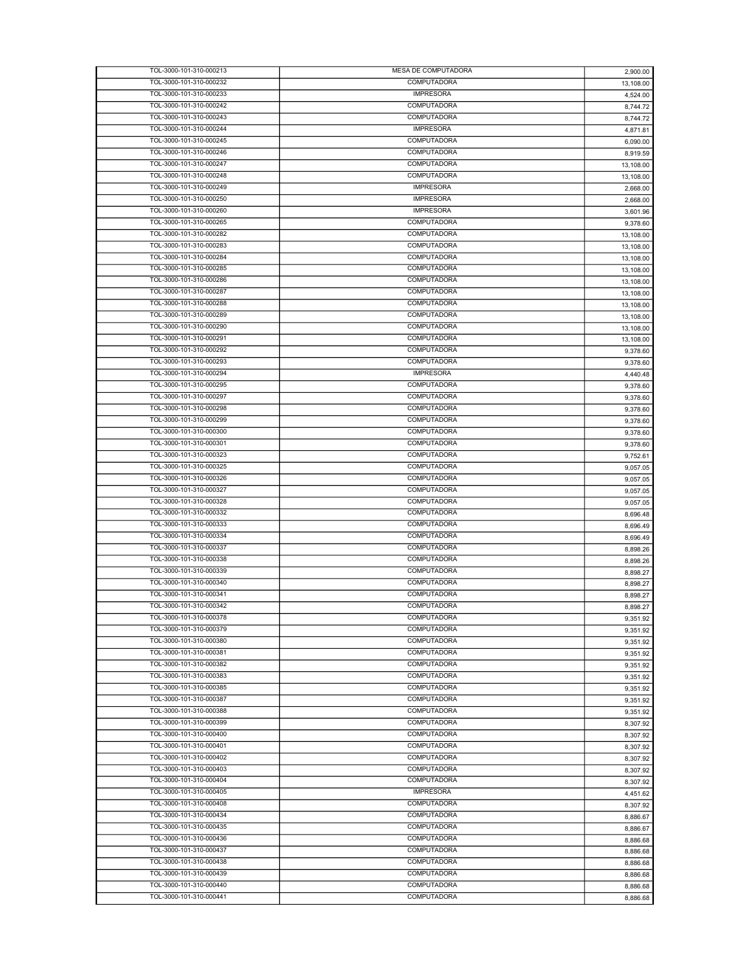| TOL-3000-101-310-000213 | MESA DE COMPUTADORA | 2,900.00  |
|-------------------------|---------------------|-----------|
| TOL-3000-101-310-000232 | COMPUTADORA         | 13,108.00 |
| TOL-3000-101-310-000233 | <b>IMPRESORA</b>    | 4,524.00  |
| TOL-3000-101-310-000242 | COMPUTADORA         |           |
|                         |                     | 8,744.72  |
| TOL-3000-101-310-000243 | COMPUTADORA         | 8,744.72  |
| TOL-3000-101-310-000244 | <b>IMPRESORA</b>    | 4,871.81  |
| TOL-3000-101-310-000245 | COMPUTADORA         | 6,090.00  |
| TOL-3000-101-310-000246 | COMPUTADORA         | 8,919.59  |
| TOL-3000-101-310-000247 | COMPUTADORA         | 13,108.00 |
| TOL-3000-101-310-000248 | COMPUTADORA         |           |
|                         |                     | 13,108.00 |
| TOL-3000-101-310-000249 | <b>IMPRESORA</b>    | 2,668.00  |
| TOL-3000-101-310-000250 | <b>IMPRESORA</b>    | 2,668.00  |
| TOL-3000-101-310-000260 | <b>IMPRESORA</b>    | 3,601.96  |
| TOL-3000-101-310-000265 | COMPUTADORA         | 9,378.60  |
| TOL-3000-101-310-000282 | COMPUTADORA         | 13,108.00 |
| TOL-3000-101-310-000283 | COMPUTADORA         |           |
|                         |                     | 13,108.00 |
| TOL-3000-101-310-000284 | COMPUTADORA         | 13,108.00 |
| TOL-3000-101-310-000285 | <b>COMPUTADORA</b>  | 13,108.00 |
| TOL-3000-101-310-000286 | COMPUTADORA         | 13,108.00 |
| TOL-3000-101-310-000287 | COMPUTADORA         | 13,108.00 |
| TOL-3000-101-310-000288 | COMPUTADORA         |           |
|                         |                     | 13,108.00 |
| TOL-3000-101-310-000289 | COMPUTADORA         | 13,108.00 |
| TOL-3000-101-310-000290 | COMPUTADORA         | 13,108.00 |
| TOL-3000-101-310-000291 | COMPUTADORA         | 13,108.00 |
| TOL-3000-101-310-000292 | <b>COMPUTADORA</b>  | 9,378.60  |
| TOL-3000-101-310-000293 | COMPUTADORA         | 9,378.60  |
| TOL-3000-101-310-000294 | <b>IMPRESORA</b>    |           |
|                         |                     | 4,440.48  |
| TOL-3000-101-310-000295 | <b>COMPUTADORA</b>  | 9,378.60  |
| TOL-3000-101-310-000297 | COMPUTADORA         | 9,378.60  |
| TOL-3000-101-310-000298 | COMPUTADORA         | 9,378.60  |
| TOL-3000-101-310-000299 | COMPUTADORA         | 9,378.60  |
| TOL-3000-101-310-000300 | <b>COMPUTADORA</b>  |           |
|                         |                     | 9,378.60  |
| TOL-3000-101-310-000301 | COMPUTADORA         | 9,378.60  |
| TOL-3000-101-310-000323 | COMPUTADORA         | 9,752.61  |
| TOL-3000-101-310-000325 | COMPUTADORA         | 9,057.05  |
| TOL-3000-101-310-000326 | COMPUTADORA         | 9,057.05  |
| TOL-3000-101-310-000327 | COMPUTADORA         | 9,057.05  |
| TOL-3000-101-310-000328 | COMPUTADORA         |           |
|                         |                     | 9,057.05  |
| TOL-3000-101-310-000332 | COMPUTADORA         | 8,696.48  |
| TOL-3000-101-310-000333 | <b>COMPUTADORA</b>  | 8,696.49  |
| TOL-3000-101-310-000334 | COMPUTADORA         | 8,696.49  |
| TOL-3000-101-310-000337 | COMPUTADORA         | 8,898.26  |
| TOL-3000-101-310-000338 | <b>COMPUTADORA</b>  |           |
| TOL-3000-101-310-000339 | <b>COMPUTADORA</b>  | 8,898.26  |
|                         |                     | 8,898.27  |
| TOL-3000-101-310-000340 | <b>COMPUTADORA</b>  | 8,898.27  |
| TOL-3000-101-310-000341 | COMPUTADORA         | 8,898.27  |
| TOL-3000-101-310-000342 | COMPUTADORA         | 8,898.27  |
| TOL-3000-101-310-000378 | <b>COMPUTADORA</b>  | 9,351.92  |
| TOL-3000-101-310-000379 | COMPUTADORA         |           |
|                         |                     | 9,351.92  |
| TOL-3000-101-310-000380 | <b>COMPUTADORA</b>  | 9,351.92  |
| TOL-3000-101-310-000381 | COMPUTADORA         | 9,351.92  |
| TOL-3000-101-310-000382 | COMPUTADORA         | 9,351.92  |
| TOL-3000-101-310-000383 | COMPUTADORA         | 9,351.92  |
| TOL-3000-101-310-000385 | <b>COMPUTADORA</b>  | 9,351.92  |
| TOL-3000-101-310-000387 | COMPUTADORA         |           |
|                         |                     | 9,351.92  |
| TOL-3000-101-310-000388 | COMPUTADORA         | 9,351.92  |
| TOL-3000-101-310-000399 | COMPUTADORA         | 8,307.92  |
| TOL-3000-101-310-000400 | <b>COMPUTADORA</b>  | 8.307.92  |
| TOL-3000-101-310-000401 | COMPUTADORA         | 8,307.92  |
| TOL-3000-101-310-000402 | COMPUTADORA         | 8,307.92  |
|                         | <b>COMPUTADORA</b>  |           |
| TOL-3000-101-310-000403 |                     | 8,307.92  |
| TOL-3000-101-310-000404 | COMPUTADORA         | 8,307.92  |
| TOL-3000-101-310-000405 | <b>IMPRESORA</b>    | 4,451.62  |
| TOL-3000-101-310-000408 | COMPUTADORA         | 8,307.92  |
| TOL-3000-101-310-000434 | COMPUTADORA         |           |
|                         |                     | 8,886.67  |
| TOL-3000-101-310-000435 | COMPUTADORA         | 8,886.67  |
| TOL-3000-101-310-000436 | COMPUTADORA         | 8,886.68  |
| TOL-3000-101-310-000437 | <b>COMPUTADORA</b>  | 8,886.68  |
| TOL-3000-101-310-000438 | <b>COMPUTADORA</b>  | 8,886.68  |
| TOL-3000-101-310-000439 | COMPUTADORA         | 8,886.68  |
| TOL-3000-101-310-000440 | COMPUTADORA         |           |
|                         |                     | 8,886.68  |
| TOL-3000-101-310-000441 | COMPUTADORA         | 8,886.68  |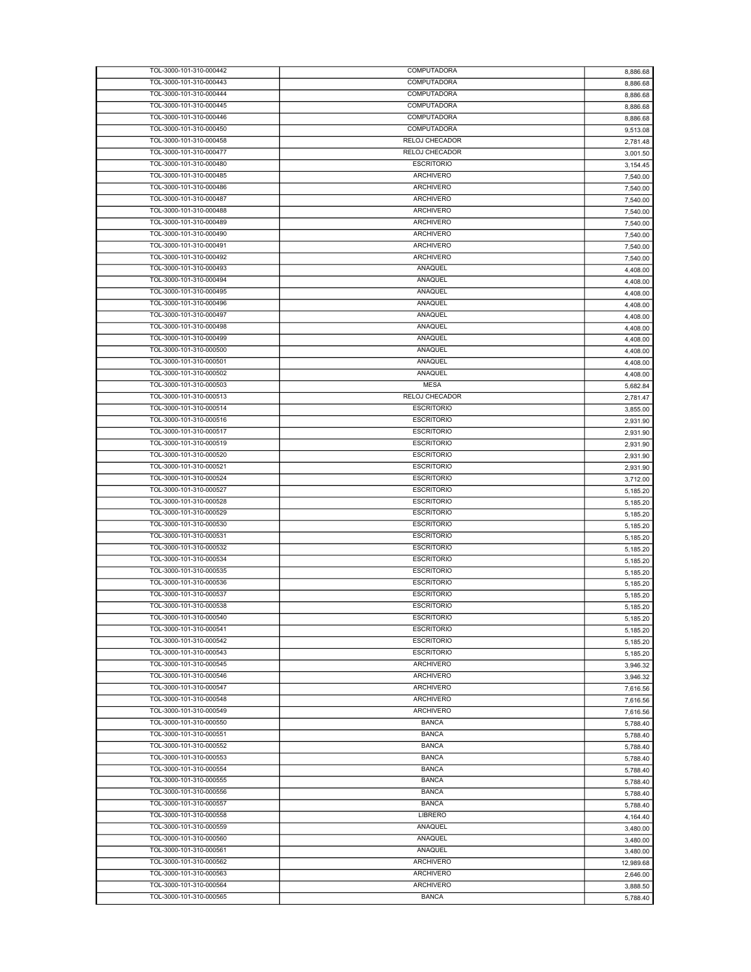| TOL-3000-101-310-000442 | COMPUTADORA           | 8,886.68  |
|-------------------------|-----------------------|-----------|
| TOL-3000-101-310-000443 | COMPUTADORA           | 8,886.68  |
| TOL-3000-101-310-000444 | COMPUTADORA           | 8,886.68  |
| TOL-3000-101-310-000445 | COMPUTADORA           |           |
|                         |                       | 8,886.68  |
| TOL-3000-101-310-000446 | COMPUTADORA           | 8,886.68  |
| TOL-3000-101-310-000450 | COMPUTADORA           | 9,513.08  |
| TOL-3000-101-310-000458 | RELOJ CHECADOR        | 2,781.48  |
| TOL-3000-101-310-000477 | RELOJ CHECADOR        | 3.001.50  |
| TOL-3000-101-310-000480 | <b>ESCRITORIO</b>     | 3,154.45  |
| TOL-3000-101-310-000485 | <b>ARCHIVERO</b>      |           |
|                         |                       | 7,540.00  |
| TOL-3000-101-310-000486 | <b>ARCHIVERO</b>      | 7,540.00  |
| TOL-3000-101-310-000487 | <b>ARCHIVERO</b>      | 7,540.00  |
| TOL-3000-101-310-000488 | <b>ARCHIVERO</b>      | 7,540.00  |
| TOL-3000-101-310-000489 | <b>ARCHIVERO</b>      | 7,540.00  |
| TOL-3000-101-310-000490 | <b>ARCHIVERO</b>      |           |
|                         |                       | 7,540.00  |
| TOL-3000-101-310-000491 | <b>ARCHIVERO</b>      | 7,540.00  |
| TOL-3000-101-310-000492 | <b>ARCHIVERO</b>      | 7,540.00  |
| TOL-3000-101-310-000493 | ANAQUEL               | 4,408.00  |
| TOL-3000-101-310-000494 | ANAQUEL               | 4,408.00  |
| TOL-3000-101-310-000495 | ANAQUEL               | 4,408.00  |
| TOL-3000-101-310-000496 | ANAQUEL               |           |
|                         |                       | 4,408.00  |
| TOL-3000-101-310-000497 | ANAQUEL               | 4,408.00  |
| TOL-3000-101-310-000498 | ANAQUEL               | 4,408.00  |
| TOL-3000-101-310-000499 | ANAQUEL               | 4,408.00  |
| TOL-3000-101-310-000500 | ANAQUEL               | 4,408.00  |
| TOL-3000-101-310-000501 | ANAQUEL               | 4,408.00  |
| TOL-3000-101-310-000502 | <b>ANAQUEL</b>        |           |
|                         |                       | 4,408.00  |
| TOL-3000-101-310-000503 | <b>MESA</b>           | 5,682.84  |
| TOL-3000-101-310-000513 | <b>RELOJ CHECADOR</b> | 2,781.47  |
| TOL-3000-101-310-000514 | <b>ESCRITORIO</b>     | 3,855.00  |
| TOL-3000-101-310-000516 | <b>ESCRITORIO</b>     | 2,931.90  |
| TOL-3000-101-310-000517 | <b>ESCRITORIO</b>     |           |
|                         |                       | 2,931.90  |
| TOL-3000-101-310-000519 | <b>ESCRITORIO</b>     | 2,931.90  |
| TOL-3000-101-310-000520 | <b>ESCRITORIO</b>     | 2,931.90  |
| TOL-3000-101-310-000521 | <b>ESCRITORIO</b>     | 2,931.90  |
| TOL-3000-101-310-000524 | <b>ESCRITORIO</b>     | 3,712.00  |
| TOL-3000-101-310-000527 | <b>ESCRITORIO</b>     | 5,185.20  |
| TOL-3000-101-310-000528 |                       |           |
|                         | <b>ESCRITORIO</b>     | 5,185.20  |
| TOL-3000-101-310-000529 | <b>ESCRITORIO</b>     | 5,185.20  |
| TOL-3000-101-310-000530 | <b>ESCRITORIO</b>     | 5,185.20  |
| TOL-3000-101-310-000531 | <b>ESCRITORIO</b>     | 5,185.20  |
| TOL-3000-101-310-000532 | <b>ESCRITORIO</b>     | 5,185.20  |
| TOL-3000-101-310-000534 | <b>ESCRITORIO</b>     |           |
|                         |                       | 5,185.20  |
| TOL-3000-101-310-000535 | <b>ESCRITORIO</b>     | 5,185.20  |
| TOL-3000-101-310-000536 | <b>ESCRITORIO</b>     | 5,185.20  |
| TOL-3000-101-310-000537 | <b>ESCRITORIO</b>     | 5,185.20  |
| TOL-3000-101-310-000538 | <b>ESCRITORIO</b>     | 5,185.20  |
| TOL-3000-101-310-000540 | <b>ESCRITORIO</b>     | 5,185.20  |
|                         |                       |           |
| TOL-3000-101-310-000541 | <b>ESCRITORIO</b>     | 5,185.20  |
| TOL-3000-101-310-000542 | <b>ESCRITORIO</b>     | 5,185.20  |
| TOL-3000-101-310-000543 | <b>ESCRITORIO</b>     | 5,185.20  |
| TOL-3000-101-310-000545 | ARCHIVERO             | 3,946.32  |
| TOL-3000-101-310-000546 | <b>ARCHIVERO</b>      | 3,946.32  |
| TOL-3000-101-310-000547 | <b>ARCHIVERO</b>      |           |
|                         |                       | 7,616.56  |
| TOL-3000-101-310-000548 | <b>ARCHIVERO</b>      | 7,616.56  |
| TOL-3000-101-310-000549 | ARCHIVERO             | 7,616.56  |
| TOL-3000-101-310-000550 | <b>BANCA</b>          | 5,788.40  |
| TOL-3000-101-310-000551 | <b>BANCA</b>          | 5,788.40  |
| TOL-3000-101-310-000552 | <b>BANCA</b>          | 5,788.40  |
| TOL-3000-101-310-000553 | <b>BANCA</b>          |           |
|                         |                       | 5,788.40  |
| TOL-3000-101-310-000554 | <b>BANCA</b>          | 5,788.40  |
| TOL-3000-101-310-000555 | <b>BANCA</b>          | 5,788.40  |
| TOL-3000-101-310-000556 | <b>BANCA</b>          | 5,788.40  |
| TOL-3000-101-310-000557 | <b>BANCA</b>          | 5,788.40  |
| TOL-3000-101-310-000558 | LIBRERO               |           |
|                         |                       | 4,164.40  |
| TOL-3000-101-310-000559 | ANAQUEL               | 3,480.00  |
| TOL-3000-101-310-000560 | ANAQUEL               | 3,480.00  |
| TOL-3000-101-310-000561 | ANAQUEL               | 3,480.00  |
| TOL-3000-101-310-000562 | <b>ARCHIVERO</b>      | 12,989.68 |
| TOL-3000-101-310-000563 | <b>ARCHIVERO</b>      | 2,646.00  |
| TOL-3000-101-310-000564 | ARCHIVERO             |           |
|                         |                       | 3,888.50  |
| TOL-3000-101-310-000565 | <b>BANCA</b>          | 5,788.40  |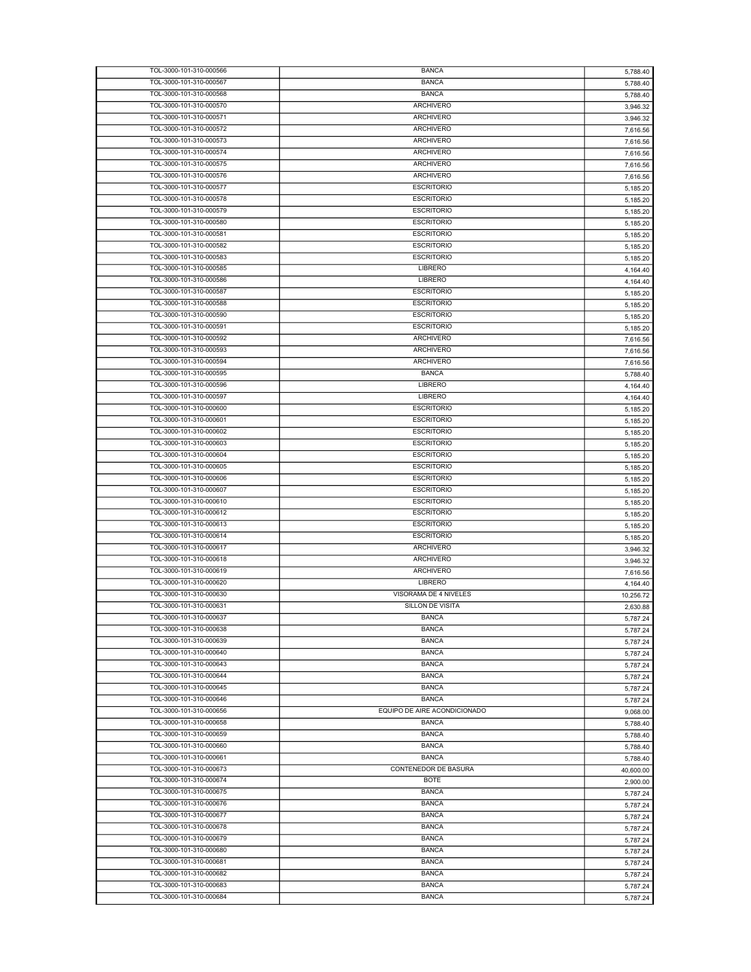| TOL-3000-101-310-000566 | <b>BANCA</b>                 | 5,788.40  |
|-------------------------|------------------------------|-----------|
| TOL-3000-101-310-000567 | <b>BANCA</b>                 | 5,788.40  |
| TOL-3000-101-310-000568 | <b>BANCA</b>                 | 5,788.40  |
| TOL-3000-101-310-000570 | ARCHIVERO                    | 3,946.32  |
| TOL-3000-101-310-000571 | <b>ARCHIVERO</b>             | 3,946.32  |
| TOL-3000-101-310-000572 | <b>ARCHIVERO</b>             | 7,616.56  |
| TOL-3000-101-310-000573 | <b>ARCHIVERO</b>             |           |
| TOL-3000-101-310-000574 | <b>ARCHIVERO</b>             | 7,616.56  |
|                         |                              | 7,616.56  |
| TOL-3000-101-310-000575 | <b>ARCHIVERO</b>             | 7,616.56  |
| TOL-3000-101-310-000576 | <b>ARCHIVERO</b>             | 7,616.56  |
| TOL-3000-101-310-000577 | <b>ESCRITORIO</b>            | 5,185.20  |
| TOL-3000-101-310-000578 | <b>ESCRITORIO</b>            | 5,185.20  |
| TOL-3000-101-310-000579 | <b>ESCRITORIO</b>            | 5,185.20  |
| TOL-3000-101-310-000580 | <b>ESCRITORIO</b>            | 5,185.20  |
| TOL-3000-101-310-000581 | <b>ESCRITORIO</b>            | 5,185.20  |
| TOL-3000-101-310-000582 | <b>ESCRITORIO</b>            | 5,185.20  |
| TOL-3000-101-310-000583 | <b>ESCRITORIO</b>            | 5,185.20  |
| TOL-3000-101-310-000585 | LIBRERO                      | 4,164.40  |
| TOL-3000-101-310-000586 | <b>LIBRERO</b>               |           |
| TOL-3000-101-310-000587 | <b>ESCRITORIO</b>            | 4,164.40  |
|                         |                              | 5,185.20  |
| TOL-3000-101-310-000588 | <b>ESCRITORIO</b>            | 5,185.20  |
| TOL-3000-101-310-000590 | <b>ESCRITORIO</b>            | 5,185.20  |
| TOL-3000-101-310-000591 | <b>ESCRITORIO</b>            | 5,185.20  |
| TOL-3000-101-310-000592 | <b>ARCHIVERO</b>             | 7,616.56  |
| TOL-3000-101-310-000593 | <b>ARCHIVERO</b>             | 7,616.56  |
| TOL-3000-101-310-000594 | ARCHIVERO                    | 7,616.56  |
| TOL-3000-101-310-000595 | <b>BANCA</b>                 | 5,788.40  |
| TOL-3000-101-310-000596 | <b>LIBRERO</b>               | 4,164.40  |
| TOL-3000-101-310-000597 | <b>LIBRERO</b>               | 4,164.40  |
| TOL-3000-101-310-000600 | <b>ESCRITORIO</b>            | 5,185.20  |
| TOL-3000-101-310-000601 | <b>ESCRITORIO</b>            |           |
|                         |                              | 5,185.20  |
| TOL-3000-101-310-000602 | <b>ESCRITORIO</b>            | 5,185.20  |
| TOL-3000-101-310-000603 | <b>ESCRITORIO</b>            | 5,185.20  |
| TOL-3000-101-310-000604 | <b>ESCRITORIO</b>            | 5,185.20  |
| TOL-3000-101-310-000605 | <b>ESCRITORIO</b>            | 5,185.20  |
| TOL-3000-101-310-000606 | <b>ESCRITORIO</b>            | 5,185.20  |
| TOL-3000-101-310-000607 | <b>ESCRITORIO</b>            | 5,185.20  |
| TOL-3000-101-310-000610 | <b>ESCRITORIO</b>            | 5,185.20  |
| TOL-3000-101-310-000612 | <b>ESCRITORIO</b>            | 5,185.20  |
| TOL-3000-101-310-000613 | <b>ESCRITORIO</b>            | 5,185.20  |
| TOL-3000-101-310-000614 | <b>ESCRITORIO</b>            | 5,185.20  |
| TOL-3000-101-310-000617 | <b>ARCHIVERO</b>             | 3,946.32  |
| TOL-3000-101-310-000618 | <b>ARCHIVERO</b>             |           |
| TOL-3000-101-310-000619 | ARCHIVERO                    | 3,946.32  |
|                         |                              | 7,616.56  |
| TOL-3000-101-310-000620 | LIBRERO                      | 4,164.40  |
| TOL-3000-101-310-000630 | VISORAMA DE 4 NIVELES        | 10,256.72 |
| TOL-3000-101-310-000631 | SILLON DE VISITA             | 2,630.88  |
| TOL-3000-101-310-000637 | <b>BANCA</b>                 | 5,787.24  |
| TOL-3000-101-310-000638 | <b>BANCA</b>                 | 5,787.24  |
| TOL-3000-101-310-000639 | <b>BANCA</b>                 | 5,787.24  |
| TOL-3000-101-310-000640 | <b>BANCA</b>                 | 5,787.24  |
| TOL-3000-101-310-000643 | <b>BANCA</b>                 | 5,787.24  |
| TOL-3000-101-310-000644 | <b>BANCA</b>                 | 5,787.24  |
| TOL-3000-101-310-000645 | <b>BANCA</b>                 | 5,787.24  |
| TOL-3000-101-310-000646 | <b>BANCA</b>                 | 5,787.24  |
| TOL-3000-101-310-000656 | EQUIPO DE AIRE ACONDICIONADO |           |
| TOL-3000-101-310-000658 | <b>BANCA</b>                 | 9,068.00  |
|                         |                              | 5,788.40  |
| TOL-3000-101-310-000659 | <b>BANCA</b>                 | 5,788.40  |
| TOL-3000-101-310-000660 | <b>BANCA</b>                 | 5,788.40  |
| TOL-3000-101-310-000661 | <b>BANCA</b>                 | 5,788.40  |
| TOL-3000-101-310-000673 | CONTENEDOR DE BASURA         | 40,600.00 |
| TOL-3000-101-310-000674 | <b>BOTE</b>                  | 2,900.00  |
| TOL-3000-101-310-000675 | <b>BANCA</b>                 | 5,787.24  |
| TOL-3000-101-310-000676 | <b>BANCA</b>                 | 5,787.24  |
| TOL-3000-101-310-000677 | <b>BANCA</b>                 | 5,787.24  |
| TOL-3000-101-310-000678 | <b>BANCA</b>                 |           |
|                         |                              | 5,787.24  |
| TOL-3000-101-310-000679 | <b>BANCA</b>                 | 5,787.24  |
| TOL-3000-101-310-000680 | <b>BANCA</b>                 | 5,787.24  |
| TOL-3000-101-310-000681 | <b>BANCA</b>                 | 5,787.24  |
| TOL-3000-101-310-000682 | <b>BANCA</b>                 | 5,787.24  |
| TOL-3000-101-310-000683 | <b>BANCA</b>                 | 5,787.24  |
| TOL-3000-101-310-000684 | <b>BANCA</b>                 | 5,787.24  |
|                         |                              |           |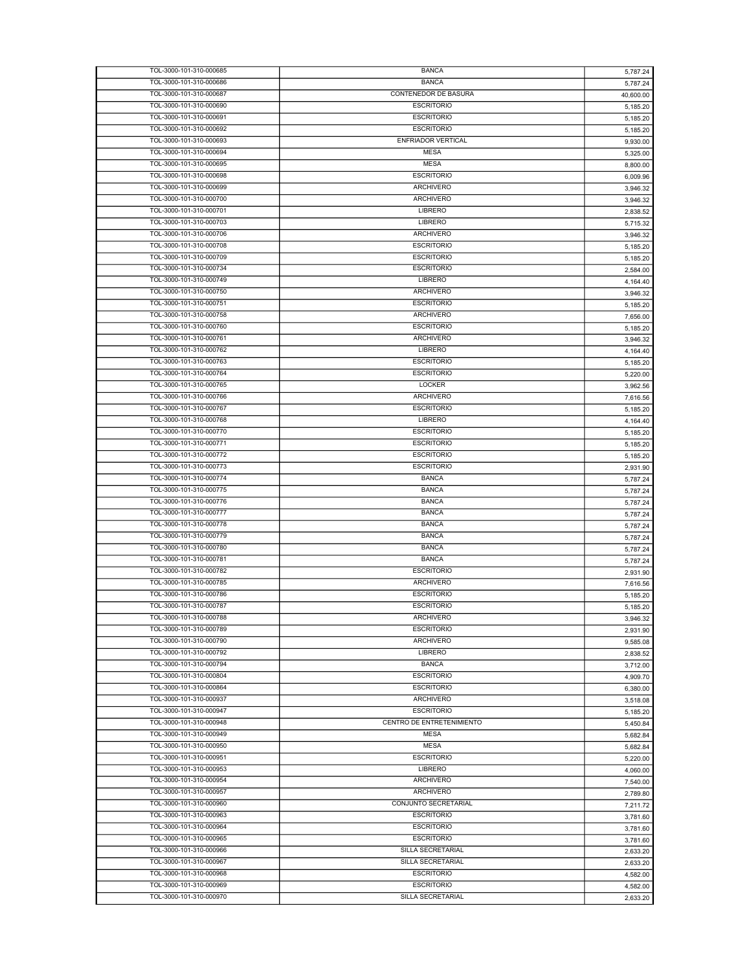| TOL-3000-101-310-000685 | <b>BANCA</b>              | 5,787.24  |
|-------------------------|---------------------------|-----------|
| TOL-3000-101-310-000686 | <b>BANCA</b>              | 5,787.24  |
| TOL-3000-101-310-000687 | CONTENEDOR DE BASURA      | 40,600.00 |
|                         |                           |           |
| TOL-3000-101-310-000690 | <b>ESCRITORIO</b>         | 5,185.20  |
| TOL-3000-101-310-000691 | <b>ESCRITORIO</b>         | 5,185.20  |
| TOL-3000-101-310-000692 | <b>ESCRITORIO</b>         | 5,185.20  |
| TOL-3000-101-310-000693 | <b>ENFRIADOR VERTICAL</b> | 9,930.00  |
| TOL-3000-101-310-000694 | <b>MESA</b>               | 5,325.00  |
| TOL-3000-101-310-000695 | <b>MESA</b>               | 8,800.00  |
|                         | <b>ESCRITORIO</b>         |           |
| TOL-3000-101-310-000698 |                           | 6,009.96  |
| TOL-3000-101-310-000699 | <b>ARCHIVERO</b>          | 3,946.32  |
| TOL-3000-101-310-000700 | ARCHIVERO                 | 3,946.32  |
| TOL-3000-101-310-000701 | LIBRERO                   | 2,838.52  |
| TOL-3000-101-310-000703 | LIBRERO                   | 5,715.32  |
| TOL-3000-101-310-000706 | <b>ARCHIVERO</b>          |           |
|                         |                           | 3,946.32  |
| TOL-3000-101-310-000708 | <b>ESCRITORIO</b>         | 5,185.20  |
| TOL-3000-101-310-000709 | <b>ESCRITORIO</b>         | 5,185.20  |
| TOL-3000-101-310-000734 | <b>ESCRITORIO</b>         | 2,584.00  |
| TOL-3000-101-310-000749 | LIBRERO                   | 4,164.40  |
| TOL-3000-101-310-000750 | <b>ARCHIVERO</b>          |           |
|                         |                           | 3,946.32  |
| TOL-3000-101-310-000751 | <b>ESCRITORIO</b>         | 5,185.20  |
| TOL-3000-101-310-000758 | <b>ARCHIVERO</b>          | 7,656.00  |
| TOL-3000-101-310-000760 | <b>ESCRITORIO</b>         | 5,185.20  |
| TOL-3000-101-310-000761 | <b>ARCHIVERO</b>          | 3,946.32  |
| TOL-3000-101-310-000762 | <b>LIBRERO</b>            | 4,164.40  |
| TOL-3000-101-310-000763 | <b>ESCRITORIO</b>         |           |
|                         |                           | 5,185.20  |
| TOL-3000-101-310-000764 | <b>ESCRITORIO</b>         | 5,220.00  |
| TOL-3000-101-310-000765 | LOCKER                    | 3,962.56  |
| TOL-3000-101-310-000766 | <b>ARCHIVERO</b>          | 7,616.56  |
| TOL-3000-101-310-000767 | <b>ESCRITORIO</b>         | 5,185.20  |
| TOL-3000-101-310-000768 | LIBRERO                   |           |
|                         |                           | 4,164.40  |
| TOL-3000-101-310-000770 | <b>ESCRITORIO</b>         | 5,185.20  |
| TOL-3000-101-310-000771 | <b>ESCRITORIO</b>         | 5,185.20  |
| TOL-3000-101-310-000772 | <b>ESCRITORIO</b>         | 5,185.20  |
| TOL-3000-101-310-000773 | <b>ESCRITORIO</b>         | 2,931.90  |
| TOL-3000-101-310-000774 | <b>BANCA</b>              | 5,787.24  |
| TOL-3000-101-310-000775 | <b>BANCA</b>              |           |
|                         |                           | 5,787.24  |
| TOL-3000-101-310-000776 | <b>BANCA</b>              | 5,787.24  |
| TOL-3000-101-310-000777 | <b>BANCA</b>              | 5,787.24  |
| TOL-3000-101-310-000778 | <b>BANCA</b>              | 5,787.24  |
| TOL-3000-101-310-000779 | <b>BANCA</b>              | 5,787.24  |
| TOL-3000-101-310-000780 | <b>BANCA</b>              | 5,787.24  |
|                         |                           |           |
| TOL-3000-101-310-000781 | <b>BANCA</b>              | 5,787.24  |
| TOL-3000-101-310-000782 | <b>ESCRITORIO</b>         | 2,931.90  |
| TOL-3000-101-310-000785 | <b>ARCHIVERO</b>          | 7,616.56  |
| TOL-3000-101-310-000786 | <b>ESCRITORIO</b>         | 5,185.20  |
| TOL-3000-101-310-000787 | <b>ESCRITORIO</b>         | 5,185.20  |
| TOL-3000-101-310-000788 |                           |           |
|                         | <b>ARCHIVERO</b>          | 3,946.32  |
| TOL-3000-101-310-000789 | <b>ESCRITORIO</b>         | 2.931.90  |
| TOL-3000-101-310-000790 | <b>ARCHIVERO</b>          | 9,585.08  |
| TOL-3000-101-310-000792 | <b>LIBRERO</b>            | 2,838.52  |
| TOL-3000-101-310-000794 | <b>BANCA</b>              | 3,712.00  |
| TOL-3000-101-310-000804 | <b>ESCRITORIO</b>         | 4,909.70  |
|                         |                           |           |
| TOL-3000-101-310-000864 | <b>ESCRITORIO</b>         | 6,380.00  |
| TOL-3000-101-310-000937 | ARCHIVERO                 | 3,518.08  |
| TOL-3000-101-310-000947 | <b>ESCRITORIO</b>         | 5,185.20  |
| TOL-3000-101-310-000948 | CENTRO DE ENTRETENIMIENTO | 5,450.84  |
| TOL-3000-101-310-000949 | <b>MESA</b>               | 5,682.84  |
| TOL-3000-101-310-000950 | <b>MESA</b>               |           |
|                         |                           | 5,682.84  |
| TOL-3000-101-310-000951 | <b>ESCRITORIO</b>         | 5,220.00  |
| TOL-3000-101-310-000953 | LIBRERO                   | 4,060.00  |
| TOL-3000-101-310-000954 | ARCHIVERO                 | 7,540.00  |
| TOL-3000-101-310-000957 | ARCHIVERO                 | 2,789.80  |
| TOL-3000-101-310-000960 | CONJUNTO SECRETARIAL      |           |
|                         |                           | 7,211.72  |
| TOL-3000-101-310-000963 | <b>ESCRITORIO</b>         | 3,781.60  |
| TOL-3000-101-310-000964 | <b>ESCRITORIO</b>         | 3,781.60  |
| TOL-3000-101-310-000965 | <b>ESCRITORIO</b>         | 3,781.60  |
| TOL-3000-101-310-000966 | SILLA SECRETARIAL         | 2,633.20  |
| TOL-3000-101-310-000967 | SILLA SECRETARIAL         |           |
|                         |                           | 2,633.20  |
| TOL-3000-101-310-000968 | <b>ESCRITORIO</b>         | 4,582.00  |
| TOL-3000-101-310-000969 | <b>ESCRITORIO</b>         | 4,582.00  |
|                         |                           |           |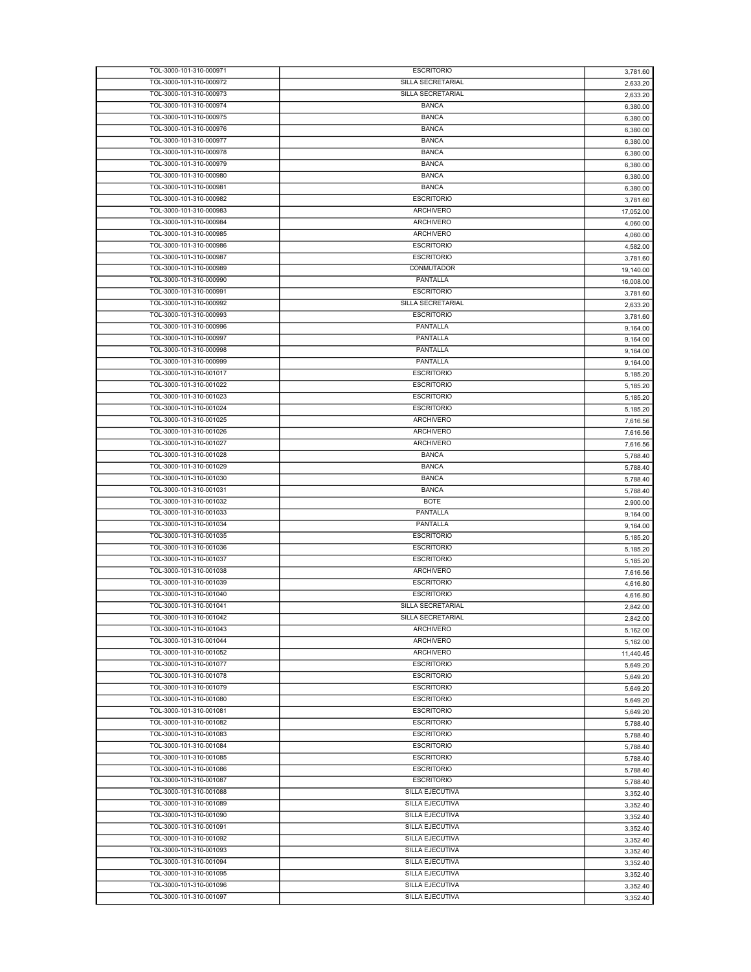| TOL-3000-101-310-000971 | <b>ESCRITORIO</b> | 3,781.60  |
|-------------------------|-------------------|-----------|
| TOL-3000-101-310-000972 | SILLA SECRETARIAL | 2,633.20  |
| TOL-3000-101-310-000973 | SILLA SECRETARIAL | 2,633.20  |
|                         | <b>BANCA</b>      |           |
| TOL-3000-101-310-000974 |                   | 6,380.00  |
| TOL-3000-101-310-000975 | <b>BANCA</b>      | 6,380.00  |
| TOL-3000-101-310-000976 | <b>BANCA</b>      | 6,380.00  |
| TOL-3000-101-310-000977 | <b>BANCA</b>      | 6,380.00  |
| TOL-3000-101-310-000978 | <b>BANCA</b>      | 6,380.00  |
| TOL-3000-101-310-000979 | <b>BANCA</b>      | 6,380.00  |
|                         |                   |           |
| TOL-3000-101-310-000980 | <b>BANCA</b>      | 6,380.00  |
| TOL-3000-101-310-000981 | <b>BANCA</b>      | 6,380.00  |
| TOL-3000-101-310-000982 | <b>ESCRITORIO</b> | 3,781.60  |
| TOL-3000-101-310-000983 | <b>ARCHIVERO</b>  | 17,052.00 |
| TOL-3000-101-310-000984 | <b>ARCHIVERO</b>  | 4,060.00  |
| TOL-3000-101-310-000985 | <b>ARCHIVERO</b>  |           |
|                         |                   | 4,060.00  |
| TOL-3000-101-310-000986 | <b>ESCRITORIO</b> | 4,582.00  |
| TOL-3000-101-310-000987 | <b>ESCRITORIO</b> | 3,781.60  |
| TOL-3000-101-310-000989 | <b>CONMUTADOR</b> | 19,140.00 |
| TOL-3000-101-310-000990 | PANTALLA          | 16,008.00 |
| TOL-3000-101-310-000991 | <b>ESCRITORIO</b> |           |
|                         |                   | 3,781.60  |
| TOL-3000-101-310-000992 | SILLA SECRETARIAL | 2,633.20  |
| TOL-3000-101-310-000993 | <b>ESCRITORIO</b> | 3,781.60  |
| TOL-3000-101-310-000996 | PANTALLA          | 9,164.00  |
| TOL-3000-101-310-000997 | PANTALLA          | 9,164.00  |
| TOL-3000-101-310-000998 | PANTALLA          | 9,164.00  |
| TOL-3000-101-310-000999 | PANTALLA          |           |
|                         |                   | 9,164.00  |
| TOL-3000-101-310-001017 | <b>ESCRITORIO</b> | 5,185.20  |
| TOL-3000-101-310-001022 | <b>ESCRITORIO</b> | 5,185.20  |
| TOL-3000-101-310-001023 | <b>ESCRITORIO</b> | 5,185.20  |
| TOL-3000-101-310-001024 | <b>ESCRITORIO</b> | 5,185.20  |
| TOL-3000-101-310-001025 | <b>ARCHIVERO</b>  |           |
|                         |                   | 7,616.56  |
| TOL-3000-101-310-001026 | <b>ARCHIVERO</b>  | 7,616.56  |
| TOL-3000-101-310-001027 | <b>ARCHIVERO</b>  | 7,616.56  |
| TOL-3000-101-310-001028 | <b>BANCA</b>      | 5,788.40  |
| TOL-3000-101-310-001029 | <b>BANCA</b>      | 5,788.40  |
|                         |                   |           |
|                         |                   |           |
| TOL-3000-101-310-001030 | <b>BANCA</b>      | 5,788.40  |
| TOL-3000-101-310-001031 | <b>BANCA</b>      | 5,788.40  |
| TOL-3000-101-310-001032 | <b>BOTE</b>       | 2,900.00  |
| TOL-3000-101-310-001033 | PANTALLA          | 9,164.00  |
| TOL-3000-101-310-001034 | PANTALLA          |           |
|                         |                   | 9,164.00  |
| TOL-3000-101-310-001035 | <b>ESCRITORIO</b> | 5,185.20  |
| TOL-3000-101-310-001036 | <b>ESCRITORIO</b> | 5,185.20  |
| TOL-3000-101-310-001037 | <b>ESCRITORIO</b> | 5,185.20  |
| TOL-3000-101-310-001038 | <b>ARCHIVERO</b>  | 7,616.56  |
| TOL-3000-101-310-001039 | <b>ESCRITORIO</b> | 4,616.80  |
| TOL-3000-101-310-001040 | <b>ESCRITORIO</b> |           |
|                         |                   | 4,616.80  |
| TOL-3000-101-310-001041 | SILLA SECRETARIAL | 2,842.00  |
| TOL-3000-101-310-001042 | SILLA SECRETARIAL | 2,842.00  |
| TOL-3000-101-310-001043 | <b>ARCHIVERO</b>  | 5,162.00  |
| TOL-3000-101-310-001044 | <b>ARCHIVERO</b>  | 5,162.00  |
| TOL-3000-101-310-001052 | <b>ARCHIVERO</b>  | 11,440.45 |
| TOL-3000-101-310-001077 | <b>ESCRITORIO</b> |           |
|                         |                   | 5.649.20  |
| TOL-3000-101-310-001078 | <b>ESCRITORIO</b> | 5,649.20  |
| TOL-3000-101-310-001079 | <b>ESCRITORIO</b> | 5,649.20  |
| TOL-3000-101-310-001080 | <b>ESCRITORIO</b> | 5,649.20  |
| TOL-3000-101-310-001081 | <b>ESCRITORIO</b> | 5.649.20  |
| TOL-3000-101-310-001082 | <b>ESCRITORIO</b> |           |
|                         |                   | 5,788.40  |
| TOL-3000-101-310-001083 | <b>ESCRITORIO</b> | 5,788.40  |
| TOL-3000-101-310-001084 | <b>ESCRITORIO</b> | 5,788.40  |
| TOL-3000-101-310-001085 | <b>ESCRITORIO</b> | 5,788.40  |
| TOL-3000-101-310-001086 | <b>ESCRITORIO</b> | 5,788.40  |
| TOL-3000-101-310-001087 | <b>ESCRITORIO</b> |           |
| TOL-3000-101-310-001088 | SILLA EJECUTIVA   | 5,788.40  |
|                         |                   | 3,352.40  |
| TOL-3000-101-310-001089 | SILLA EJECUTIVA   | 3,352.40  |
| TOL-3000-101-310-001090 | SILLA EJECUTIVA   | 3,352.40  |
| TOL-3000-101-310-001091 | SILLA EJECUTIVA   | 3,352.40  |
| TOL-3000-101-310-001092 | SILLA EJECUTIVA   | 3,352.40  |
|                         |                   |           |
| TOL-3000-101-310-001093 | SILLA EJECUTIVA   | 3,352.40  |
| TOL-3000-101-310-001094 | SILLA EJECUTIVA   | 3,352.40  |
| TOL-3000-101-310-001095 | SILLA EJECUTIVA   | 3,352.40  |
| TOL-3000-101-310-001096 | SILLA EJECUTIVA   | 3,352.40  |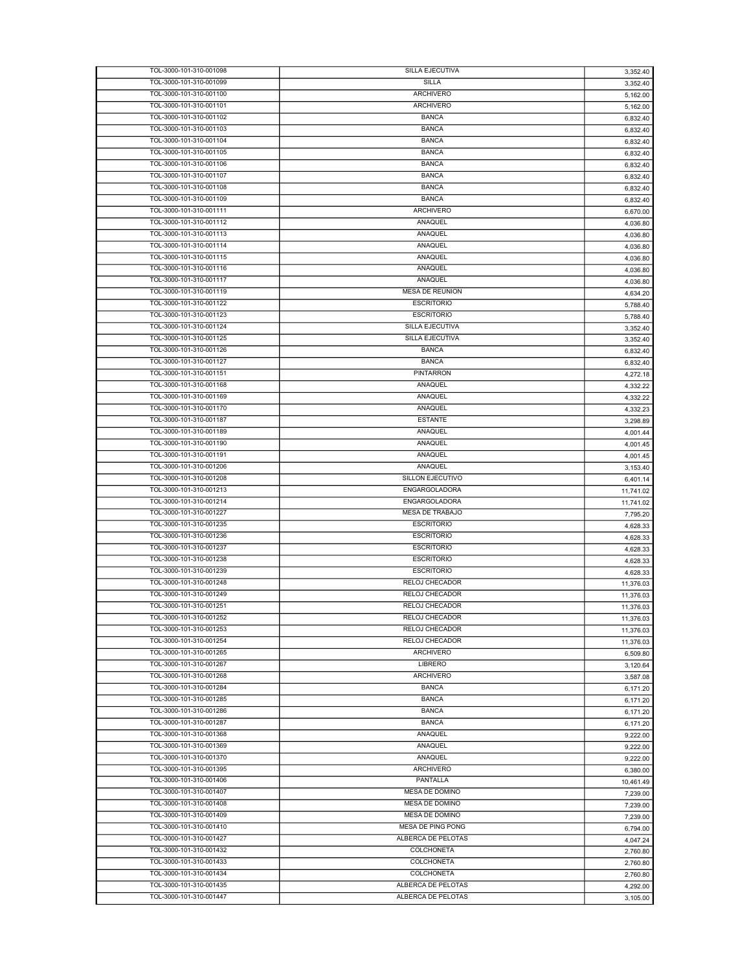| TOL-3000-101-310-001098 | <b>SILLA EJECUTIVA</b> | 3,352.40  |
|-------------------------|------------------------|-----------|
| TOL-3000-101-310-001099 | SILLA                  | 3,352.40  |
| TOL-3000-101-310-001100 | <b>ARCHIVERO</b>       | 5,162.00  |
|                         |                        |           |
| TOL-3000-101-310-001101 | <b>ARCHIVERO</b>       | 5,162.00  |
| TOL-3000-101-310-001102 | <b>BANCA</b>           | 6,832.40  |
| TOL-3000-101-310-001103 | <b>BANCA</b>           | 6,832.40  |
| TOL-3000-101-310-001104 | <b>BANCA</b>           | 6,832.40  |
| TOL-3000-101-310-001105 | <b>BANCA</b>           | 6,832.40  |
| TOL-3000-101-310-001106 | <b>BANCA</b>           | 6,832.40  |
|                         |                        |           |
| TOL-3000-101-310-001107 | <b>BANCA</b>           | 6,832.40  |
| TOL-3000-101-310-001108 | <b>BANCA</b>           | 6,832.40  |
| TOL-3000-101-310-001109 | <b>BANCA</b>           | 6,832.40  |
| TOL-3000-101-310-001111 | <b>ARCHIVERO</b>       | 6,670.00  |
| TOL-3000-101-310-001112 | ANAQUEL                | 4,036.80  |
| TOL-3000-101-310-001113 | ANAQUEL                |           |
|                         |                        | 4,036.80  |
| TOL-3000-101-310-001114 | ANAQUEL                | 4,036.80  |
| TOL-3000-101-310-001115 | ANAQUEL                | 4,036.80  |
| TOL-3000-101-310-001116 | ANAQUEL                | 4,036.80  |
| TOL-3000-101-310-001117 | ANAQUEL                | 4,036.80  |
| TOL-3000-101-310-001119 | <b>MESA DE REUNION</b> |           |
|                         |                        | 4,634.20  |
| TOL-3000-101-310-001122 | <b>ESCRITORIO</b>      | 5,788.40  |
| TOL-3000-101-310-001123 | <b>ESCRITORIO</b>      | 5,788.40  |
| TOL-3000-101-310-001124 | <b>SILLA EJECUTIVA</b> | 3,352.40  |
| TOL-3000-101-310-001125 | SILLA EJECUTIVA        | 3,352.40  |
| TOL-3000-101-310-001126 | <b>BANCA</b>           | 6,832.40  |
| TOL-3000-101-310-001127 | <b>BANCA</b>           |           |
|                         |                        | 6,832.40  |
| TOL-3000-101-310-001151 | <b>PINTARRON</b>       | 4,272.18  |
| TOL-3000-101-310-001168 | ANAQUEL                | 4,332.22  |
| TOL-3000-101-310-001169 | ANAQUEL                | 4,332.22  |
| TOL-3000-101-310-001170 | ANAQUEL                | 4.332.23  |
| TOL-3000-101-310-001187 | <b>ESTANTE</b>         |           |
|                         |                        | 3,298.89  |
| TOL-3000-101-310-001189 | ANAQUEL                | 4,001.44  |
| TOL-3000-101-310-001190 | ANAQUEL                | 4,001.45  |
| TOL-3000-101-310-001191 | ANAQUEL                | 4,001.45  |
| TOL-3000-101-310-001206 | ANAQUEL                | 3,153.40  |
| TOL-3000-101-310-001208 | SILLON EJECUTIVO       | 6,401.14  |
| TOL-3000-101-310-001213 | ENGARGOLADORA          |           |
|                         |                        | 11,741.02 |
| TOL-3000-101-310-001214 | ENGARGOLADORA          | 11,741.02 |
| TOL-3000-101-310-001227 | <b>MESA DE TRABAJO</b> | 7,795.20  |
| TOL-3000-101-310-001235 | <b>ESCRITORIO</b>      | 4,628.33  |
| TOL-3000-101-310-001236 | <b>ESCRITORIO</b>      | 4,628.33  |
| TOL-3000-101-310-001237 | <b>ESCRITORIO</b>      | 4,628.33  |
| TOL-3000-101-310-001238 | <b>ESCRITORIO</b>      |           |
|                         |                        | 4,628.33  |
| TOL-3000-101-310-001239 | <b>ESCRITORIO</b>      | 4,628.33  |
| TOL-3000-101-310-001248 | <b>RELOJ CHECADOR</b>  | 11,376.03 |
| TOL-3000-101-310-001249 | RELOJ CHECADOR         | 11,376.03 |
| TOL-3000-101-310-001251 | RELOJ CHECADOR         | 11,376.03 |
| TOL-3000-101-310-001252 | RELOJ CHECADOR         |           |
|                         |                        | 11,376.03 |
| TOL-3000-101-310-001253 | RELOJ CHECADOR         | 11,376.03 |
| TOL-3000-101-310-001254 | RELOJ CHECADOR         | 11,376.03 |
| TOL-3000-101-310-001265 | <b>ARCHIVERO</b>       | 6,509.80  |
| TOL-3000-101-310-001267 | LIBRERO                | 3,120.64  |
| TOL-3000-101-310-001268 | ARCHIVERO              | 3,587.08  |
|                         |                        |           |
| TOL-3000-101-310-001284 | <b>BANCA</b>           | 6,171.20  |
| TOL-3000-101-310-001285 | <b>BANCA</b>           | 6,171.20  |
| TOL-3000-101-310-001286 | <b>BANCA</b>           | 6,171.20  |
| TOL-3000-101-310-001287 | <b>BANCA</b>           | 6,171.20  |
| TOL-3000-101-310-001368 | ANAQUEL                | 9,222.00  |
| TOL-3000-101-310-001369 | ANAQUEL                |           |
|                         |                        | 9,222.00  |
| TOL-3000-101-310-001370 | ANAQUEL                | 9,222.00  |
| TOL-3000-101-310-001395 | ARCHIVERO              | 6,380.00  |
| TOL-3000-101-310-001406 | PANTALLA               | 10,461.49 |
| TOL-3000-101-310-001407 | MESA DE DOMINO         | 7,239.00  |
| TOL-3000-101-310-001408 | MESA DE DOMINO         |           |
|                         |                        | 7,239.00  |
| TOL-3000-101-310-001409 | MESA DE DOMINO         | 7,239.00  |
| TOL-3000-101-310-001410 | MESA DE PING PONG      | 6,794.00  |
| TOL-3000-101-310-001427 | ALBERCA DE PELOTAS     | 4,047.24  |
| TOL-3000-101-310-001432 | <b>COLCHONETA</b>      | 2,760.80  |
| TOL-3000-101-310-001433 | COLCHONETA             |           |
|                         |                        | 2,760.80  |
| TOL-3000-101-310-001434 | <b>COLCHONETA</b>      | 2,760.80  |
| TOL-3000-101-310-001435 | ALBERCA DE PELOTAS     | 4,292.00  |
| TOL-3000-101-310-001447 | ALBERCA DE PELOTAS     | 3,105.00  |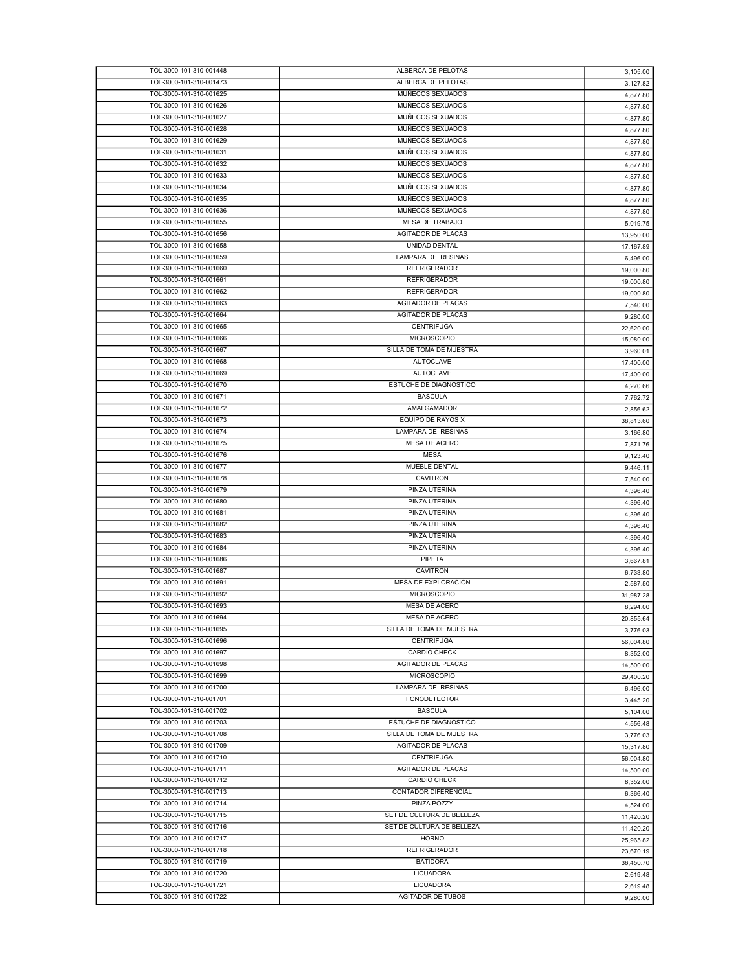| TOL-3000-101-310-001448 | ALBERCA DE PELOTAS        | 3,105.00  |
|-------------------------|---------------------------|-----------|
| TOL-3000-101-310-001473 | ALBERCA DE PELOTAS        | 3,127.82  |
| TOL-3000-101-310-001625 | MUÑECOS SEXUADOS          | 4,877.80  |
| TOL-3000-101-310-001626 | MUÑECOS SEXUADOS          | 4,877.80  |
| TOL-3000-101-310-001627 | MUÑECOS SEXUADOS          | 4,877.80  |
| TOL-3000-101-310-001628 | MUÑECOS SEXUADOS          | 4,877.80  |
| TOL-3000-101-310-001629 | MUÑECOS SEXUADOS          | 4,877.80  |
| TOL-3000-101-310-001631 | MUÑECOS SEXUADOS          | 4,877.80  |
| TOL-3000-101-310-001632 | MUÑECOS SEXUADOS          | 4,877.80  |
| TOL-3000-101-310-001633 | MUÑECOS SEXUADOS          | 4,877.80  |
| TOL-3000-101-310-001634 | MUÑECOS SEXUADOS          | 4,877.80  |
| TOL-3000-101-310-001635 | MUÑECOS SEXUADOS          | 4,877.80  |
| TOL-3000-101-310-001636 | MUÑECOS SEXUADOS          |           |
| TOL-3000-101-310-001655 | MESA DE TRABAJO           | 4,877.80  |
|                         |                           | 5,019.75  |
| TOL-3000-101-310-001656 | AGITADOR DE PLACAS        | 13,950.00 |
| TOL-3000-101-310-001658 | UNIDAD DENTAL             | 17,167.89 |
| TOL-3000-101-310-001659 | LAMPARA DE RESINAS        | 6,496.00  |
| TOL-3000-101-310-001660 | <b>REFRIGERADOR</b>       | 19,000.80 |
| TOL-3000-101-310-001661 | <b>REFRIGERADOR</b>       | 19,000.80 |
| TOL-3000-101-310-001662 | <b>REFRIGERADOR</b>       | 19,000.80 |
| TOL-3000-101-310-001663 | <b>AGITADOR DE PLACAS</b> | 7,540.00  |
| TOL-3000-101-310-001664 | <b>AGITADOR DE PLACAS</b> | 9,280.00  |
| TOL-3000-101-310-001665 | <b>CENTRIFUGA</b>         | 22,620.00 |
| TOL-3000-101-310-001666 | <b>MICROSCOPIO</b>        | 15,080.00 |
| TOL-3000-101-310-001667 | SILLA DE TOMA DE MUESTRA  | 3,960.01  |
| TOL-3000-101-310-001668 | <b>AUTOCLAVE</b>          | 17,400.00 |
| TOL-3000-101-310-001669 | <b>AUTOCLAVE</b>          | 17,400.00 |
| TOL-3000-101-310-001670 | ESTUCHE DE DIAGNOSTICO    |           |
| TOL-3000-101-310-001671 |                           | 4,270.66  |
|                         | <b>BASCULA</b>            | 7,762.72  |
| TOL-3000-101-310-001672 | AMALGAMADOR               | 2,856.62  |
| TOL-3000-101-310-001673 | EQUIPO DE RAYOS X         | 38,813.60 |
| TOL-3000-101-310-001674 | LAMPARA DE RESINAS        | 3,166.80  |
| TOL-3000-101-310-001675 | MESA DE ACERO             | 7,871.76  |
| TOL-3000-101-310-001676 | <b>MESA</b>               | 9,123.40  |
| TOL-3000-101-310-001677 | MUEBLE DENTAL             | 9,446.11  |
|                         |                           |           |
| TOL-3000-101-310-001678 | <b>CAVITRON</b>           | 7,540.00  |
| TOL-3000-101-310-001679 | PINZA UTERINA             | 4,396.40  |
| TOL-3000-101-310-001680 | PINZA UTERINA             | 4,396.40  |
| TOL-3000-101-310-001681 | PINZA UTERINA             |           |
| TOL-3000-101-310-001682 | PINZA UTERINA             | 4,396.40  |
| TOL-3000-101-310-001683 | PINZA UTERINA             | 4,396.40  |
| TOL-3000-101-310-001684 | PINZA UTERINA             | 4,396.40  |
| TOL-3000-101-310-001686 |                           | 4,396.40  |
|                         | PIPETA                    | 3,667.81  |
| TOL-3000-101-310-001687 | <b>CAVITRON</b>           | 6,733.80  |
| TOL-3000-101-310-001691 | MESA DE EXPLORACION       | 2.587.50  |
| TOL-3000-101-310-001692 | <b>MICROSCOPIO</b>        | 31,987.28 |
| TOL-3000-101-310-001693 | <b>MESA DE ACERO</b>      | 8,294.00  |
| TOL-3000-101-310-001694 | MESA DE ACERO             | 20,855.64 |
| TOL-3000-101-310-001695 | SILLA DE TOMA DE MUESTRA  | 3,776.03  |
| TOL-3000-101-310-001696 | <b>CENTRIFUGA</b>         | 56,004.80 |
| TOL-3000-101-310-001697 | <b>CARDIO CHECK</b>       | 8,352.00  |
| TOL-3000-101-310-001698 | AGITADOR DE PLACAS        | 14,500.00 |
| TOL-3000-101-310-001699 | <b>MICROSCOPIO</b>        | 29,400.20 |
| TOL-3000-101-310-001700 | LAMPARA DE RESINAS        | 6,496.00  |
| TOL-3000-101-310-001701 | <b>FONODETECTOR</b>       | 3,445.20  |
| TOL-3000-101-310-001702 | <b>BASCULA</b>            | 5,104.00  |
| TOL-3000-101-310-001703 | ESTUCHE DE DIAGNOSTICO    |           |
| TOL-3000-101-310-001708 | SILLA DE TOMA DE MUESTRA  | 4,556.48  |
|                         |                           | 3,776.03  |
| TOL-3000-101-310-001709 | AGITADOR DE PLACAS        | 15,317.80 |
| TOL-3000-101-310-001710 | <b>CENTRIFUGA</b>         | 56,004.80 |
| TOL-3000-101-310-001711 | AGITADOR DE PLACAS        | 14,500.00 |
| TOL-3000-101-310-001712 | <b>CARDIO CHECK</b>       | 8,352.00  |
| TOL-3000-101-310-001713 | CONTADOR DIFERENCIAL      | 6,366.40  |
| TOL-3000-101-310-001714 | PINZA POZZY               | 4,524.00  |
| TOL-3000-101-310-001715 | SET DE CULTURA DE BELLEZA | 11,420.20 |
| TOL-3000-101-310-001716 | SET DE CULTURA DE BELLEZA | 11,420.20 |
| TOL-3000-101-310-001717 | <b>HORNO</b>              | 25,965.82 |
| TOL-3000-101-310-001718 | <b>REFRIGERADOR</b>       | 23,670.19 |
| TOL-3000-101-310-001719 | <b>BATIDORA</b>           | 36,450.70 |
| TOL-3000-101-310-001720 | <b>LICUADORA</b>          | 2,619.48  |
| TOL-3000-101-310-001721 | <b>LICUADORA</b>          | 2,619.48  |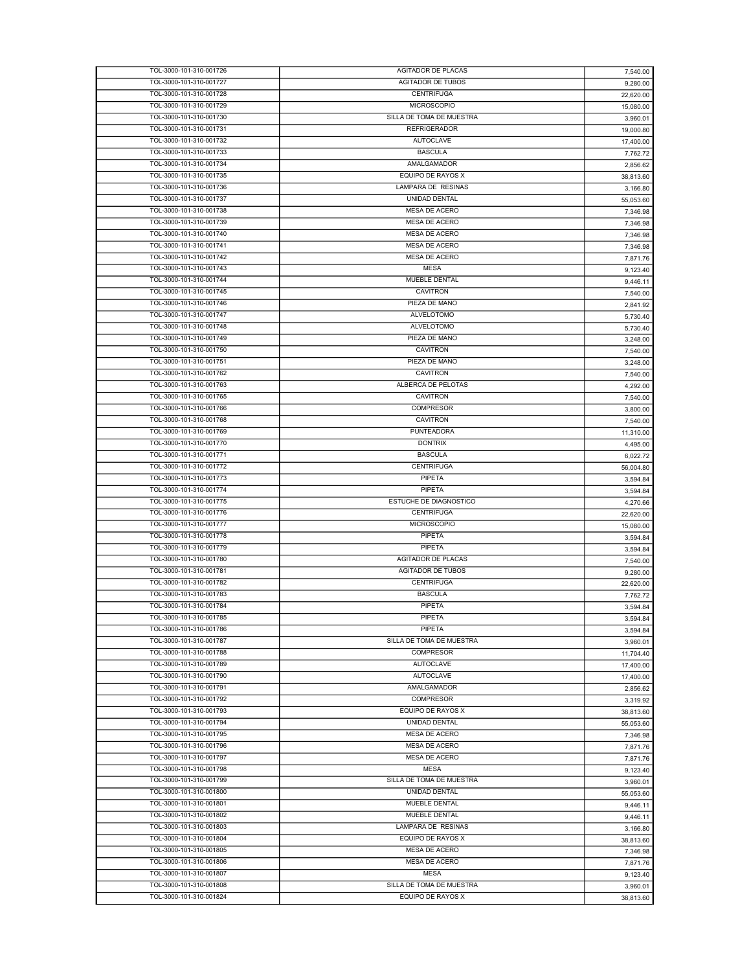| TOL-3000-101-310-001726                            | AGITADOR DE PLACAS                            | 7,540.00  |
|----------------------------------------------------|-----------------------------------------------|-----------|
| TOL-3000-101-310-001727                            | <b>AGITADOR DE TUBOS</b>                      | 9,280.00  |
| TOL-3000-101-310-001728                            | <b>CENTRIFUGA</b>                             | 22,620.00 |
| TOL-3000-101-310-001729                            | <b>MICROSCOPIO</b>                            |           |
|                                                    |                                               | 15,080.00 |
| TOL-3000-101-310-001730                            | SILLA DE TOMA DE MUESTRA                      | 3,960.01  |
| TOL-3000-101-310-001731                            | <b>REFRIGERADOR</b>                           | 19,000.80 |
| TOL-3000-101-310-001732                            | <b>AUTOCLAVE</b>                              | 17,400.00 |
| TOL-3000-101-310-001733                            | <b>BASCULA</b>                                | 7,762.72  |
| TOL-3000-101-310-001734                            | AMALGAMADOR                                   | 2,856.62  |
| TOL-3000-101-310-001735                            | EQUIPO DE RAYOS X                             |           |
|                                                    |                                               | 38,813.60 |
| TOL-3000-101-310-001736                            | LAMPARA DE RESINAS                            | 3,166.80  |
| TOL-3000-101-310-001737                            | UNIDAD DENTAL                                 | 55,053.60 |
| TOL-3000-101-310-001738                            | <b>MESA DE ACERO</b>                          | 7,346.98  |
| TOL-3000-101-310-001739                            | MESA DE ACERO                                 | 7,346.98  |
| TOL-3000-101-310-001740                            | MESA DE ACERO                                 |           |
|                                                    |                                               | 7,346.98  |
| TOL-3000-101-310-001741                            | <b>MESA DE ACERO</b>                          | 7,346.98  |
| TOL-3000-101-310-001742                            | MESA DE ACERO                                 | 7,871.76  |
| TOL-3000-101-310-001743                            | <b>MESA</b>                                   | 9,123.40  |
| TOL-3000-101-310-001744                            | MUEBLE DENTAL                                 | 9,446.11  |
| TOL-3000-101-310-001745                            | <b>CAVITRON</b>                               | 7,540.00  |
| TOL-3000-101-310-001746                            | PIEZA DE MANO                                 |           |
|                                                    |                                               | 2,841.92  |
| TOL-3000-101-310-001747                            | ALVELOTOMO                                    | 5,730.40  |
| TOL-3000-101-310-001748                            | <b>ALVELOTOMO</b>                             | 5,730.40  |
| TOL-3000-101-310-001749                            | PIEZA DE MANO                                 | 3,248.00  |
| TOL-3000-101-310-001750                            | <b>CAVITRON</b>                               | 7,540.00  |
| TOL-3000-101-310-001751                            | PIEZA DE MANO                                 |           |
|                                                    |                                               | 3,248.00  |
| TOL-3000-101-310-001762                            | <b>CAVITRON</b>                               | 7,540.00  |
| TOL-3000-101-310-001763                            | ALBERCA DE PELOTAS                            | 4.292.00  |
| TOL-3000-101-310-001765                            | <b>CAVITRON</b>                               | 7,540.00  |
| TOL-3000-101-310-001766                            | <b>COMPRESOR</b>                              | 3,800.00  |
| TOL-3000-101-310-001768                            | <b>CAVITRON</b>                               | 7,540.00  |
| TOL-3000-101-310-001769                            | <b>PUNTEADORA</b>                             |           |
|                                                    |                                               | 11,310.00 |
| TOL-3000-101-310-001770                            | <b>DONTRIX</b>                                | 4,495.00  |
| TOL-3000-101-310-001771                            | <b>BASCULA</b>                                | 6,022.72  |
| TOL-3000-101-310-001772                            | <b>CENTRIFUGA</b>                             | 56,004.80 |
| TOL-3000-101-310-001773                            | PIPETA                                        | 3,594.84  |
|                                                    |                                               |           |
|                                                    |                                               |           |
| TOL-3000-101-310-001774                            | PIPETA                                        | 3,594.84  |
| TOL-3000-101-310-001775                            | ESTUCHE DE DIAGNOSTICO                        | 4,270.66  |
| TOL-3000-101-310-001776                            | <b>CENTRIFUGA</b>                             | 22,620.00 |
| TOL-3000-101-310-001777                            | <b>MICROSCOPIO</b>                            | 15,080.00 |
| TOL-3000-101-310-001778                            | PIPETA                                        |           |
|                                                    |                                               | 3,594.84  |
| TOL-3000-101-310-001779                            | PIPETA                                        | 3,594.84  |
| TOL-3000-101-310-001780                            | <b>AGITADOR DE PLACAS</b>                     | 7,540.00  |
| TOL-3000-101-310-001781                            | <b>AGITADOR DE TUBOS</b>                      | 9,280.00  |
| TOL-3000-101-310-001782                            | <b>CENTRIFUGA</b>                             | 22,620.00 |
| TOL-3000-101-310-001783                            | <b>BASCULA</b>                                | 7.762.72  |
| TOL-3000-101-310-001784                            |                                               |           |
|                                                    | PIPETA                                        | 3.594.84  |
| TOL-3000-101-310-001785                            | PIPETA                                        | 3.594.84  |
| TOL-3000-101-310-001786                            | PIPETA                                        | 3,594.84  |
| TOL-3000-101-310-001787                            | SILLA DE TOMA DE MUESTRA                      | 3,960.01  |
| TOL-3000-101-310-001788                            | <b>COMPRESOR</b>                              | 11,704.40 |
| TOL-3000-101-310-001789                            | <b>AUTOCLAVE</b>                              | 17,400.00 |
| TOL-3000-101-310-001790                            | <b>AUTOCLAVE</b>                              |           |
|                                                    |                                               | 17,400.00 |
| TOL-3000-101-310-001791                            | AMALGAMADOR                                   | 2,856.62  |
| TOL-3000-101-310-001792                            | <b>COMPRESOR</b>                              | 3,319.92  |
| TOL-3000-101-310-001793                            | EQUIPO DE RAYOS X                             | 38,813.60 |
| TOL-3000-101-310-001794                            | <b>UNIDAD DENTAL</b>                          | 55,053.60 |
| TOL-3000-101-310-001795                            | <b>MESA DE ACERO</b>                          |           |
|                                                    |                                               | 7,346.98  |
| TOL-3000-101-310-001796                            | MESA DE ACERO                                 | 7,871.76  |
| TOL-3000-101-310-001797                            | MESA DE ACERO                                 | 7.871.76  |
| TOL-3000-101-310-001798                            | <b>MESA</b>                                   | 9,123.40  |
| TOL-3000-101-310-001799                            | SILLA DE TOMA DE MUESTRA                      | 3,960.01  |
| TOL-3000-101-310-001800                            | UNIDAD DENTAL                                 | 55,053.60 |
|                                                    |                                               |           |
| TOL-3000-101-310-001801                            | MUEBLE DENTAL                                 | 9,446.11  |
| TOL-3000-101-310-001802                            | MUEBLE DENTAL                                 | 9,446.11  |
| TOL-3000-101-310-001803                            | LAMPARA DE RESINAS                            | 3,166.80  |
| TOL-3000-101-310-001804                            | EQUIPO DE RAYOS X                             | 38,813.60 |
| TOL-3000-101-310-001805                            | MESA DE ACERO                                 | 7,346.98  |
|                                                    |                                               |           |
| TOL-3000-101-310-001806                            | MESA DE ACERO                                 | 7,871.76  |
| TOL-3000-101-310-001807                            | <b>MESA</b>                                   | 9,123.40  |
| TOL-3000-101-310-001808<br>TOL-3000-101-310-001824 | SILLA DE TOMA DE MUESTRA<br>EQUIPO DE RAYOS X | 3,960.01  |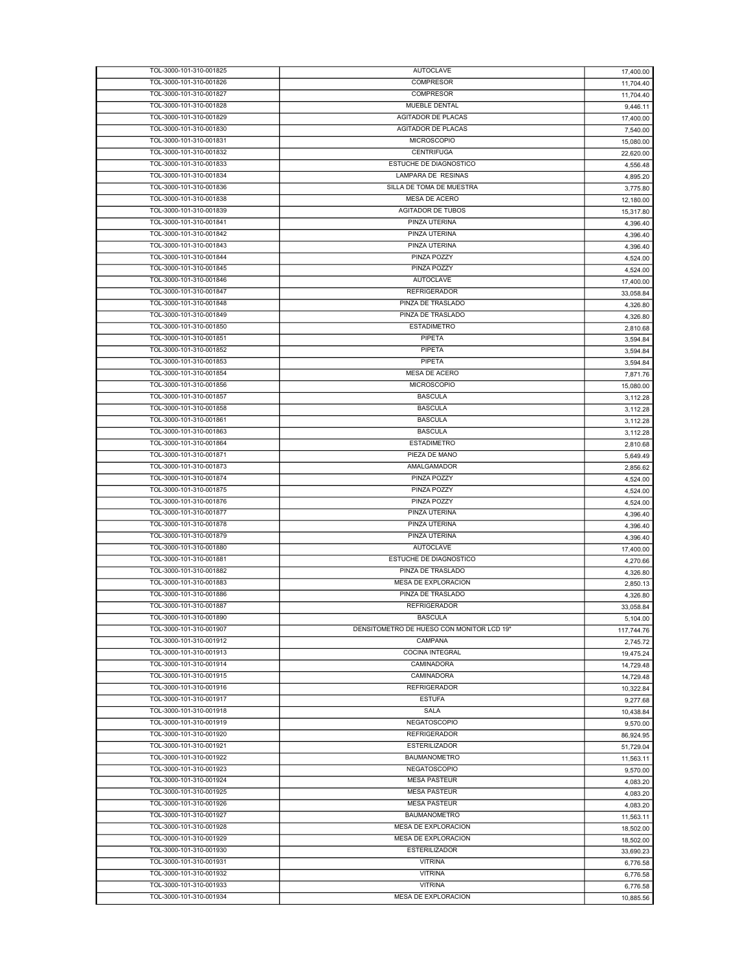| TOL-3000-101-310-001825 | <b>AUTOCLAVE</b>                          | 17,400.00  |
|-------------------------|-------------------------------------------|------------|
| TOL-3000-101-310-001826 | <b>COMPRESOR</b>                          | 11,704.40  |
| TOL-3000-101-310-001827 | <b>COMPRESOR</b>                          | 11,704.40  |
| TOL-3000-101-310-001828 | <b>MUEBLE DENTAL</b>                      |            |
|                         |                                           | 9,446.11   |
| TOL-3000-101-310-001829 | <b>AGITADOR DE PLACAS</b>                 | 17,400.00  |
| TOL-3000-101-310-001830 | <b>AGITADOR DE PLACAS</b>                 | 7,540.00   |
| TOL-3000-101-310-001831 | <b>MICROSCOPIO</b>                        | 15,080.00  |
| TOL-3000-101-310-001832 | <b>CENTRIFUGA</b>                         | 22,620.00  |
| TOL-3000-101-310-001833 | ESTUCHE DE DIAGNOSTICO                    |            |
|                         |                                           | 4,556.48   |
| TOL-3000-101-310-001834 | LAMPARA DE RESINAS                        | 4,895.20   |
| TOL-3000-101-310-001836 | SILLA DE TOMA DE MUESTRA                  | 3,775.80   |
| TOL-3000-101-310-001838 | <b>MESA DE ACERO</b>                      | 12,180.00  |
| TOL-3000-101-310-001839 | <b>AGITADOR DE TUBOS</b>                  |            |
|                         |                                           | 15,317.80  |
| TOL-3000-101-310-001841 | <b>PINZA UTERINA</b>                      | 4,396.40   |
| TOL-3000-101-310-001842 | PINZA UTERINA                             | 4,396.40   |
| TOL-3000-101-310-001843 | PINZA UTERINA                             | 4,396.40   |
| TOL-3000-101-310-001844 | PINZA POZZY                               | 4,524.00   |
| TOL-3000-101-310-001845 |                                           |            |
|                         | PINZA POZZY                               | 4,524.00   |
| TOL-3000-101-310-001846 | <b>AUTOCLAVE</b>                          | 17,400.00  |
| TOL-3000-101-310-001847 | <b>REFRIGERADOR</b>                       | 33,058.84  |
| TOL-3000-101-310-001848 | PINZA DE TRASLADO                         | 4,326.80   |
|                         | PINZA DE TRASLADO                         |            |
| TOL-3000-101-310-001849 |                                           | 4,326.80   |
| TOL-3000-101-310-001850 | <b>ESTADIMETRO</b>                        | 2,810.68   |
| TOL-3000-101-310-001851 | PIPETA                                    | 3,594.84   |
| TOL-3000-101-310-001852 | PIPETA                                    | 3,594.84   |
| TOL-3000-101-310-001853 | PIPETA                                    |            |
|                         |                                           | 3,594.84   |
| TOL-3000-101-310-001854 | MESA DE ACERO                             | 7,871.76   |
| TOL-3000-101-310-001856 | <b>MICROSCOPIO</b>                        | 15,080.00  |
| TOL-3000-101-310-001857 | <b>BASCULA</b>                            | 3,112.28   |
| TOL-3000-101-310-001858 | <b>BASCULA</b>                            | 3,112.28   |
|                         |                                           |            |
| TOL-3000-101-310-001861 | <b>BASCULA</b>                            | 3,112.28   |
| TOL-3000-101-310-001863 | <b>BASCULA</b>                            | 3,112.28   |
| TOL-3000-101-310-001864 | <b>ESTADIMETRO</b>                        | 2,810.68   |
| TOL-3000-101-310-001871 | PIEZA DE MANO                             | 5,649.49   |
| TOL-3000-101-310-001873 | AMALGAMADOR                               |            |
|                         |                                           | 2,856.62   |
| TOL-3000-101-310-001874 | PINZA POZZY                               | 4,524.00   |
| TOL-3000-101-310-001875 | PINZA POZZY                               | 4,524.00   |
| TOL-3000-101-310-001876 | PINZA POZZY                               | 4,524.00   |
| TOL-3000-101-310-001877 | PINZA UTERINA                             |            |
|                         |                                           | 4,396.40   |
| TOL-3000-101-310-001878 | PINZA UTERINA                             | 4,396.40   |
| TOL-3000-101-310-001879 | PINZA UTERINA                             | 4,396.40   |
| TOL-3000-101-310-001880 | <b>AUTOCLAVE</b>                          | 17,400.00  |
| TOL-3000-101-310-001881 | ESTUCHE DE DIAGNOSTICO                    | 4,270.66   |
|                         |                                           |            |
| TOL-3000-101-310-001882 | PINZA DE TRASLADO                         | 4,326.80   |
| TOL-3000-101-310-001883 | MESA DE EXPLORACION                       | 2,850.13   |
| TOL-3000-101-310-001886 | PINZA DE TRASLADO                         | 4,326.80   |
| TOL-3000-101-310-001887 | <b>REFRIGERADOR</b>                       | 33,058.84  |
| TOL-3000-101-310-001890 | <b>BASCULA</b>                            |            |
|                         |                                           | 5,104.00   |
| TOL-3000-101-310-001907 | DENSITOMETRO DE HUESO CON MONITOR LCD 19" | 117,744.76 |
| TOL-3000-101-310-001912 | CAMPANA                                   | 2,745.72   |
| TOL-3000-101-310-001913 | <b>COCINA INTEGRAL</b>                    | 19.475.24  |
| TOL-3000-101-310-001914 | CAMINADORA                                | 14,729.48  |
| TOL-3000-101-310-001915 | CAMINADORA                                | 14,729.48  |
|                         |                                           |            |
| TOL-3000-101-310-001916 | <b>REFRIGERADOR</b>                       | 10,322.84  |
| TOL-3000-101-310-001917 | <b>ESTUFA</b>                             | 9,277.68   |
| TOL-3000-101-310-001918 | SALA                                      | 10,438.84  |
| TOL-3000-101-310-001919 | <b>NEGATOSCOPIO</b>                       | 9,570.00   |
| TOL-3000-101-310-001920 | <b>REFRIGERADOR</b>                       |            |
|                         |                                           | 86,924.95  |
| TOL-3000-101-310-001921 | <b>ESTERILIZADOR</b>                      | 51,729.04  |
| TOL-3000-101-310-001922 | <b>BAUMANOMETRO</b>                       | 11,563.11  |
| TOL-3000-101-310-001923 | <b>NEGATOSCOPIO</b>                       | 9,570.00   |
| TOL-3000-101-310-001924 | <b>MESA PASTEUR</b>                       | 4,083.20   |
|                         |                                           |            |
| TOL-3000-101-310-001925 | <b>MESA PASTEUR</b>                       | 4,083.20   |
| TOL-3000-101-310-001926 | <b>MESA PASTEUR</b>                       | 4,083.20   |
| TOL-3000-101-310-001927 | <b>BAUMANOMETRO</b>                       | 11,563.11  |
| TOL-3000-101-310-001928 | MESA DE EXPLORACION                       | 18,502.00  |
| TOL-3000-101-310-001929 | MESA DE EXPLORACION                       |            |
|                         |                                           | 18,502.00  |
| TOL-3000-101-310-001930 | <b>ESTERILIZADOR</b>                      | 33,690.23  |
| TOL-3000-101-310-001931 | <b>VITRINA</b>                            | 6,776.58   |
| TOL-3000-101-310-001932 | <b>VITRINA</b>                            | 6,776.58   |
| TOL-3000-101-310-001933 | <b>VITRINA</b>                            | 6,776.58   |
| TOL-3000-101-310-001934 | MESA DE EXPLORACION                       |            |
|                         |                                           | 10,885.56  |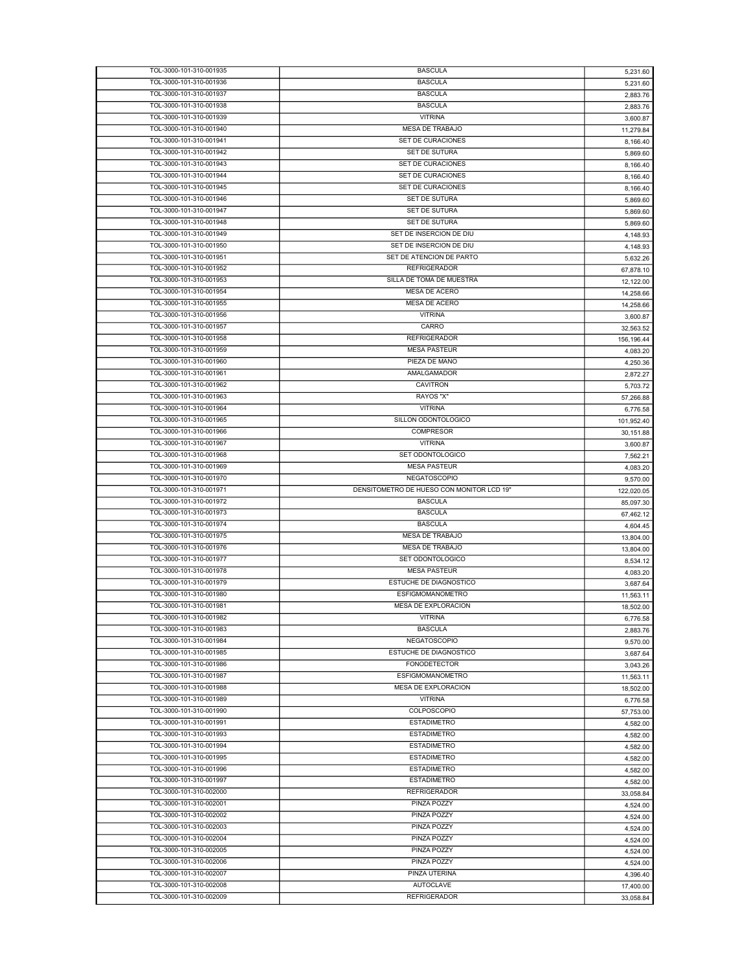| TOL-3000-101-310-001935                            | <b>BASCULA</b>                            | 5,231.60               |
|----------------------------------------------------|-------------------------------------------|------------------------|
| TOL-3000-101-310-001936                            | <b>BASCULA</b>                            | 5,231.60               |
| TOL-3000-101-310-001937                            | <b>BASCULA</b>                            | 2,883.76               |
| TOL-3000-101-310-001938                            | <b>BASCULA</b>                            | 2,883.76               |
| TOL-3000-101-310-001939                            | <b>VITRINA</b>                            | 3,600.87               |
| TOL-3000-101-310-001940                            | <b>MESA DE TRABAJO</b>                    | 11,279.84              |
| TOL-3000-101-310-001941                            | SET DE CURACIONES                         |                        |
|                                                    | <b>SET DE SUTURA</b>                      | 8,166.40               |
| TOL-3000-101-310-001942                            |                                           | 5,869.60               |
| TOL-3000-101-310-001943                            | SET DE CURACIONES                         | 8,166.40               |
| TOL-3000-101-310-001944                            | SET DE CURACIONES                         | 8,166.40               |
| TOL-3000-101-310-001945                            | SET DE CURACIONES                         | 8,166.40               |
| TOL-3000-101-310-001946                            | SET DE SUTURA                             | 5,869.60               |
| TOL-3000-101-310-001947                            | SET DE SUTURA                             | 5,869.60               |
| TOL-3000-101-310-001948                            | <b>SET DE SUTURA</b>                      | 5,869.60               |
| TOL-3000-101-310-001949                            | SET DE INSERCION DE DIU                   | 4,148.93               |
| TOL-3000-101-310-001950                            | SET DE INSERCION DE DIU                   | 4,148.93               |
| TOL-3000-101-310-001951                            | SET DE ATENCION DE PARTO                  | 5,632.26               |
| TOL-3000-101-310-001952                            | <b>REFRIGERADOR</b>                       |                        |
|                                                    |                                           | 67,878.10              |
| TOL-3000-101-310-001953                            | SILLA DE TOMA DE MUESTRA                  | 12,122.00              |
| TOL-3000-101-310-001954                            | MESA DE ACERO                             | 14,258.66              |
| TOL-3000-101-310-001955                            | MESA DE ACERO                             | 14,258.66              |
| TOL-3000-101-310-001956                            | <b>VITRINA</b>                            | 3,600.87               |
| TOL-3000-101-310-001957                            | CARRO                                     | 32,563.52              |
| TOL-3000-101-310-001958                            | <b>REFRIGERADOR</b>                       | 156,196.44             |
| TOL-3000-101-310-001959                            | <b>MESA PASTEUR</b>                       | 4,083.20               |
| TOL-3000-101-310-001960                            | PIEZA DE MANO                             | 4,250.36               |
| TOL-3000-101-310-001961                            | AMALGAMADOR                               | 2,872.27               |
| TOL-3000-101-310-001962                            | <b>CAVITRON</b>                           | 5,703.72               |
| TOL-3000-101-310-001963                            | RAYOS "X"                                 |                        |
|                                                    |                                           | 57,266.88              |
| TOL-3000-101-310-001964                            | <b>VITRINA</b>                            | 6,776.58               |
| TOL-3000-101-310-001965                            | SILLON ODONTOLOGICO                       | 101,952.40             |
| TOL-3000-101-310-001966                            | <b>COMPRESOR</b>                          | 30,151.88              |
| TOL-3000-101-310-001967                            | <b>VITRINA</b>                            | 3,600.87               |
| TOL-3000-101-310-001968                            | SET ODONTOLOGICO                          | 7,562.21               |
| TOL-3000-101-310-001969                            | <b>MESA PASTEUR</b>                       | 4,083.20               |
| TOL-3000-101-310-001970                            | NEGATOSCOPIO                              | 9,570.00               |
| TOL-3000-101-310-001971                            | DENSITOMETRO DE HUESO CON MONITOR LCD 19" | 122,020.05             |
|                                                    |                                           |                        |
|                                                    |                                           |                        |
| TOL-3000-101-310-001972                            | <b>BASCULA</b>                            | 85,097.30              |
| TOL-3000-101-310-001973                            | <b>BASCULA</b>                            | 67,462.12              |
| TOL-3000-101-310-001974                            | <b>BASCULA</b>                            | 4,604.45               |
| TOL-3000-101-310-001975                            | MESA DE TRABAJO                           | 13,804.00              |
| TOL-3000-101-310-001976                            | MESA DE TRABAJO                           | 13,804.00              |
| TOL-3000-101-310-001977                            | SET ODONTOLOGICO                          | 8,534.12               |
| TOL-3000-101-310-001978                            | <b>MESA PASTEUR</b>                       | 4,083.20               |
| TOL-3000-101-310-001979                            | <b>ESTUCHE DE DIAGNOSTICO</b>             | 3,687.64               |
| TOL-3000-101-310-001980                            | <b>ESFIGMOMANOMETRO</b>                   | 11.563.11              |
| TOL-3000-101-310-001981                            | <b>MESA DE EXPLORACION</b>                |                        |
|                                                    | <b>VITRINA</b>                            | 18,502.00              |
| TOL-3000-101-310-001982                            |                                           | 6,776.58               |
| TOL-3000-101-310-001983                            | <b>BASCULA</b>                            | 2,883.76               |
| TOL-3000-101-310-001984                            | <b>NEGATOSCOPIO</b>                       | 9,570.00               |
| TOL-3000-101-310-001985                            | ESTUCHE DE DIAGNOSTICO                    | 3,687.64               |
| TOL-3000-101-310-001986                            | <b>FONODETECTOR</b>                       | 3,043.26               |
| TOL-3000-101-310-001987                            | <b>ESFIGMOMANOMETRO</b>                   | 11,563.11              |
| TOL-3000-101-310-001988                            | MESA DE EXPLORACION                       | 18,502.00              |
| TOL-3000-101-310-001989                            | <b>VITRINA</b>                            | 6,776.58               |
| TOL-3000-101-310-001990                            | COLPOSCOPIO                               | 57,753.00              |
| TOL-3000-101-310-001991                            | <b>ESTADIMETRO</b>                        | 4,582.00               |
| TOL-3000-101-310-001993                            | <b>ESTADIMETRO</b>                        |                        |
| TOL-3000-101-310-001994                            | <b>ESTADIMETRO</b>                        | 4,582.00               |
|                                                    |                                           | 4,582.00               |
| TOL-3000-101-310-001995                            | <b>ESTADIMETRO</b>                        | 4,582.00               |
| TOL-3000-101-310-001996                            | <b>ESTADIMETRO</b>                        | 4,582.00               |
| TOL-3000-101-310-001997                            | <b>ESTADIMETRO</b>                        | 4,582.00               |
| TOL-3000-101-310-002000                            | <b>REFRIGERADOR</b>                       | 33,058.84              |
| TOL-3000-101-310-002001                            | PINZA POZZY                               | 4,524.00               |
| TOL-3000-101-310-002002                            | PINZA POZZY                               | 4,524.00               |
| TOL-3000-101-310-002003                            | PINZA POZZY                               | 4,524.00               |
| TOL-3000-101-310-002004                            | PINZA POZZY                               | 4,524.00               |
| TOL-3000-101-310-002005                            | PINZA POZZY                               | 4,524.00               |
| TOL-3000-101-310-002006                            | PINZA POZZY                               |                        |
| TOL-3000-101-310-002007                            | PINZA UTERINA                             | 4,524.00               |
|                                                    |                                           | 4,396.40               |
| TOL-3000-101-310-002008<br>TOL-3000-101-310-002009 | <b>AUTOCLAVE</b><br><b>REFRIGERADOR</b>   | 17,400.00<br>33,058.84 |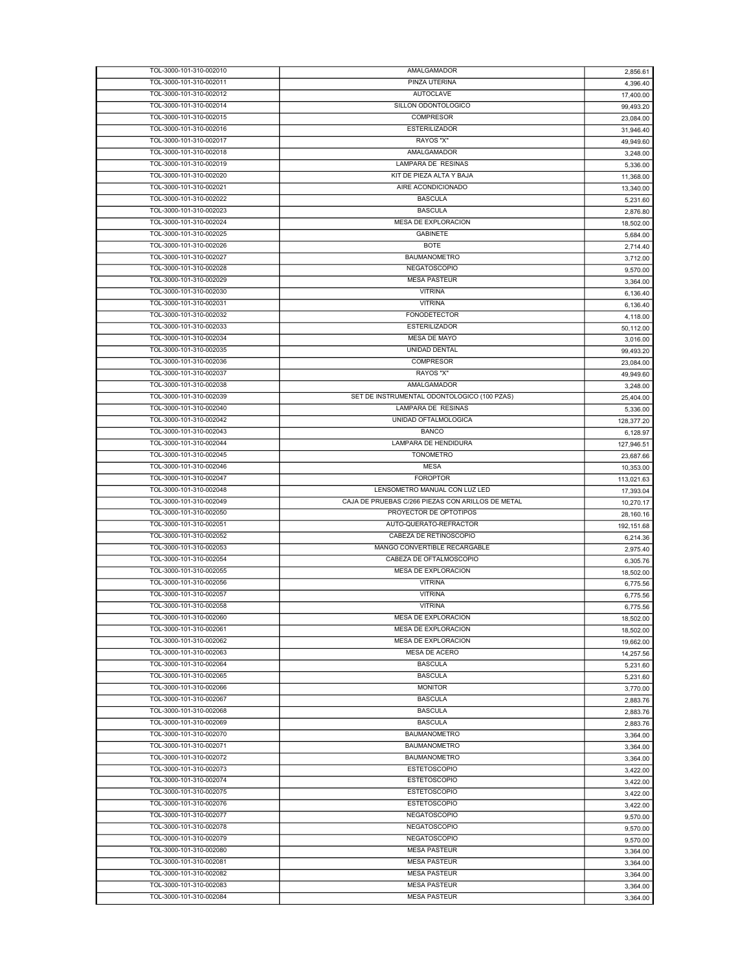| TOL-3000-101-310-002010 | AMALGAMADOR                                       | 2,856.61   |
|-------------------------|---------------------------------------------------|------------|
| TOL-3000-101-310-002011 | PINZA UTERINA                                     | 4,396.40   |
| TOL-3000-101-310-002012 | <b>AUTOCLAVE</b>                                  | 17,400.00  |
| TOL-3000-101-310-002014 | SILLON ODONTOLOGICO                               | 99,493.20  |
| TOL-3000-101-310-002015 | <b>COMPRESOR</b>                                  | 23,084.00  |
| TOL-3000-101-310-002016 | <b>ESTERILIZADOR</b>                              | 31,946.40  |
| TOL-3000-101-310-002017 | RAYOS "X"                                         |            |
| TOL-3000-101-310-002018 | <b>AMALGAMADOR</b>                                | 49,949.60  |
|                         |                                                   | 3,248.00   |
| TOL-3000-101-310-002019 | LAMPARA DE RESINAS                                | 5,336.00   |
| TOL-3000-101-310-002020 | KIT DE PIEZA ALTA Y BAJA                          | 11,368.00  |
| TOL-3000-101-310-002021 | AIRE ACONDICIONADO                                | 13,340.00  |
| TOL-3000-101-310-002022 | <b>BASCULA</b>                                    | 5,231.60   |
| TOL-3000-101-310-002023 | <b>BASCULA</b>                                    | 2,876.80   |
| TOL-3000-101-310-002024 | <b>MESA DE EXPLORACION</b>                        | 18,502.00  |
| TOL-3000-101-310-002025 | <b>GABINETE</b>                                   | 5,684.00   |
| TOL-3000-101-310-002026 | <b>BOTE</b>                                       | 2,714.40   |
| TOL-3000-101-310-002027 | <b>BAUMANOMETRO</b>                               | 3,712.00   |
| TOL-3000-101-310-002028 | <b>NEGATOSCOPIO</b>                               | 9,570.00   |
| TOL-3000-101-310-002029 | <b>MESA PASTEUR</b>                               | 3,364.00   |
| TOL-3000-101-310-002030 | <b>VITRINA</b>                                    |            |
| TOL-3000-101-310-002031 | <b>VITRINA</b>                                    | 6,136.40   |
|                         |                                                   | 6,136.40   |
| TOL-3000-101-310-002032 | <b>FONODETECTOR</b>                               | 4,118.00   |
| TOL-3000-101-310-002033 | <b>ESTERILIZADOR</b>                              | 50,112.00  |
| TOL-3000-101-310-002034 | MESA DE MAYO                                      | 3,016.00   |
| TOL-3000-101-310-002035 | UNIDAD DENTAL                                     | 99,493.20  |
| TOL-3000-101-310-002036 | <b>COMPRESOR</b>                                  | 23,084.00  |
| TOL-3000-101-310-002037 | RAYOS "X"                                         | 49,949.60  |
| TOL-3000-101-310-002038 | AMALGAMADOR                                       | 3,248.00   |
| TOL-3000-101-310-002039 | SET DE INSTRUMENTAL ODONTOLOGICO (100 PZAS)       | 25,404.00  |
| TOL-3000-101-310-002040 | LAMPARA DE RESINAS                                | 5,336.00   |
| TOL-3000-101-310-002042 | UNIDAD OFTALMOLOGICA                              |            |
| TOL-3000-101-310-002043 | <b>BANCO</b>                                      | 128,377.20 |
|                         |                                                   | 6,128.97   |
| TOL-3000-101-310-002044 | LAMPARA DE HENDIDURA                              | 127,946.51 |
| TOL-3000-101-310-002045 | <b>TONOMETRO</b>                                  | 23,687.66  |
| TOL-3000-101-310-002046 | <b>MESA</b>                                       | 10,353.00  |
|                         |                                                   |            |
| TOL-3000-101-310-002047 | <b>FOROPTOR</b>                                   | 113,021.63 |
| TOL-3000-101-310-002048 | LENSOMETRO MANUAL CON LUZ LED                     | 17,393.04  |
| TOL-3000-101-310-002049 | CAJA DE PRUEBAS C/266 PIEZAS CON ARILLOS DE METAL | 10,270.17  |
| TOL-3000-101-310-002050 | PROYECTOR DE OPTOTIPOS                            |            |
| TOL-3000-101-310-002051 | AUTO-QUERATO-REFRACTOR                            | 28,160.16  |
| TOL-3000-101-310-002052 | CABEZA DE RETINOSCOPIO                            | 192,151.68 |
|                         |                                                   | 6,214.36   |
| TOL-3000-101-310-002053 | MANGO CONVERTIBLE RECARGABLE                      | 2,975.40   |
| TOL-3000-101-310-002054 | CABEZA DE OFTALMOSCOPIO                           | 6,305.76   |
| TOL-3000-101-310-002055 | <b>MESA DE EXPLORACION</b>                        | 18,502.00  |
| TOL-3000-101-310-002056 | <b>VITRINA</b>                                    | 6,775.56   |
| TOL-3000-101-310-002057 | <b>VITRINA</b>                                    | 6,775.56   |
| TOL-3000-101-310-002058 | <b>VITRINA</b>                                    | 6,775.56   |
| TOL-3000-101-310-002060 | MESA DE EXPLORACION                               | 18,502.00  |
| TOL-3000-101-310-002061 | MESA DE EXPLORACION                               | 18,502.00  |
| TOL-3000-101-310-002062 | MESA DE EXPLORACION                               | 19,662.00  |
| TOL-3000-101-310-002063 | MESA DE ACERO                                     | 14,257.56  |
| TOL-3000-101-310-002064 | <b>BASCULA</b>                                    |            |
| TOL-3000-101-310-002065 | <b>BASCULA</b>                                    | 5,231.60   |
|                         |                                                   | 5,231.60   |
| TOL-3000-101-310-002066 | <b>MONITOR</b>                                    | 3,770.00   |
| TOL-3000-101-310-002067 | <b>BASCULA</b>                                    | 2,883.76   |
| TOL-3000-101-310-002068 | <b>BASCULA</b>                                    | 2,883.76   |
| TOL-3000-101-310-002069 | <b>BASCULA</b>                                    | 2,883.76   |
| TOL-3000-101-310-002070 | <b>BAUMANOMETRO</b>                               | 3,364.00   |
| TOL-3000-101-310-002071 | <b>BAUMANOMETRO</b>                               | 3,364.00   |
| TOL-3000-101-310-002072 | <b>BAUMANOMETRO</b>                               | 3,364.00   |
| TOL-3000-101-310-002073 | <b>ESTETOSCOPIO</b>                               | 3,422.00   |
| TOL-3000-101-310-002074 | <b>ESTETOSCOPIO</b>                               | 3,422.00   |
| TOL-3000-101-310-002075 | <b>ESTETOSCOPIO</b>                               |            |
|                         | <b>ESTETOSCOPIO</b>                               | 3,422.00   |
| TOL-3000-101-310-002076 |                                                   | 3,422.00   |
| TOL-3000-101-310-002077 | <b>NEGATOSCOPIO</b>                               | 9,570.00   |
| TOL-3000-101-310-002078 | <b>NEGATOSCOPIO</b>                               | 9,570.00   |
| TOL-3000-101-310-002079 | NEGATOSCOPIO                                      | 9,570.00   |
| TOL-3000-101-310-002080 | <b>MESA PASTEUR</b>                               | 3,364.00   |
| TOL-3000-101-310-002081 | <b>MESA PASTEUR</b>                               | 3,364.00   |
| TOL-3000-101-310-002082 | <b>MESA PASTEUR</b>                               | 3,364.00   |
| TOL-3000-101-310-002083 | <b>MESA PASTEUR</b>                               | 3,364.00   |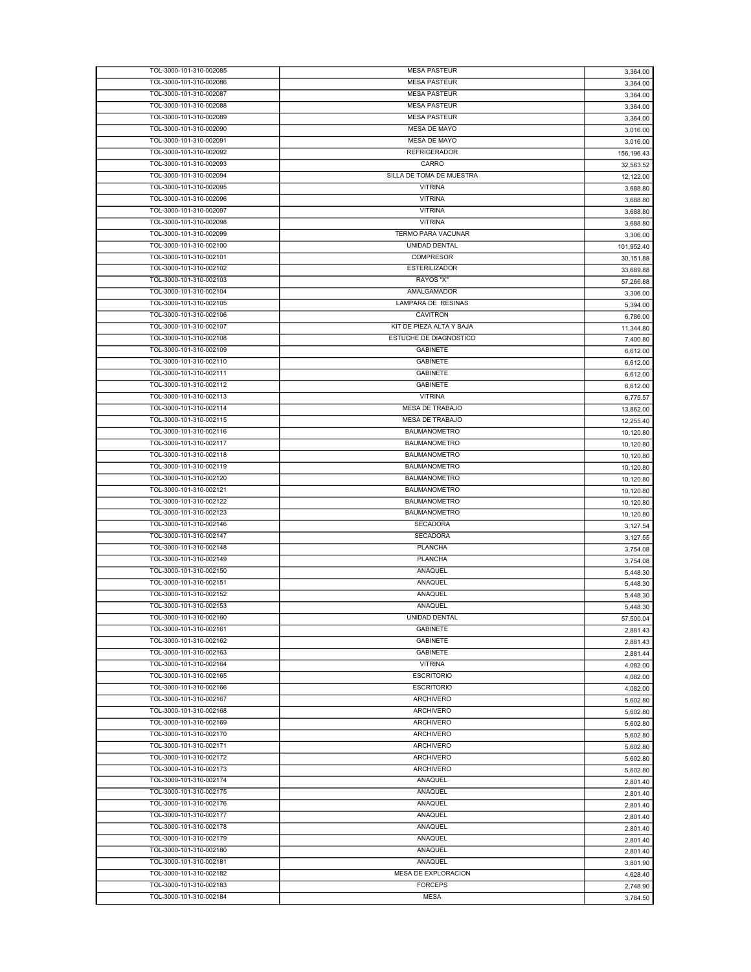| TOL-3000-101-310-002085                            | <b>MESA PASTEUR</b>           | 3,364.00   |
|----------------------------------------------------|-------------------------------|------------|
| TOL-3000-101-310-002086                            | <b>MESA PASTEUR</b>           | 3,364.00   |
| TOL-3000-101-310-002087                            | <b>MESA PASTEUR</b>           | 3,364.00   |
| TOL-3000-101-310-002088                            |                               |            |
|                                                    | <b>MESA PASTEUR</b>           | 3,364.00   |
| TOL-3000-101-310-002089                            | <b>MESA PASTEUR</b>           | 3,364.00   |
| TOL-3000-101-310-002090                            | <b>MESA DE MAYO</b>           | 3,016.00   |
| TOL-3000-101-310-002091                            | <b>MESA DE MAYO</b>           | 3,016.00   |
| TOL-3000-101-310-002092                            | <b>REFRIGERADOR</b>           | 156,196.43 |
| TOL-3000-101-310-002093                            | CARRO                         | 32,563.52  |
|                                                    |                               |            |
| TOL-3000-101-310-002094                            | SILLA DE TOMA DE MUESTRA      | 12,122.00  |
| TOL-3000-101-310-002095                            | <b>VITRINA</b>                | 3,688.80   |
| TOL-3000-101-310-002096                            | <b>VITRINA</b>                | 3,688.80   |
| TOL-3000-101-310-002097                            | <b>VITRINA</b>                | 3,688.80   |
| TOL-3000-101-310-002098                            | <b>VITRINA</b>                | 3,688.80   |
| TOL-3000-101-310-002099                            | <b>TERMO PARA VACUNAR</b>     |            |
|                                                    |                               | 3,306.00   |
| TOL-3000-101-310-002100                            | UNIDAD DENTAL                 | 101,952.40 |
| TOL-3000-101-310-002101                            | <b>COMPRESOR</b>              | 30,151.88  |
| TOL-3000-101-310-002102                            | <b>ESTERILIZADOR</b>          | 33,689.88  |
| TOL-3000-101-310-002103                            | RAYOS "X"                     | 57,266.88  |
| TOL-3000-101-310-002104                            | AMALGAMADOR                   |            |
|                                                    |                               | 3,306.00   |
| TOL-3000-101-310-002105                            | LAMPARA DE RESINAS            | 5,394.00   |
| TOL-3000-101-310-002106                            | <b>CAVITRON</b>               | 6,786.00   |
| TOL-3000-101-310-002107                            | KIT DE PIEZA ALTA Y BAJA      | 11,344.80  |
| TOL-3000-101-310-002108                            | <b>ESTUCHE DE DIAGNOSTICO</b> | 7,400.80   |
| TOL-3000-101-310-002109                            | <b>GABINETE</b>               | 6,612.00   |
|                                                    | <b>GABINETE</b>               |            |
| TOL-3000-101-310-002110                            |                               | 6,612.00   |
| TOL-3000-101-310-002111                            | <b>GABINETE</b>               | 6,612.00   |
| TOL-3000-101-310-002112                            | <b>GABINETE</b>               | 6,612.00   |
| TOL-3000-101-310-002113                            | <b>VITRINA</b>                | 6,775.57   |
| TOL-3000-101-310-002114                            | <b>MESA DE TRABAJO</b>        | 13,862.00  |
| TOL-3000-101-310-002115                            | MESA DE TRABAJO               |            |
|                                                    |                               | 12,255.40  |
| TOL-3000-101-310-002116                            | <b>BAUMANOMETRO</b>           | 10,120.80  |
| TOL-3000-101-310-002117                            | <b>BAUMANOMETRO</b>           | 10,120.80  |
| TOL-3000-101-310-002118                            | <b>BAUMANOMETRO</b>           | 10,120.80  |
| TOL-3000-101-310-002119                            | <b>BAUMANOMETRO</b>           | 10,120.80  |
| TOL-3000-101-310-002120                            | <b>BAUMANOMETRO</b>           | 10,120.80  |
|                                                    |                               |            |
|                                                    |                               |            |
| TOL-3000-101-310-002121                            | <b>BAUMANOMETRO</b>           | 10,120.80  |
| TOL-3000-101-310-002122                            | <b>BAUMANOMETRO</b>           | 10,120.80  |
| TOL-3000-101-310-002123                            | <b>BAUMANOMETRO</b>           | 10,120.80  |
| TOL-3000-101-310-002146                            | <b>SECADORA</b>               |            |
| TOL-3000-101-310-002147                            | <b>SECADORA</b>               | 3,127.54   |
|                                                    |                               | 3,127.55   |
| TOL-3000-101-310-002148                            | <b>PLANCHA</b>                | 3,754.08   |
| TOL-3000-101-310-002149                            | <b>PLANCHA</b>                | 3,754.08   |
| TOL-3000-101-310-002150                            | ANAQUEL                       | 5,448.30   |
| TOL-3000-101-310-002151                            | ANAQUEL                       | 5,448.30   |
| TOL-3000-101-310-002152                            | ANAQUEL                       |            |
|                                                    |                               | 5,448.30   |
| TOL-3000-101-310-002153                            | ANAQUEL                       | 5,448.30   |
| TOL-3000-101-310-002160                            | <b>UNIDAD DENTAL</b>          | 57,500.04  |
| TOL-3000-101-310-002161                            | <b>GABINETE</b>               | 2,881.43   |
| TOL-3000-101-310-002162                            | <b>GABINETE</b>               | 2,881.43   |
| TOL-3000-101-310-002163                            | <b>GABINETE</b>               | 2,881.44   |
| TOL-3000-101-310-002164                            | <b>VITRINA</b>                |            |
|                                                    |                               | 4,082.00   |
| TOL-3000-101-310-002165                            | <b>ESCRITORIO</b>             | 4,082.00   |
| TOL-3000-101-310-002166                            | <b>ESCRITORIO</b>             | 4,082.00   |
| TOL-3000-101-310-002167                            | <b>ARCHIVERO</b>              | 5,602.80   |
| TOL-3000-101-310-002168                            | ARCHIVERO                     | 5,602.80   |
| TOL-3000-101-310-002169                            | <b>ARCHIVERO</b>              |            |
| TOL-3000-101-310-002170                            |                               | 5,602.80   |
|                                                    | ARCHIVERO                     | 5,602.80   |
| TOL-3000-101-310-002171                            | <b>ARCHIVERO</b>              | 5,602.80   |
| TOL-3000-101-310-002172                            | <b>ARCHIVERO</b>              | 5,602.80   |
| TOL-3000-101-310-002173                            | <b>ARCHIVERO</b>              | 5,602.80   |
| TOL-3000-101-310-002174                            | ANAQUEL                       | 2,801.40   |
| TOL-3000-101-310-002175                            | ANAQUEL                       |            |
|                                                    |                               | 2,801.40   |
| TOL-3000-101-310-002176                            | ANAQUEL                       | 2,801.40   |
| TOL-3000-101-310-002177                            | ANAQUEL                       | 2,801.40   |
| TOL-3000-101-310-002178                            | ANAQUEL                       | 2,801.40   |
| TOL-3000-101-310-002179                            | ANAQUEL                       | 2,801.40   |
| TOL-3000-101-310-002180                            | ANAQUEL                       |            |
|                                                    |                               | 2,801.40   |
| TOL-3000-101-310-002181                            | ANAQUEL                       | 3,801.90   |
| TOL-3000-101-310-002182                            | MESA DE EXPLORACION           | 4,628.40   |
| TOL-3000-101-310-002183<br>TOL-3000-101-310-002184 | <b>FORCEPS</b><br><b>MESA</b> | 2,748.90   |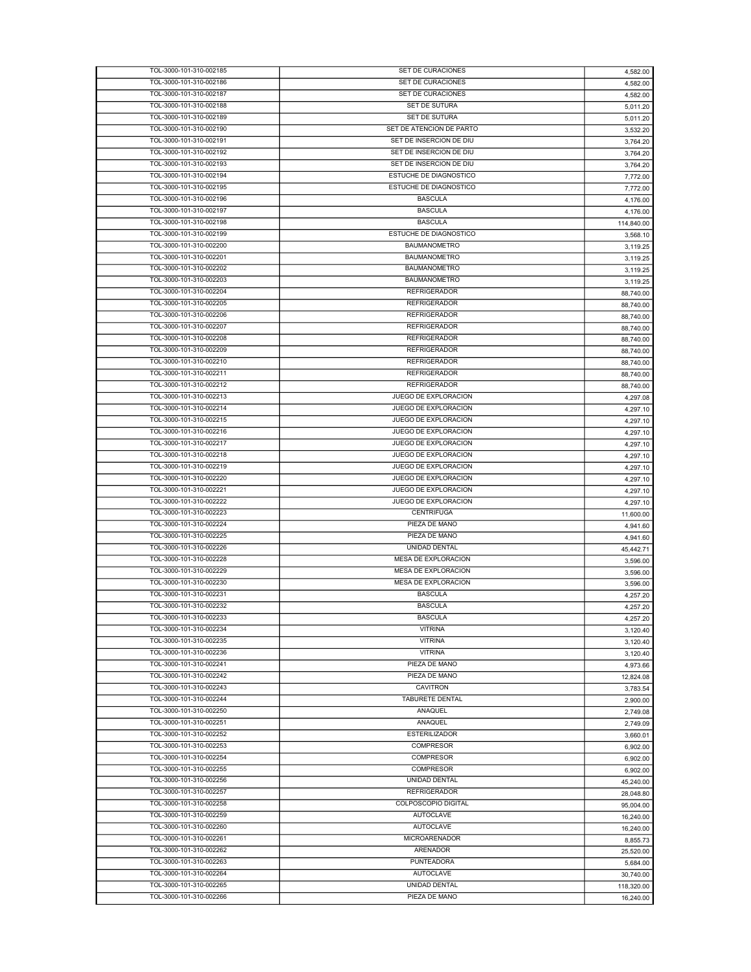| TOL-3000-101-310-002185 | SET DE CURACIONES          | 4,582.00   |
|-------------------------|----------------------------|------------|
| TOL-3000-101-310-002186 | SET DE CURACIONES          | 4,582.00   |
| TOL-3000-101-310-002187 | SET DE CURACIONES          | 4,582.00   |
| TOL-3000-101-310-002188 | SET DE SUTURA              |            |
|                         |                            | 5,011.20   |
| TOL-3000-101-310-002189 | SET DE SUTURA              | 5,011.20   |
| TOL-3000-101-310-002190 | SET DE ATENCION DE PARTO   | 3,532.20   |
| TOL-3000-101-310-002191 | SET DE INSERCION DE DIU    | 3,764.20   |
| TOL-3000-101-310-002192 | SET DE INSERCION DE DIU    | 3,764.20   |
| TOL-3000-101-310-002193 | SET DE INSERCION DE DIU    | 3,764.20   |
| TOL-3000-101-310-002194 | ESTUCHE DE DIAGNOSTICO     |            |
|                         |                            | 7,772.00   |
| TOL-3000-101-310-002195 | ESTUCHE DE DIAGNOSTICO     | 7,772.00   |
| TOL-3000-101-310-002196 | <b>BASCULA</b>             | 4,176.00   |
| TOL-3000-101-310-002197 | <b>BASCULA</b>             | 4,176.00   |
| TOL-3000-101-310-002198 | <b>BASCULA</b>             | 114,840.00 |
| TOL-3000-101-310-002199 | ESTUCHE DE DIAGNOSTICO     | 3,568.10   |
| TOL-3000-101-310-002200 | <b>BAUMANOMETRO</b>        | 3,119.25   |
| TOL-3000-101-310-002201 | <b>BAUMANOMETRO</b>        |            |
|                         |                            | 3,119.25   |
| TOL-3000-101-310-002202 | <b>BAUMANOMETRO</b>        | 3,119.25   |
| TOL-3000-101-310-002203 | <b>BAUMANOMETRO</b>        | 3,119.25   |
| TOL-3000-101-310-002204 | <b>REFRIGERADOR</b>        | 88,740.00  |
| TOL-3000-101-310-002205 | <b>REFRIGERADOR</b>        | 88,740.00  |
| TOL-3000-101-310-002206 | <b>REFRIGERADOR</b>        | 88,740.00  |
| TOL-3000-101-310-002207 | <b>REFRIGERADOR</b>        |            |
|                         |                            | 88,740.00  |
| TOL-3000-101-310-002208 | <b>REFRIGERADOR</b>        | 88,740.00  |
| TOL-3000-101-310-002209 | <b>REFRIGERADOR</b>        | 88,740.00  |
| TOL-3000-101-310-002210 | <b>REFRIGERADOR</b>        | 88,740.00  |
| TOL-3000-101-310-002211 | <b>REFRIGERADOR</b>        | 88,740.00  |
| TOL-3000-101-310-002212 | <b>REFRIGERADOR</b>        | 88,740.00  |
|                         | JUEGO DE EXPLORACION       |            |
| TOL-3000-101-310-002213 |                            | 4,297.08   |
| TOL-3000-101-310-002214 | JUEGO DE EXPLORACION       | 4,297.10   |
| TOL-3000-101-310-002215 | JUEGO DE EXPLORACION       | 4,297.10   |
| TOL-3000-101-310-002216 | JUEGO DE EXPLORACION       | 4,297.10   |
| TOL-3000-101-310-002217 | JUEGO DE EXPLORACION       | 4,297.10   |
| TOL-3000-101-310-002218 | JUEGO DE EXPLORACION       |            |
|                         |                            | 4,297.10   |
| TOL-3000-101-310-002219 | JUEGO DE EXPLORACION       | 4,297.10   |
| TOL-3000-101-310-002220 | JUEGO DE EXPLORACION       | 4,297.10   |
| TOL-3000-101-310-002221 | JUEGO DE EXPLORACION       | 4,297.10   |
| TOL-3000-101-310-002222 | JUEGO DE EXPLORACION       | 4,297.10   |
| TOL-3000-101-310-002223 | <b>CENTRIFUGA</b>          | 11,600.00  |
| TOL-3000-101-310-002224 | PIEZA DE MANO              |            |
|                         |                            | 4,941.60   |
| TOL-3000-101-310-002225 | PIEZA DE MANO              | 4,941.60   |
| TOL-3000-101-310-002226 | UNIDAD DENTAL              | 45,442.71  |
| TOL-3000-101-310-002228 | <b>MESA DE EXPLORACION</b> | 3,596.00   |
| TOL-3000-101-310-002229 | MESA DE EXPLORACION        | 3,596.00   |
| TOL-3000-101-310-002230 | <b>MESA DE EXPLORACION</b> | 3,596.00   |
| TOL-3000-101-310-002231 | <b>BASCULA</b>             |            |
|                         |                            | 4,257.20   |
| TOL-3000-101-310-002232 | <b>BASCULA</b>             | 4,257.20   |
| TOL-3000-101-310-002233 | <b>BASCULA</b>             | 4,257.20   |
| TOL-3000-101-310-002234 | <b>VITRINA</b>             | 3.120.40   |
| TOL-3000-101-310-002235 | <b>VITRINA</b>             | 3,120.40   |
| TOL-3000-101-310-002236 | <b>VITRINA</b>             | 3,120.40   |
| TOL-3000-101-310-002241 | PIEZA DE MANO              |            |
|                         |                            | 4,973.66   |
| TOL-3000-101-310-002242 | PIEZA DE MANO              | 12,824.08  |
| TOL-3000-101-310-002243 | <b>CAVITRON</b>            | 3,783.54   |
| TOL-3000-101-310-002244 | <b>TABURETE DENTAL</b>     | 2,900.00   |
| TOL-3000-101-310-002250 | ANAQUEL                    | 2,749.08   |
| TOL-3000-101-310-002251 | ANAQUEL                    |            |
| TOL-3000-101-310-002252 | <b>ESTERILIZADOR</b>       | 2,749.09   |
|                         |                            | 3,660.01   |
| TOL-3000-101-310-002253 | <b>COMPRESOR</b>           | 6,902.00   |
| TOL-3000-101-310-002254 | <b>COMPRESOR</b>           | 6,902.00   |
| TOL-3000-101-310-002255 | <b>COMPRESOR</b>           | 6,902.00   |
| TOL-3000-101-310-002256 | UNIDAD DENTAL              | 45,240.00  |
| TOL-3000-101-310-002257 | <b>REFRIGERADOR</b>        | 28,048.80  |
| TOL-3000-101-310-002258 | COLPOSCOPIO DIGITAL        |            |
|                         |                            | 95,004.00  |
| TOL-3000-101-310-002259 | <b>AUTOCLAVE</b>           | 16,240.00  |
| TOL-3000-101-310-002260 | <b>AUTOCLAVE</b>           | 16,240.00  |
| TOL-3000-101-310-002261 | <b>MICROARENADOR</b>       | 8,855.73   |
| TOL-3000-101-310-002262 | <b>ARENADOR</b>            | 25,520.00  |
| TOL-3000-101-310-002263 | PUNTEADORA                 |            |
|                         |                            | 5,684.00   |
| TOL-3000-101-310-002264 | <b>AUTOCLAVE</b>           | 30,740.00  |
| TOL-3000-101-310-002265 | UNIDAD DENTAL              | 118,320.00 |
| TOL-3000-101-310-002266 | PIEZA DE MANO              | 16,240.00  |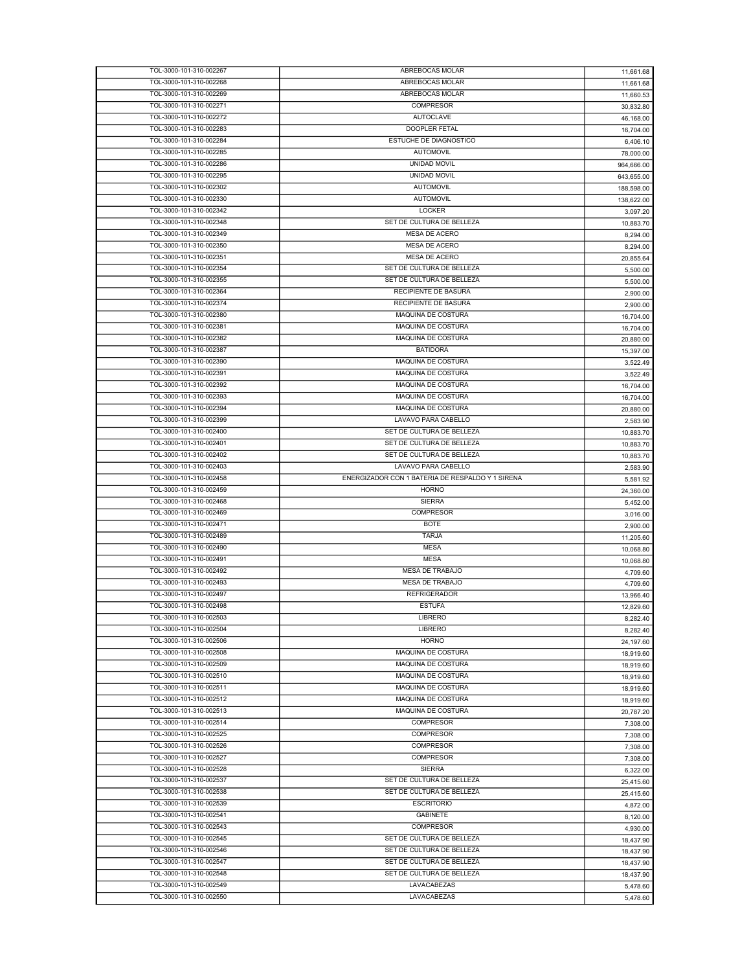| TOL-3000-101-310-002267                            | ABREBOCAS MOLAR                                  | 11,661.68  |
|----------------------------------------------------|--------------------------------------------------|------------|
| TOL-3000-101-310-002268                            | ABREBOCAS MOLAR                                  | 11,661.68  |
| TOL-3000-101-310-002269                            | ABREBOCAS MOLAR                                  | 11,660.53  |
|                                                    | <b>COMPRESOR</b>                                 |            |
| TOL-3000-101-310-002271                            |                                                  | 30,832.80  |
| TOL-3000-101-310-002272                            | <b>AUTOCLAVE</b>                                 | 46,168.00  |
| TOL-3000-101-310-002283                            | <b>DOOPLER FETAL</b>                             | 16,704.00  |
| TOL-3000-101-310-002284                            | ESTUCHE DE DIAGNOSTICO                           | 6,406.10   |
| TOL-3000-101-310-002285                            | <b>AUTOMOVIL</b>                                 | 78,000.00  |
| TOL-3000-101-310-002286                            | <b>UNIDAD MOVIL</b>                              | 964,666.00 |
|                                                    | UNIDAD MOVIL                                     |            |
| TOL-3000-101-310-002295                            |                                                  | 643,655.00 |
| TOL-3000-101-310-002302                            | <b>AUTOMOVIL</b>                                 | 188,598.00 |
| TOL-3000-101-310-002330                            | <b>AUTOMOVIL</b>                                 | 138,622.00 |
| TOL-3000-101-310-002342                            | LOCKER                                           | 3,097.20   |
| TOL-3000-101-310-002348                            | SET DE CULTURA DE BELLEZA                        | 10,883.70  |
| TOL-3000-101-310-002349                            | MESA DE ACERO                                    |            |
|                                                    |                                                  | 8,294.00   |
| TOL-3000-101-310-002350                            | <b>MESA DE ACERO</b>                             | 8,294.00   |
| TOL-3000-101-310-002351                            | MESA DE ACERO                                    | 20,855.64  |
| TOL-3000-101-310-002354                            | SET DE CULTURA DE BELLEZA                        | 5,500.00   |
| TOL-3000-101-310-002355                            | SET DE CULTURA DE BELLEZA                        | 5,500.00   |
| TOL-3000-101-310-002364                            | RECIPIENTE DE BASURA                             |            |
|                                                    |                                                  | 2,900.00   |
| TOL-3000-101-310-002374                            | RECIPIENTE DE BASURA                             | 2,900.00   |
| TOL-3000-101-310-002380                            | MAQUINA DE COSTURA                               | 16,704.00  |
| TOL-3000-101-310-002381                            | MAQUINA DE COSTURA                               | 16,704.00  |
| TOL-3000-101-310-002382                            | MAQUINA DE COSTURA                               | 20,880.00  |
| TOL-3000-101-310-002387                            | <b>BATIDORA</b>                                  | 15,397.00  |
| TOL-3000-101-310-002390                            | MAQUINA DE COSTURA                               |            |
|                                                    |                                                  | 3,522.49   |
| TOL-3000-101-310-002391                            | MAQUINA DE COSTURA                               | 3,522.49   |
| TOL-3000-101-310-002392                            | MAQUINA DE COSTURA                               | 16,704.00  |
| TOL-3000-101-310-002393                            | MAQUINA DE COSTURA                               | 16,704.00  |
| TOL-3000-101-310-002394                            | MAQUINA DE COSTURA                               | 20,880.00  |
| TOL-3000-101-310-002399                            | LAVAVO PARA CABELLO                              |            |
|                                                    |                                                  | 2,583.90   |
| TOL-3000-101-310-002400                            | SET DE CULTURA DE BELLEZA                        | 10,883.70  |
| TOL-3000-101-310-002401                            | SET DE CULTURA DE BELLEZA                        | 10,883.70  |
| TOL-3000-101-310-002402                            | SET DE CULTURA DE BELLEZA                        | 10,883.70  |
| TOL-3000-101-310-002403                            | LAVAVO PARA CABELLO                              | 2,583.90   |
|                                                    |                                                  |            |
|                                                    |                                                  |            |
| TOL-3000-101-310-002458                            | ENERGIZADOR CON 1 BATERIA DE RESPALDO Y 1 SIRENA | 5,581.92   |
| TOL-3000-101-310-002459                            | <b>HORNO</b>                                     | 24,360.00  |
| TOL-3000-101-310-002468                            | <b>SIERRA</b>                                    | 5,452.00   |
| TOL-3000-101-310-002469                            | <b>COMPRESOR</b>                                 | 3,016.00   |
| TOL-3000-101-310-002471                            | <b>BOTE</b>                                      | 2,900.00   |
| TOL-3000-101-310-002489                            | <b>TARJA</b>                                     |            |
|                                                    |                                                  | 11,205.60  |
| TOL-3000-101-310-002490                            | <b>MESA</b>                                      | 10,068.80  |
| TOL-3000-101-310-002491                            | <b>MESA</b>                                      | 10,068.80  |
| TOL-3000-101-310-002492                            | <b>MESA DE TRABAJO</b>                           | 4,709.60   |
| TOL-3000-101-310-002493                            | <b>MESA DE TRABAJO</b>                           | 4,709.60   |
| TOL-3000-101-310-002497                            | <b>REFRIGERADOR</b>                              |            |
|                                                    |                                                  | 13,966.40  |
| TOL-3000-101-310-002498                            | <b>ESTUFA</b>                                    | 12,829.60  |
| TOL-3000-101-310-002503                            | LIBRERO                                          | 8,282.40   |
| TOL-3000-101-310-002504                            | LIBRERO                                          | 8.282.40   |
| TOL-3000-101-310-002506                            | <b>HORNO</b>                                     | 24,197.60  |
| TOL-3000-101-310-002508                            | MAQUINA DE COSTURA                               | 18,919.60  |
| TOL-3000-101-310-002509                            | MAQUINA DE COSTURA                               | 18,919.60  |
|                                                    | MAQUINA DE COSTURA                               |            |
| TOL-3000-101-310-002510                            |                                                  | 18,919.60  |
| TOL-3000-101-310-002511                            | MAQUINA DE COSTURA                               | 18,919.60  |
| TOL-3000-101-310-002512                            | MAQUINA DE COSTURA                               | 18,919.60  |
| TOL-3000-101-310-002513                            | MAQUINA DE COSTURA                               | 20,787.20  |
| TOL-3000-101-310-002514                            | <b>COMPRESOR</b>                                 | 7,308.00   |
| TOL-3000-101-310-002525                            | <b>COMPRESOR</b>                                 |            |
|                                                    |                                                  | 7,308.00   |
| TOL-3000-101-310-002526                            | COMPRESOR                                        | 7,308.00   |
| TOL-3000-101-310-002527                            | <b>COMPRESOR</b>                                 | 7,308.00   |
| TOL-3000-101-310-002528                            | <b>SIERRA</b>                                    | 6,322.00   |
| TOL-3000-101-310-002537                            | SET DE CULTURA DE BELLEZA                        | 25,415.60  |
| TOL-3000-101-310-002538                            | SET DE CULTURA DE BELLEZA                        |            |
|                                                    |                                                  | 25,415.60  |
| TOL-3000-101-310-002539                            | <b>ESCRITORIO</b>                                | 4,872.00   |
| TOL-3000-101-310-002541                            | <b>GABINETE</b>                                  | 8,120.00   |
| TOL-3000-101-310-002543                            | <b>COMPRESOR</b>                                 | 4,930.00   |
| TOL-3000-101-310-002545                            | SET DE CULTURA DE BELLEZA                        | 18,437.90  |
| TOL-3000-101-310-002546                            | SET DE CULTURA DE BELLEZA                        |            |
|                                                    |                                                  | 18,437.90  |
| TOL-3000-101-310-002547                            | SET DE CULTURA DE BELLEZA                        | 18,437.90  |
| TOL-3000-101-310-002548                            | SET DE CULTURA DE BELLEZA                        | 18,437.90  |
| TOL-3000-101-310-002549<br>TOL-3000-101-310-002550 | LAVACABEZAS<br>LAVACABEZAS                       | 5,478.60   |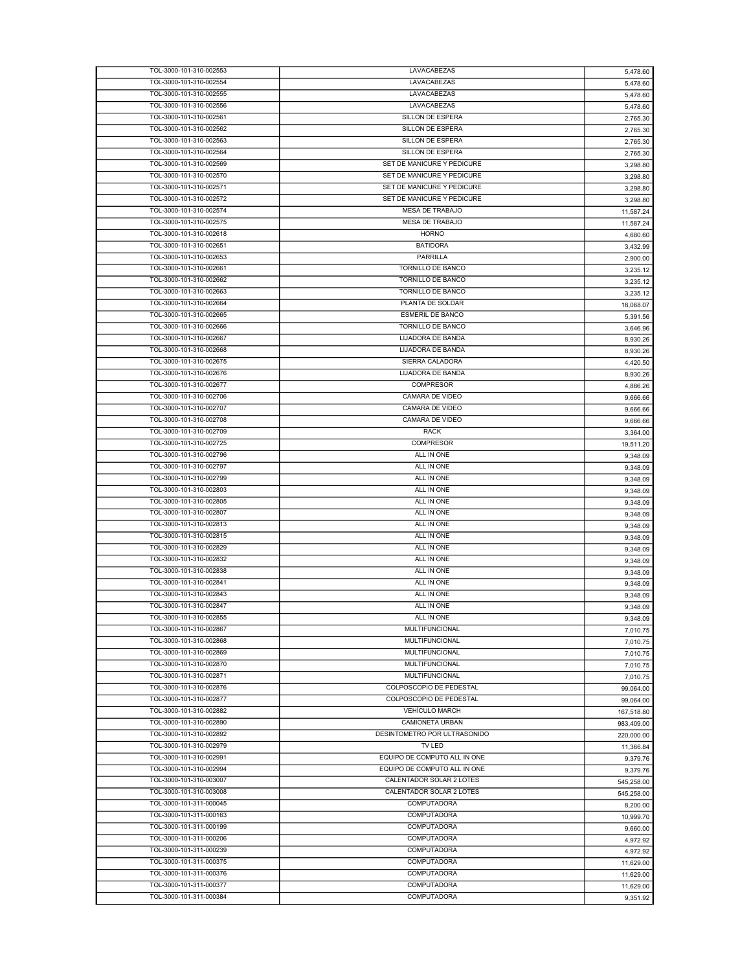| TOL-3000-101-310-002553 | LAVACABEZAS                  | 5,478.60   |
|-------------------------|------------------------------|------------|
| TOL-3000-101-310-002554 | LAVACABEZAS                  | 5,478.60   |
| TOL-3000-101-310-002555 | LAVACABEZAS                  | 5,478.60   |
| TOL-3000-101-310-002556 | LAVACABEZAS                  | 5,478.60   |
| TOL-3000-101-310-002561 | SILLON DE ESPERA             | 2,765.30   |
| TOL-3000-101-310-002562 | SILLON DE ESPERA             | 2,765.30   |
| TOL-3000-101-310-002563 | SILLON DE ESPERA             | 2,765.30   |
| TOL-3000-101-310-002564 | SILLON DE ESPERA             |            |
| TOL-3000-101-310-002569 | SET DE MANICURE Y PEDICURE   | 2,765.30   |
|                         | SET DE MANICURE Y PEDICURE   | 3,298.80   |
| TOL-3000-101-310-002570 |                              | 3,298.80   |
| TOL-3000-101-310-002571 | SET DE MANICURE Y PEDICURE   | 3,298.80   |
| TOL-3000-101-310-002572 | SET DE MANICURE Y PEDICURE   | 3,298.80   |
| TOL-3000-101-310-002574 | <b>MESA DE TRABAJO</b>       | 11,587.24  |
| TOL-3000-101-310-002575 | MESA DE TRABAJO              | 11.587.24  |
| TOL-3000-101-310-002618 | <b>HORNO</b>                 | 4,680.60   |
| TOL-3000-101-310-002651 | <b>BATIDORA</b>              | 3,432.99   |
| TOL-3000-101-310-002653 | PARRILLA                     | 2,900.00   |
| TOL-3000-101-310-002661 | <b>TORNILLO DE BANCO</b>     | 3,235.12   |
| TOL-3000-101-310-002662 | TORNILLO DE BANCO            | 3,235.12   |
| TOL-3000-101-310-002663 | <b>TORNILLO DE BANCO</b>     |            |
| TOL-3000-101-310-002664 | PLANTA DE SOLDAR             | 3,235.12   |
|                         |                              | 18,068.07  |
| TOL-3000-101-310-002665 | <b>ESMERIL DE BANCO</b>      | 5,391.56   |
| TOL-3000-101-310-002666 | <b>TORNILLO DE BANCO</b>     | 3,646.96   |
| TOL-3000-101-310-002667 | LIJADORA DE BANDA            | 8,930.26   |
| TOL-3000-101-310-002668 | LIJADORA DE BANDA            | 8,930.26   |
| TOL-3000-101-310-002675 | SIERRA CALADORA              | 4,420.50   |
| TOL-3000-101-310-002676 | LIJADORA DE BANDA            | 8,930.26   |
| TOL-3000-101-310-002677 | <b>COMPRESOR</b>             | 4,886.26   |
| TOL-3000-101-310-002706 | CAMARA DE VIDEO              | 9,666.66   |
| TOL-3000-101-310-002707 | CAMARA DE VIDEO              | 9,666.66   |
| TOL-3000-101-310-002708 | <b>CAMARA DE VIDEO</b>       |            |
| TOL-3000-101-310-002709 | <b>RACK</b>                  | 9,666.66   |
|                         |                              | 3,364.00   |
| TOL-3000-101-310-002725 | COMPRESOR                    | 19,511.20  |
| TOL-3000-101-310-002796 | ALL IN ONE                   | 9,348.09   |
| TOL-3000-101-310-002797 | ALL IN ONE                   | 9,348.09   |
| TOL-3000-101-310-002799 | ALL IN ONE                   | 9,348.09   |
| TOL-3000-101-310-002803 | ALL IN ONE                   | 9,348.09   |
| TOL-3000-101-310-002805 | ALL IN ONE                   | 9,348.09   |
| TOL-3000-101-310-002807 | ALL IN ONE                   | 9,348.09   |
| TOL-3000-101-310-002813 | ALL IN ONE                   | 9,348.09   |
| TOL-3000-101-310-002815 | ALL IN ONE                   | 9,348.09   |
| TOL-3000-101-310-002829 | ALL IN ONE                   | 9,348.09   |
| TOL-3000-101-310-002832 | ALL IN ONE                   |            |
|                         |                              | 9,348.09   |
| TOL-3000-101-310-002838 | ALL IN ONE                   | 9,348.09   |
| TOL-3000-101-310-002841 | ALL IN ONE                   | 9,348.09   |
| TOL-3000-101-310-002843 | ALL IN ONE                   | 9,348.09   |
| TOL-3000-101-310-002847 | ALL IN ONE                   | 9,348.09   |
| TOL-3000-101-310-002855 | ALL IN ONE                   | 9,348.09   |
| TOL-3000-101-310-002867 | MULTIFUNCIONAL               | 7,010.75   |
| TOL-3000-101-310-002868 | <b>MULTIFUNCIONAL</b>        | 7,010.75   |
| TOL-3000-101-310-002869 | MULTIFUNCIONAL               | 7,010.75   |
| TOL-3000-101-310-002870 | <b>MULTIFUNCIONAL</b>        | 7,010.75   |
| TOL-3000-101-310-002871 | <b>MULTIFUNCIONAL</b>        |            |
| TOL-3000-101-310-002876 | COLPOSCOPIO DE PEDESTAL      | 7,010.75   |
|                         |                              | 99.064.00  |
| TOL-3000-101-310-002877 | COLPOSCOPIO DE PEDESTAL      | 99,064.00  |
| TOL-3000-101-310-002882 | <b>VEHÍCULO MARCH</b>        | 167,518.80 |
| TOL-3000-101-310-002890 | CAMIONETA URBAN              | 983.409.00 |
| TOL-3000-101-310-002892 | DESINTOMETRO POR ULTRASONIDO | 220,000.00 |
| TOL-3000-101-310-002979 | TV LED                       | 11,366.84  |
| TOL-3000-101-310-002991 | EQUIPO DE COMPUTO ALL IN ONE | 9,379.76   |
| TOL-3000-101-310-002994 | EQUIPO DE COMPUTO ALL IN ONE | 9,379.76   |
| TOL-3000-101-310-003007 | CALENTADOR SOLAR 2 LOTES     | 545,258.00 |
| TOL-3000-101-310-003008 | CALENTADOR SOLAR 2 LOTES     | 545,258.00 |
| TOL-3000-101-311-000045 | <b>COMPUTADORA</b>           |            |
|                         |                              | 8,200.00   |
| TOL-3000-101-311-000163 | <b>COMPUTADORA</b>           | 10,999.70  |
| TOL-3000-101-311-000199 | <b>COMPUTADORA</b>           | 9,660.00   |
| TOL-3000-101-311-000206 | COMPUTADORA                  | 4,972.92   |
| TOL-3000-101-311-000239 | <b>COMPUTADORA</b>           | 4,972.92   |
| TOL-3000-101-311-000375 | <b>COMPUTADORA</b>           | 11,629.00  |
| TOL-3000-101-311-000376 | COMPUTADORA                  | 11,629.00  |
| TOL-3000-101-311-000377 | COMPUTADORA                  | 11,629.00  |
| TOL-3000-101-311-000384 | <b>COMPUTADORA</b>           | 9,351.92   |
|                         |                              |            |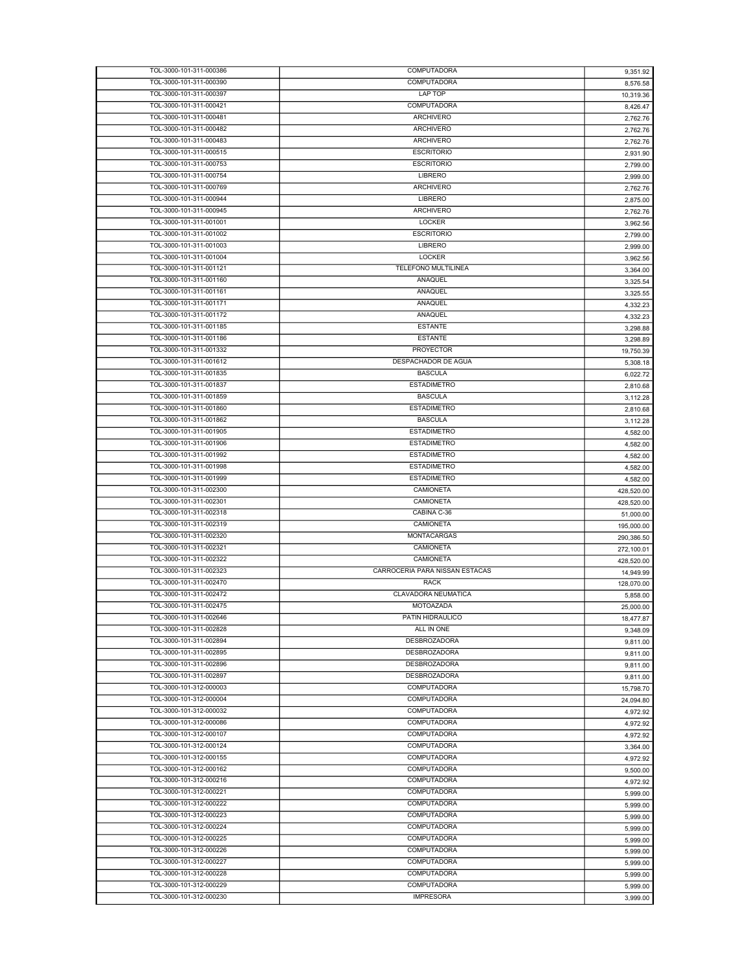| TOL-3000-101-311-000386                            | COMPUTADORA                    | 9,351.92             |
|----------------------------------------------------|--------------------------------|----------------------|
| TOL-3000-101-311-000390                            | <b>COMPUTADORA</b>             | 8,576.58             |
| TOL-3000-101-311-000397                            | LAP TOP                        | 10,319.36            |
| TOL-3000-101-311-000421                            | COMPUTADORA                    | 8,426.47             |
| TOL-3000-101-311-000481                            | <b>ARCHIVERO</b>               | 2,762.76             |
| TOL-3000-101-311-000482                            | <b>ARCHIVERO</b>               | 2,762.76             |
| TOL-3000-101-311-000483                            | <b>ARCHIVERO</b>               | 2,762.76             |
| TOL-3000-101-311-000515                            | <b>ESCRITORIO</b>              | 2,931.90             |
| TOL-3000-101-311-000753                            | <b>ESCRITORIO</b>              | 2,799.00             |
| TOL-3000-101-311-000754                            | LIBRERO                        | 2,999.00             |
| TOL-3000-101-311-000769                            | <b>ARCHIVERO</b>               | 2,762.76             |
| TOL-3000-101-311-000944                            | LIBRERO                        | 2,875.00             |
| TOL-3000-101-311-000945                            | ARCHIVERO                      | 2,762.76             |
| TOL-3000-101-311-001001                            | <b>LOCKER</b>                  | 3,962.56             |
| TOL-3000-101-311-001002                            | <b>ESCRITORIO</b>              | 2.799.00             |
| TOL-3000-101-311-001003                            | LIBRERO                        | 2,999.00             |
| TOL-3000-101-311-001004                            | LOCKER                         | 3,962.56             |
| TOL-3000-101-311-001121                            | TELEFONO MULTILINEA            | 3,364.00             |
| TOL-3000-101-311-001160                            | ANAQUEL                        |                      |
| TOL-3000-101-311-001161                            | ANAQUEL                        | 3,325.54             |
| TOL-3000-101-311-001171                            | ANAQUEL                        | 3,325.55             |
|                                                    |                                | 4,332.23             |
| TOL-3000-101-311-001172<br>TOL-3000-101-311-001185 | ANAQUEL<br><b>ESTANTE</b>      | 4,332.23             |
|                                                    |                                | 3,298.88             |
| TOL-3000-101-311-001186                            | <b>ESTANTE</b>                 | 3,298.89             |
| TOL-3000-101-311-001332                            | <b>PROYECTOR</b>               | 19,750.39            |
| TOL-3000-101-311-001612                            | DESPACHADOR DE AGUA            | 5,308.18             |
| TOL-3000-101-311-001835                            | <b>BASCULA</b>                 | 6,022.72             |
| TOL-3000-101-311-001837                            | <b>ESTADIMETRO</b>             | 2,810.68             |
| TOL-3000-101-311-001859                            | <b>BASCULA</b>                 | 3,112.28             |
| TOL-3000-101-311-001860                            | <b>ESTADIMETRO</b>             | 2,810.68             |
| TOL-3000-101-311-001862                            | <b>BASCULA</b>                 | 3,112.28             |
| TOL-3000-101-311-001905                            | <b>ESTADIMETRO</b>             | 4,582.00             |
| TOL-3000-101-311-001906                            | <b>ESTADIMETRO</b>             | 4,582.00             |
| TOL-3000-101-311-001992                            | <b>ESTADIMETRO</b>             | 4,582.00             |
| TOL-3000-101-311-001998                            | <b>ESTADIMETRO</b>             | 4,582.00             |
| TOL-3000-101-311-001999                            | <b>ESTADIMETRO</b>             | 4,582.00             |
| TOL-3000-101-311-002300                            | CAMIONETA                      | 428,520.00           |
| TOL-3000-101-311-002301                            | CAMIONETA                      | 428,520.00           |
| TOL-3000-101-311-002318                            | CABINA C-36                    | 51,000.00            |
| TOL-3000-101-311-002319                            | CAMIONETA                      | 195,000.00           |
| TOL-3000-101-311-002320                            | MONTACARGAS                    | 290,386.50           |
| TOL-3000-101-311-002321                            | CAMIONETA                      | 272,100.01           |
| TOL-3000-101-311-002322                            | <b>CAMIONETA</b>               | 428,520.00           |
| TOL-3000-101-311-002323                            | CARROCERIA PARA NISSAN ESTACAS | 14,949.99            |
| TOL-3000-101-311-002470                            | <b>RACK</b>                    | 128,070.00           |
| TOL-3000-101-311-002472                            | CLAVADORA NEUMATICA            | 5,858.00             |
| TOL-3000-101-311-002475                            | <b>MOTOAZADA</b>               | 25,000.00            |
| TOL-3000-101-311-002646                            | PATIN HIDRAULICO               | 18,477.87            |
| TOL-3000-101-311-002828                            | ALL IN ONE                     | 9,348.09             |
| TOL-3000-101-311-002894                            | DESBROZADORA                   | 9,811.00             |
| TOL-3000-101-311-002895                            | <b>DESBROZADORA</b>            | 9,811.00             |
| TOL-3000-101-311-002896                            | <b>DESBROZADORA</b>            | 9,811.00             |
| TOL-3000-101-311-002897                            | <b>DESBROZADORA</b>            | 9,811.00             |
| TOL-3000-101-312-000003                            | COMPUTADORA                    | 15,798.70            |
| TOL-3000-101-312-000004                            | <b>COMPUTADORA</b>             | 24,094.80            |
| TOL-3000-101-312-000032                            | COMPUTADORA                    | 4,972.92             |
| TOL-3000-101-312-000086                            | COMPUTADORA                    | 4,972.92             |
| TOL-3000-101-312-000107                            | <b>COMPUTADORA</b>             |                      |
| TOL-3000-101-312-000124                            | COMPUTADORA                    | 4,972.92             |
| TOL-3000-101-312-000155                            | COMPUTADORA                    | 3,364.00<br>4,972.92 |
| TOL-3000-101-312-000162                            | <b>COMPUTADORA</b>             |                      |
| TOL-3000-101-312-000216                            | COMPUTADORA                    | 9,500.00             |
| TOL-3000-101-312-000221                            | COMPUTADORA                    | 4,972.92             |
|                                                    |                                | 5,999.00             |
| TOL-3000-101-312-000222                            | COMPUTADORA                    | 5,999.00             |
| TOL-3000-101-312-000223                            | COMPUTADORA                    | 5,999.00             |
| TOL-3000-101-312-000224                            | COMPUTADORA                    | 5,999.00             |
| TOL-3000-101-312-000225                            | COMPUTADORA                    | 5,999.00             |
| TOL-3000-101-312-000226                            | <b>COMPUTADORA</b>             | 5,999.00             |
| TOL-3000-101-312-000227                            | COMPUTADORA                    | 5,999.00             |
| TOL-3000-101-312-000228                            | COMPUTADORA                    | 5,999.00             |
| TOL-3000-101-312-000229                            | <b>COMPUTADORA</b>             | 5,999.00             |
| TOL-3000-101-312-000230                            | <b>IMPRESORA</b>               | 3,999.00             |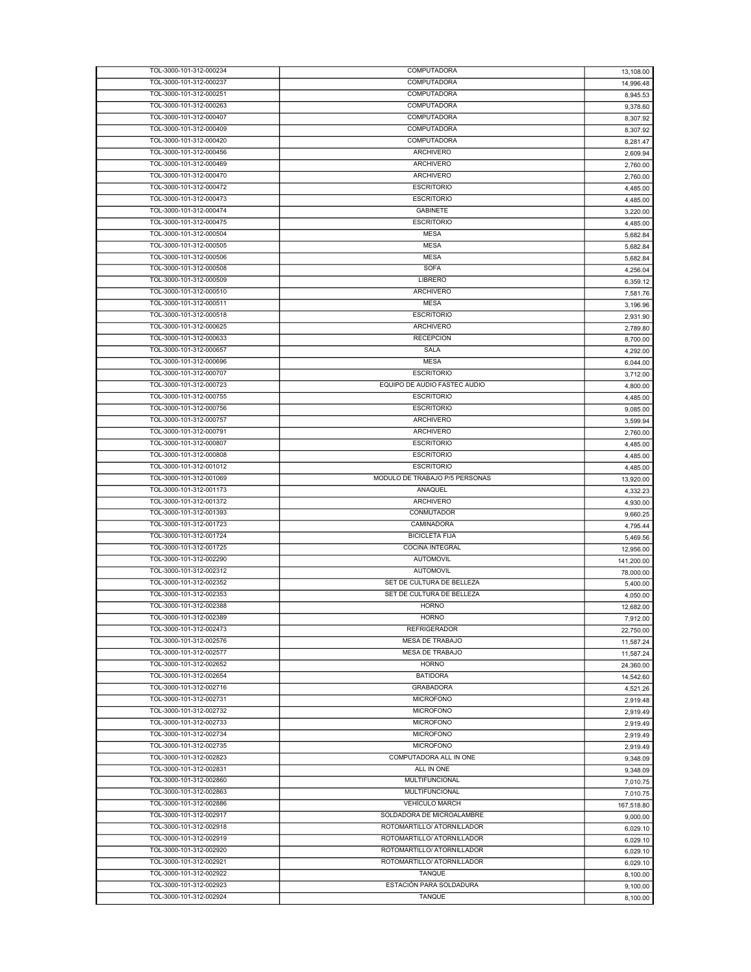| TOL-3000-101-312-000234 | COMPUTADORA                    | 13,108.00  |
|-------------------------|--------------------------------|------------|
| TOL-3000-101-312-000237 | COMPUTADORA                    | 14,996.48  |
| TOL-3000-101-312-000251 | COMPUTADORA                    | 8,945.53   |
| TOL-3000-101-312-000263 | COMPUTADORA                    | 9,378.60   |
| TOL-3000-101-312-000407 | COMPUTADORA                    | 8,307.92   |
| TOL-3000-101-312-000409 | COMPUTADORA                    | 8,307.92   |
| TOL-3000-101-312-000420 | COMPUTADORA                    |            |
| TOL-3000-101-312-000456 | <b>ARCHIVERO</b>               | 8,281.47   |
|                         |                                | 2,609.94   |
| TOL-3000-101-312-000469 | <b>ARCHIVERO</b>               | 2,760.00   |
| TOL-3000-101-312-000470 | <b>ARCHIVERO</b>               | 2,760.00   |
| TOL-3000-101-312-000472 | <b>ESCRITORIO</b>              | 4,485.00   |
| TOL-3000-101-312-000473 | <b>ESCRITORIO</b>              | 4,485.00   |
| TOL-3000-101-312-000474 | <b>GABINETE</b>                | 3,220.00   |
| TOL-3000-101-312-000475 | <b>ESCRITORIO</b>              | 4,485.00   |
| TOL-3000-101-312-000504 | <b>MESA</b>                    | 5,682.84   |
| TOL-3000-101-312-000505 | <b>MESA</b>                    | 5,682.84   |
| TOL-3000-101-312-000506 | <b>MESA</b>                    | 5,682.84   |
| TOL-3000-101-312-000508 | <b>SOFA</b>                    |            |
| TOL-3000-101-312-000509 | LIBRERO                        | 4,256.04   |
|                         |                                | 6,359.12   |
| TOL-3000-101-312-000510 | <b>ARCHIVERO</b>               | 7,581.76   |
| TOL-3000-101-312-000511 | <b>MESA</b>                    | 3,196.96   |
| TOL-3000-101-312-000518 | <b>ESCRITORIO</b>              | 2,931.90   |
| TOL-3000-101-312-000625 | <b>ARCHIVERO</b>               | 2,789.80   |
| TOL-3000-101-312-000633 | <b>RECEPCION</b>               | 8,700.00   |
| TOL-3000-101-312-000657 | SALA                           | 4,292.00   |
| TOL-3000-101-312-000696 | <b>MESA</b>                    | 6,044.00   |
| TOL-3000-101-312-000707 | <b>ESCRITORIO</b>              | 3,712.00   |
| TOL-3000-101-312-000723 | EQUIPO DE AUDIO FASTEC AUDIO   | 4,800.00   |
| TOL-3000-101-312-000755 | <b>ESCRITORIO</b>              |            |
| TOL-3000-101-312-000756 | <b>ESCRITORIO</b>              | 4,485.00   |
|                         |                                | 9,085.00   |
| TOL-3000-101-312-000757 | <b>ARCHIVERO</b>               | 3,599.94   |
| TOL-3000-101-312-000791 | <b>ARCHIVERO</b>               | 2,760.00   |
| TOL-3000-101-312-000807 | <b>ESCRITORIO</b>              | 4,485.00   |
| TOL-3000-101-312-000808 | <b>ESCRITORIO</b>              | 4,485.00   |
| TOL-3000-101-312-001012 | <b>ESCRITORIO</b>              | 4,485.00   |
| TOL-3000-101-312-001069 | MODULO DE TRABAJO P/5 PERSONAS | 13,920.00  |
| TOL-3000-101-312-001173 | ANAQUEL                        | 4,332.23   |
| TOL-3000-101-312-001372 | <b>ARCHIVERO</b>               | 4,930.00   |
| TOL-3000-101-312-001393 | CONMUTADOR                     | 9,660.25   |
| TOL-3000-101-312-001723 | CAMINADORA                     |            |
| TOL-3000-101-312-001724 | <b>BICICLETA FIJA</b>          | 4,795.44   |
|                         |                                | 5,469.56   |
| TOL-3000-101-312-001725 | <b>COCINA INTEGRAL</b>         | 12.956.00  |
| TOL-3000-101-312-002290 | <b>AUTOMOVIL</b>               | 141,200.00 |
| TOL-3000-101-312-002312 | <b>AUTOMOVIL</b>               | 78,000.00  |
| TOL-3000-101-312-002352 | SET DE CULTURA DE BELLEZA      | 5,400.00   |
| TOL-3000-101-312-002353 | SET DE CULTURA DE BELLEZA      | 4,050.00   |
| TOL-3000-101-312-002388 | <b>HORNO</b>                   | 12.682.00  |
| TOL-3000-101-312-002389 | <b>HORNO</b>                   | 7,912.00   |
| TOL-3000-101-312-002473 | <b>REFRIGERADOR</b>            | 22,750.00  |
| TOL-3000-101-312-002576 | <b>MESA DE TRABAJO</b>         | 11,587.24  |
| TOL-3000-101-312-002577 | MESA DE TRABAJO                |            |
|                         | <b>HORNO</b>                   | 11,587.24  |
| TOL-3000-101-312-002652 |                                | 24,360.00  |
| TOL-3000-101-312-002654 | <b>BATIDORA</b>                | 14,542.60  |
| TOL-3000-101-312-002716 | <b>GRABADORA</b>               | 4,521.26   |
| TOL-3000-101-312-002731 | <b>MICROFONO</b>               | 2,919.48   |
| TOL-3000-101-312-002732 | <b>MICROFONO</b>               | 2,919.49   |
| TOL-3000-101-312-002733 | <b>MICROFONO</b>               | 2,919.49   |
| TOL-3000-101-312-002734 | <b>MICROFONO</b>               | 2,919.49   |
| TOL-3000-101-312-002735 | <b>MICROFONO</b>               | 2,919.49   |
| TOL-3000-101-312-002823 | COMPUTADORA ALL IN ONE         | 9,348.09   |
| TOL-3000-101-312-002831 | ALL IN ONE                     | 9,348.09   |
| TOL-3000-101-312-002860 | MULTIFUNCIONAL                 |            |
|                         |                                | 7,010.75   |
| TOL-3000-101-312-002863 | MULTIFUNCIONAL                 | 7,010.75   |
| TOL-3000-101-312-002886 | <b>VEHÍCULO MARCH</b>          | 167,518.80 |
| TOL-3000-101-312-002917 | SOLDADORA DE MICROALAMBRE      | 9,000.00   |
| TOL-3000-101-312-002918 | ROTOMARTILLO/ ATORNILLADOR     | 6,029.10   |
| TOL-3000-101-312-002919 | ROTOMARTILLO/ ATORNILLADOR     | 6,029.10   |
| TOL-3000-101-312-002920 | ROTOMARTILLO/ ATORNILLADOR     | 6,029.10   |
| TOL-3000-101-312-002921 | ROTOMARTILLO/ ATORNILLADOR     | 6,029.10   |
| TOL-3000-101-312-002922 | TANQUE                         | 8,100.00   |
| TOL-3000-101-312-002923 | ESTACIÓN PARA SOLDADURA        | 9,100.00   |
| TOL-3000-101-312-002924 | TANQUE                         |            |
|                         |                                | 8,100.00   |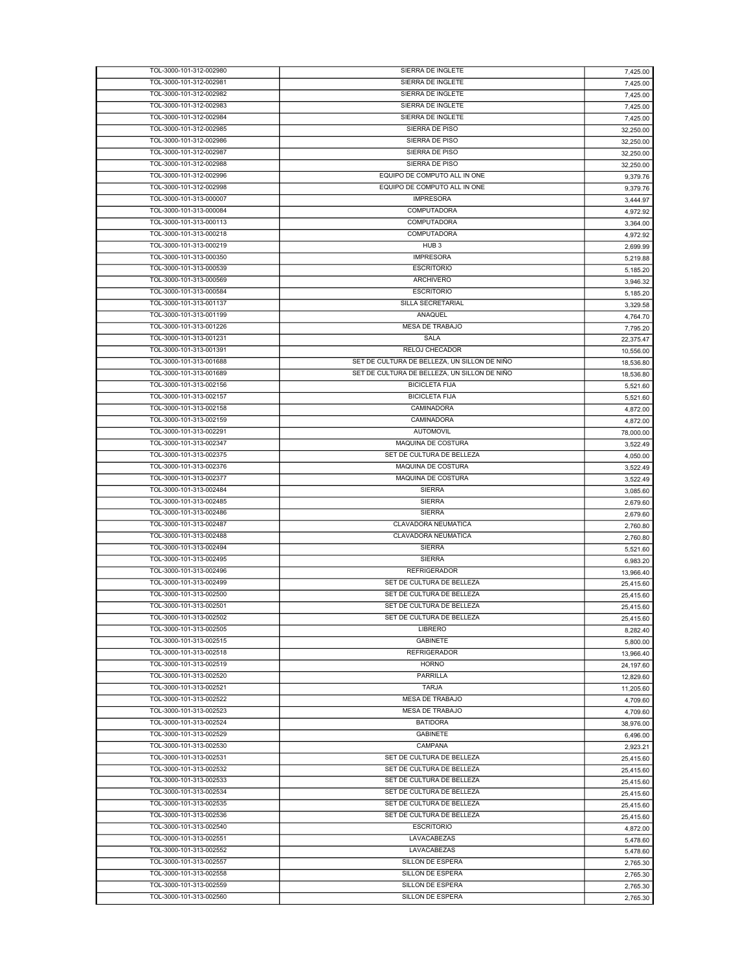| TOL-3000-101-312-002980                            | SIERRA DE INGLETE                            | 7,425.00             |
|----------------------------------------------------|----------------------------------------------|----------------------|
| TOL-3000-101-312-002981                            | SIERRA DE INGLETE                            | 7,425.00             |
| TOL-3000-101-312-002982                            | SIERRA DE INGLETE                            | 7,425.00             |
|                                                    |                                              |                      |
| TOL-3000-101-312-002983                            | SIERRA DE INGLETE                            | 7,425.00             |
| TOL-3000-101-312-002984                            | SIERRA DE INGLETE                            | 7,425.00             |
| TOL-3000-101-312-002985                            | SIERRA DE PISO                               | 32,250.00            |
| TOL-3000-101-312-002986                            | SIERRA DE PISO                               | 32,250.00            |
| TOL-3000-101-312-002987                            | SIERRA DE PISO                               | 32,250.00            |
| TOL-3000-101-312-002988                            | SIERRA DE PISO                               | 32,250.00            |
|                                                    | EQUIPO DE COMPUTO ALL IN ONE                 |                      |
| TOL-3000-101-312-002996                            |                                              | 9,379.76             |
| TOL-3000-101-312-002998                            | EQUIPO DE COMPUTO ALL IN ONE                 | 9,379.76             |
| TOL-3000-101-313-000007                            | <b>IMPRESORA</b>                             | 3,444.97             |
| TOL-3000-101-313-000084                            | COMPUTADORA                                  | 4,972.92             |
| TOL-3000-101-313-000113                            | COMPUTADORA                                  | 3,364.00             |
| TOL-3000-101-313-000218                            | COMPUTADORA                                  |                      |
|                                                    |                                              | 4,972.92             |
| TOL-3000-101-313-000219                            | HUB <sub>3</sub>                             | 2,699.99             |
| TOL-3000-101-313-000350                            | <b>IMPRESORA</b>                             | 5,219.88             |
| TOL-3000-101-313-000539                            | <b>ESCRITORIO</b>                            | 5,185.20             |
| TOL-3000-101-313-000569                            | <b>ARCHIVERO</b>                             | 3,946.32             |
| TOL-3000-101-313-000584                            | <b>ESCRITORIO</b>                            |                      |
|                                                    |                                              | 5,185.20             |
| TOL-3000-101-313-001137                            | SILLA SECRETARIAL                            | 3,329.58             |
| TOL-3000-101-313-001199                            | ANAQUEL                                      | 4,764.70             |
| TOL-3000-101-313-001226                            | MESA DE TRABAJO                              | 7,795.20             |
| TOL-3000-101-313-001231                            | SALA                                         | 22,375.47            |
| TOL-3000-101-313-001391                            | RELOJ CHECADOR                               | 10,556.00            |
| TOL-3000-101-313-001688                            | SET DE CULTURA DE BELLEZA, UN SILLON DE NIÑO |                      |
|                                                    |                                              | 18,536.80            |
| TOL-3000-101-313-001689                            | SET DE CULTURA DE BELLEZA. UN SILLON DE NIÑO | 18,536.80            |
| TOL-3000-101-313-002156                            | <b>BICICLETA FIJA</b>                        | 5,521.60             |
| TOL-3000-101-313-002157                            | <b>BICICLETA FIJA</b>                        | 5,521.60             |
| TOL-3000-101-313-002158                            | CAMINADORA                                   | 4,872.00             |
| TOL-3000-101-313-002159                            | CAMINADORA                                   |                      |
|                                                    |                                              | 4,872.00             |
| TOL-3000-101-313-002291                            | <b>AUTOMOVIL</b>                             | 78,000.00            |
| TOL-3000-101-313-002347                            | MAQUINA DE COSTURA                           | 3,522.49             |
| TOL-3000-101-313-002375                            | SET DE CULTURA DE BELLEZA                    | 4,050.00             |
| TOL-3000-101-313-002376                            | MAQUINA DE COSTURA                           | 3,522.49             |
| TOL-3000-101-313-002377                            | MAQUINA DE COSTURA                           | 3,522.49             |
|                                                    |                                              |                      |
|                                                    |                                              |                      |
| TOL-3000-101-313-002484                            | <b>SIERRA</b>                                | 3,085.60             |
| TOL-3000-101-313-002485                            | <b>SIERRA</b>                                | 2,679.60             |
| TOL-3000-101-313-002486                            | <b>SIERRA</b>                                | 2,679.60             |
| TOL-3000-101-313-002487                            | CLAVADORA NEUMATICA                          | 2,760.80             |
| TOL-3000-101-313-002488                            | CLAVADORA NEUMATICA                          |                      |
|                                                    |                                              | 2,760.80             |
| TOL-3000-101-313-002494                            | <b>SIERRA</b>                                | 5,521.60             |
| TOL-3000-101-313-002495                            | <b>SIERRA</b>                                | 6,983.20             |
| TOL-3000-101-313-002496                            | <b>REFRIGERADOR</b>                          | 13,966.40            |
| TOL-3000-101-313-002499                            | SET DE CULTURA DE BELLEZA                    | 25,415.60            |
| TOL-3000-101-313-002500                            | SET DE CULTURA DE BELLEZA                    |                      |
|                                                    |                                              | 25,415.60            |
| TOL-3000-101-313-002501                            | SET DE CULTURA DE BELLEZA                    | 25,415.60            |
| TOL-3000-101-313-002502                            | SET DE CULTURA DE BELLEZA                    | 25,415.60            |
| TOL-3000-101-313-002505                            | <b>LIBRERO</b>                               | 8.282.40             |
| TOL-3000-101-313-002515                            | <b>GABINETE</b>                              | 5,800.00             |
| TOL-3000-101-313-002518                            | <b>REFRIGERADOR</b>                          | 13,966.40            |
| TOL-3000-101-313-002519                            | <b>HORNO</b>                                 |                      |
| TOL-3000-101-313-002520                            | <b>PARRILLA</b>                              | 24,197.60            |
|                                                    |                                              | 12,829.60            |
| TOL-3000-101-313-002521                            | <b>TARJA</b>                                 | 11,205.60            |
| TOL-3000-101-313-002522                            | MESA DE TRABAJO                              | 4,709.60             |
| TOL-3000-101-313-002523                            | <b>MESA DE TRABAJO</b>                       | 4,709.60             |
| TOL-3000-101-313-002524                            | <b>BATIDORA</b>                              |                      |
|                                                    |                                              | 38,976.00            |
| TOL-3000-101-313-002529                            | <b>GABINETE</b>                              | 6,496.00             |
| TOL-3000-101-313-002530                            | CAMPANA                                      | 2,923.21             |
| TOL-3000-101-313-002531                            | SET DE CULTURA DE BELLEZA                    | 25,415.60            |
| TOL-3000-101-313-002532                            | SET DE CULTURA DE BELLEZA                    | 25,415.60            |
| TOL-3000-101-313-002533                            | SET DE CULTURA DE BELLEZA                    | 25,415.60            |
| TOL-3000-101-313-002534                            | SET DE CULTURA DE BELLEZA                    |                      |
|                                                    |                                              | 25,415.60            |
| TOL-3000-101-313-002535                            | SET DE CULTURA DE BELLEZA                    | 25,415.60            |
| TOL-3000-101-313-002536                            | SET DE CULTURA DE BELLEZA                    | 25,415.60            |
| TOL-3000-101-313-002540                            | <b>ESCRITORIO</b>                            | 4,872.00             |
| TOL-3000-101-313-002551                            | LAVACABEZAS                                  | 5,478.60             |
| TOL-3000-101-313-002552                            | LAVACABEZAS                                  | 5,478.60             |
|                                                    |                                              |                      |
| TOL-3000-101-313-002557                            | SILLON DE ESPERA                             | 2,765.30             |
| TOL-3000-101-313-002558                            | SILLON DE ESPERA                             | 2,765.30             |
| TOL-3000-101-313-002559<br>TOL-3000-101-313-002560 | SILLON DE ESPERA<br>SILLON DE ESPERA         | 2,765.30<br>2,765.30 |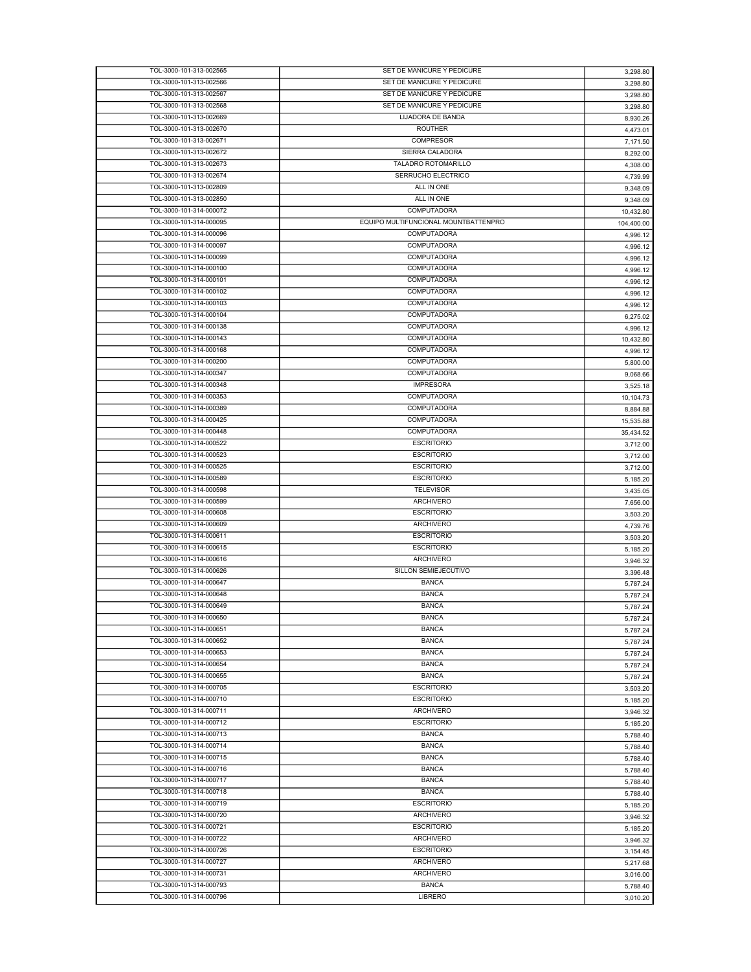| TOL-3000-101-313-002565 | SET DE MANICURE Y PEDICURE           | 3,298.80   |
|-------------------------|--------------------------------------|------------|
| TOL-3000-101-313-002566 | SET DE MANICURE Y PEDICURE           | 3,298.80   |
| TOL-3000-101-313-002567 | SET DE MANICURE Y PEDICURE           | 3,298.80   |
| TOL-3000-101-313-002568 | SET DE MANICURE Y PEDICURE           | 3,298.80   |
| TOL-3000-101-313-002669 | LIJADORA DE BANDA                    | 8,930.26   |
| TOL-3000-101-313-002670 | <b>ROUTHER</b>                       | 4,473.01   |
| TOL-3000-101-313-002671 | <b>COMPRESOR</b>                     | 7,171.50   |
| TOL-3000-101-313-002672 | SIERRA CALADORA                      | 8,292.00   |
| TOL-3000-101-313-002673 | TALADRO ROTOMARILLO                  | 4,308.00   |
| TOL-3000-101-313-002674 | SERRUCHO ELECTRICO                   | 4,739.99   |
| TOL-3000-101-313-002809 | ALL IN ONE                           | 9,348.09   |
| TOL-3000-101-313-002850 | ALL IN ONE                           | 9,348.09   |
| TOL-3000-101-314-000072 | COMPUTADORA                          | 10,432.80  |
| TOL-3000-101-314-000095 | EQUIPO MULTIFUNCIONAL MOUNTBATTENPRO | 104,400.00 |
| TOL-3000-101-314-000096 | COMPUTADORA                          | 4,996.12   |
| TOL-3000-101-314-000097 | COMPUTADORA                          | 4,996.12   |
| TOL-3000-101-314-000099 | COMPUTADORA                          | 4,996.12   |
| TOL-3000-101-314-000100 | <b>COMPUTADORA</b>                   |            |
| TOL-3000-101-314-000101 | <b>COMPUTADORA</b>                   | 4,996.12   |
| TOL-3000-101-314-000102 | COMPUTADORA                          | 4,996.12   |
|                         | <b>COMPUTADORA</b>                   | 4,996.12   |
| TOL-3000-101-314-000103 |                                      | 4,996.12   |
| TOL-3000-101-314-000104 | COMPUTADORA                          | 6,275.02   |
| TOL-3000-101-314-000138 | COMPUTADORA                          | 4,996.12   |
| TOL-3000-101-314-000143 | COMPUTADORA                          | 10,432.80  |
| TOL-3000-101-314-000168 | COMPUTADORA                          | 4,996.12   |
| TOL-3000-101-314-000200 | COMPUTADORA                          | 5,800.00   |
| TOL-3000-101-314-000347 | COMPUTADORA                          | 9,068.66   |
| TOL-3000-101-314-000348 | <b>IMPRESORA</b>                     | 3,525.18   |
| TOL-3000-101-314-000353 | COMPUTADORA                          | 10,104.73  |
| TOL-3000-101-314-000389 | COMPUTADORA                          | 8,884.88   |
| TOL-3000-101-314-000425 | COMPUTADORA                          | 15,535.88  |
| TOL-3000-101-314-000448 | <b>COMPUTADORA</b>                   | 35,434.52  |
| TOL-3000-101-314-000522 | <b>ESCRITORIO</b>                    | 3,712.00   |
| TOL-3000-101-314-000523 | <b>ESCRITORIO</b>                    | 3,712.00   |
| TOL-3000-101-314-000525 | <b>ESCRITORIO</b>                    | 3,712.00   |
| TOL-3000-101-314-000589 | <b>ESCRITORIO</b>                    | 5,185.20   |
| TOL-3000-101-314-000598 | <b>TELEVISOR</b>                     | 3,435.05   |
| TOL-3000-101-314-000599 | <b>ARCHIVERO</b>                     | 7,656.00   |
| TOL-3000-101-314-000608 | <b>ESCRITORIO</b>                    | 3,503.20   |
| TOL-3000-101-314-000609 | <b>ARCHIVERO</b>                     | 4,739.76   |
| TOL-3000-101-314-000611 | <b>ESCRITORIO</b>                    | 3,503.20   |
| TOL-3000-101-314-000615 | <b>ESCRITORIO</b>                    | 5,185.20   |
| TOL-3000-101-314-000616 | <b>ARCHIVERO</b>                     | 3,946.32   |
| TOL-3000-101-314-000626 | SILLON SEMIEJECUTIVO                 | 3,396.48   |
| TOL-3000-101-314-000647 | <b>BANCA</b>                         | 5,787.24   |
| TOL-3000-101-314-000648 | <b>BANCA</b>                         | 5.787.24   |
| TOL-3000-101-314-000649 | <b>BANCA</b>                         | 5,787.24   |
| TOL-3000-101-314-000650 | <b>BANCA</b>                         | 5,787.24   |
| TOL-3000-101-314-000651 | <b>BANCA</b>                         | 5,787.24   |
| TOL-3000-101-314-000652 | <b>BANCA</b>                         | 5,787.24   |
| TOL-3000-101-314-000653 | <b>BANCA</b>                         | 5,787.24   |
| TOL-3000-101-314-000654 | <b>BANCA</b>                         | 5,787.24   |
| TOL-3000-101-314-000655 | <b>BANCA</b>                         | 5,787.24   |
| TOL-3000-101-314-000705 | <b>ESCRITORIO</b>                    | 3,503.20   |
| TOL-3000-101-314-000710 | <b>ESCRITORIO</b>                    | 5,185.20   |
| TOL-3000-101-314-000711 | <b>ARCHIVERO</b>                     | 3,946.32   |
| TOL-3000-101-314-000712 | <b>ESCRITORIO</b>                    | 5,185.20   |
| TOL-3000-101-314-000713 | <b>BANCA</b>                         | 5,788.40   |
| TOL-3000-101-314-000714 | <b>BANCA</b>                         | 5,788.40   |
| TOL-3000-101-314-000715 | <b>BANCA</b>                         | 5,788.40   |
| TOL-3000-101-314-000716 | <b>BANCA</b>                         | 5,788.40   |
| TOL-3000-101-314-000717 | <b>BANCA</b>                         | 5,788.40   |
| TOL-3000-101-314-000718 | <b>BANCA</b>                         | 5,788.40   |
| TOL-3000-101-314-000719 | <b>ESCRITORIO</b>                    | 5,185.20   |
| TOL-3000-101-314-000720 | <b>ARCHIVERO</b>                     | 3,946.32   |
| TOL-3000-101-314-000721 | <b>ESCRITORIO</b>                    | 5,185.20   |
| TOL-3000-101-314-000722 | <b>ARCHIVERO</b>                     | 3,946.32   |
| TOL-3000-101-314-000726 | <b>ESCRITORIO</b>                    | 3,154.45   |
| TOL-3000-101-314-000727 | ARCHIVERO                            | 5,217.68   |
| TOL-3000-101-314-000731 | ARCHIVERO                            | 3,016.00   |
| TOL-3000-101-314-000793 | <b>BANCA</b>                         | 5,788.40   |
| TOL-3000-101-314-000796 | LIBRERO                              | 3,010.20   |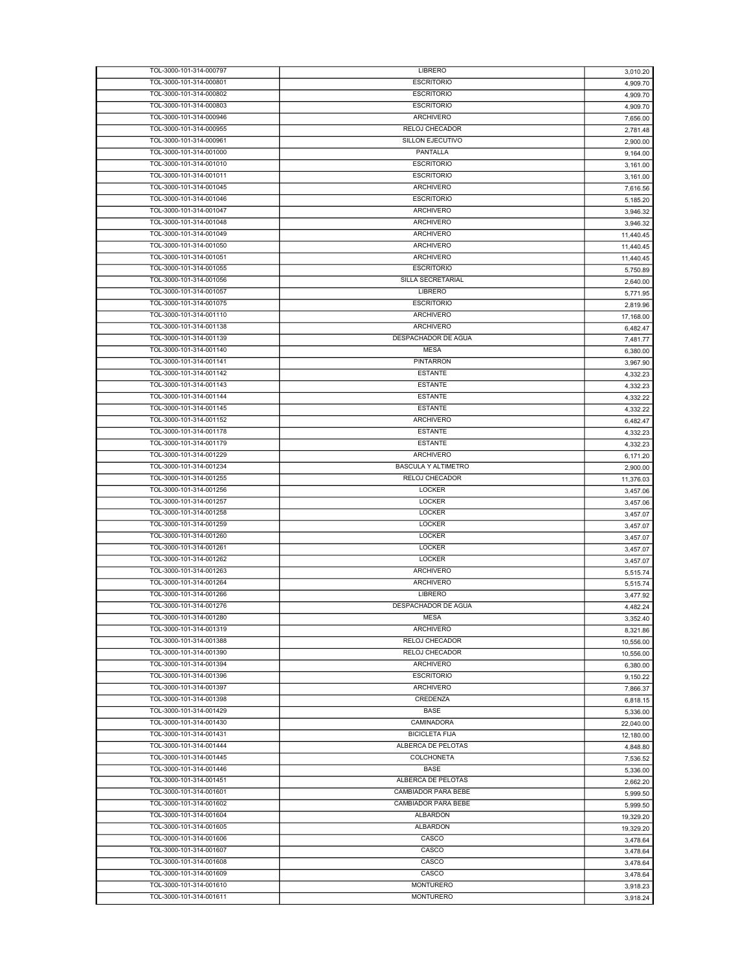| TOL-3000-101-314-000797 | LIBRERO                    | 3,010.20  |
|-------------------------|----------------------------|-----------|
| TOL-3000-101-314-000801 | <b>ESCRITORIO</b>          | 4,909.70  |
| TOL-3000-101-314-000802 | <b>ESCRITORIO</b>          | 4,909.70  |
| TOL-3000-101-314-000803 | <b>ESCRITORIO</b>          | 4,909.70  |
| TOL-3000-101-314-000946 | <b>ARCHIVERO</b>           | 7,656.00  |
| TOL-3000-101-314-000955 | <b>RELOJ CHECADOR</b>      | 2,781.48  |
| TOL-3000-101-314-000961 | <b>SILLON EJECUTIVO</b>    |           |
|                         |                            | 2,900.00  |
| TOL-3000-101-314-001000 | PANTALLA                   | 9,164.00  |
| TOL-3000-101-314-001010 | <b>ESCRITORIO</b>          | 3,161.00  |
| TOL-3000-101-314-001011 | <b>ESCRITORIO</b>          | 3,161.00  |
| TOL-3000-101-314-001045 | <b>ARCHIVERO</b>           | 7,616.56  |
| TOL-3000-101-314-001046 | <b>ESCRITORIO</b>          | 5,185.20  |
| TOL-3000-101-314-001047 | ARCHIVERO                  | 3,946.32  |
| TOL-3000-101-314-001048 | <b>ARCHIVERO</b>           | 3,946.32  |
| TOL-3000-101-314-001049 | <b>ARCHIVERO</b>           | 11,440.45 |
| TOL-3000-101-314-001050 | <b>ARCHIVERO</b>           | 11,440.45 |
| TOL-3000-101-314-001051 | <b>ARCHIVERO</b>           | 11,440.45 |
| TOL-3000-101-314-001055 | <b>ESCRITORIO</b>          |           |
|                         |                            | 5,750.89  |
| TOL-3000-101-314-001056 | SILLA SECRETARIAL          | 2,640.00  |
| TOL-3000-101-314-001057 | LIBRERO                    | 5,771.95  |
| TOL-3000-101-314-001075 | <b>ESCRITORIO</b>          | 2,819.96  |
| TOL-3000-101-314-001110 | <b>ARCHIVERO</b>           | 17,168.00 |
| TOL-3000-101-314-001138 | <b>ARCHIVERO</b>           | 6,482.47  |
| TOL-3000-101-314-001139 | DESPACHADOR DE AGUA        | 7,481.77  |
| TOL-3000-101-314-001140 | <b>MESA</b>                | 6,380.00  |
| TOL-3000-101-314-001141 | PINTARRON                  | 3,967.90  |
| TOL-3000-101-314-001142 | <b>ESTANTE</b>             | 4,332.23  |
| TOL-3000-101-314-001143 | <b>ESTANTE</b>             |           |
| TOL-3000-101-314-001144 |                            | 4,332.23  |
|                         | <b>ESTANTE</b>             | 4,332.22  |
| TOL-3000-101-314-001145 | <b>ESTANTE</b>             | 4,332.22  |
| TOL-3000-101-314-001152 | <b>ARCHIVERO</b>           | 6,482.47  |
| TOL-3000-101-314-001178 | <b>ESTANTE</b>             | 4,332.23  |
| TOL-3000-101-314-001179 | <b>ESTANTE</b>             | 4,332.23  |
| TOL-3000-101-314-001229 | <b>ARCHIVERO</b>           | 6,171.20  |
| TOL-3000-101-314-001234 | <b>BASCULA Y ALTIMETRO</b> | 2,900.00  |
| TOL-3000-101-314-001255 | RELOJ CHECADOR             | 11,376.03 |
| TOL-3000-101-314-001256 | <b>LOCKER</b>              | 3,457.06  |
| TOL-3000-101-314-001257 | LOCKER                     |           |
| TOL-3000-101-314-001258 | LOCKER                     | 3,457.06  |
|                         |                            | 3,457.07  |
| TOL-3000-101-314-001259 | <b>LOCKER</b>              | 3,457.07  |
| TOL-3000-101-314-001260 | LOCKER                     | 3,457.07  |
| TOL-3000-101-314-001261 | <b>LOCKER</b>              | 3,457.07  |
| TOL-3000-101-314-001262 | <b>LOCKER</b>              | 3,457.07  |
| TOL-3000-101-314-001263 | <b>ARCHIVERO</b>           | 5,515.74  |
| TOL-3000-101-314-001264 | <b>ARCHIVERO</b>           | 5,515.74  |
| TOL-3000-101-314-001266 | LIBRERO                    | 3.477.92  |
| TOL-3000-101-314-001276 | DESPACHADOR DE AGUA        | 4,482.24  |
| TOL-3000-101-314-001280 | MESA                       |           |
| TOL-3000-101-314-001319 | <b>ARCHIVERO</b>           | 3,352.40  |
| TOL-3000-101-314-001388 | RELOJ CHECADOR             | 8,321.86  |
|                         |                            | 10,556.00 |
| TOL-3000-101-314-001390 | RELOJ CHECADOR             | 10,556.00 |
| TOL-3000-101-314-001394 | <b>ARCHIVERO</b>           | 6,380.00  |
| TOL-3000-101-314-001396 | <b>ESCRITORIO</b>          | 9,150.22  |
| TOL-3000-101-314-001397 | <b>ARCHIVERO</b>           | 7,866.37  |
| TOL-3000-101-314-001398 | CREDENZA                   | 6,818.15  |
| TOL-3000-101-314-001429 | <b>BASE</b>                | 5,336.00  |
| TOL-3000-101-314-001430 | CAMINADORA                 | 22,040.00 |
| TOL-3000-101-314-001431 | <b>BICICLETA FIJA</b>      | 12,180.00 |
| TOL-3000-101-314-001444 | ALBERCA DE PELOTAS         | 4,848.80  |
| TOL-3000-101-314-001445 | COLCHONETA                 |           |
|                         |                            | 7,536.52  |
| TOL-3000-101-314-001446 | <b>BASE</b>                | 5,336.00  |
| TOL-3000-101-314-001451 | ALBERCA DE PELOTAS         | 2,662.20  |
| TOL-3000-101-314-001601 | CAMBIADOR PARA BEBE        | 5,999.50  |
| TOL-3000-101-314-001602 | CAMBIADOR PARA BEBE        | 5,999.50  |
| TOL-3000-101-314-001604 | <b>ALBARDON</b>            | 19,329.20 |
| TOL-3000-101-314-001605 | <b>ALBARDON</b>            | 19,329.20 |
| TOL-3000-101-314-001606 | CASCO                      | 3,478.64  |
| TOL-3000-101-314-001607 | CASCO                      | 3,478.64  |
| TOL-3000-101-314-001608 | CASCO                      | 3,478.64  |
| TOL-3000-101-314-001609 | CASCO                      |           |
|                         |                            | 3,478.64  |
| TOL-3000-101-314-001610 | <b>MONTURERO</b>           | 3,918.23  |
| TOL-3000-101-314-001611 | <b>MONTURERO</b>           | 3,918.24  |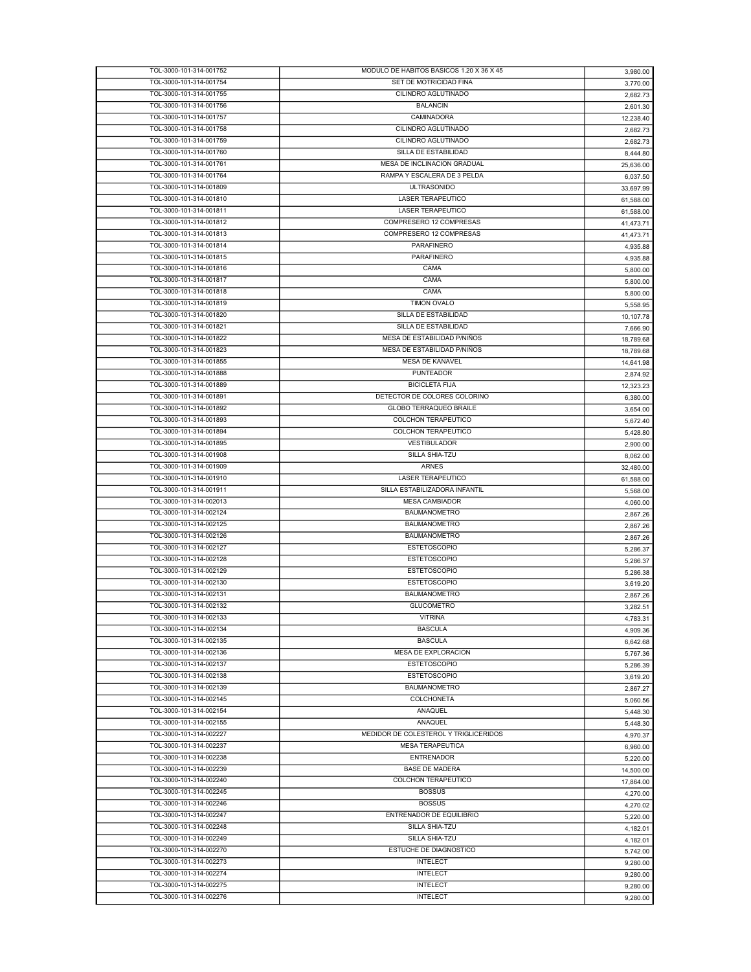| TOL-3000-101-314-001752 | MODULO DE HABITOS BASICOS 1.20 X 36 X 45 | 3,980.00  |
|-------------------------|------------------------------------------|-----------|
| TOL-3000-101-314-001754 | SET DE MOTRICIDAD FINA                   | 3,770.00  |
| TOL-3000-101-314-001755 | CILINDRO AGLUTINADO                      | 2,682.73  |
|                         |                                          |           |
| TOL-3000-101-314-001756 | <b>BALANCIN</b>                          | 2,601.30  |
| TOL-3000-101-314-001757 | CAMINADORA                               | 12,238.40 |
| TOL-3000-101-314-001758 | CILINDRO AGLUTINADO                      | 2,682.73  |
| TOL-3000-101-314-001759 | CILINDRO AGLUTINADO                      | 2,682.73  |
| TOL-3000-101-314-001760 | SILLA DE ESTABILIDAD                     | 8.444.80  |
| TOL-3000-101-314-001761 | MESA DE INCLINACION GRADUAL              | 25,636.00 |
|                         | RAMPA Y ESCALERA DE 3 PELDA              |           |
| TOL-3000-101-314-001764 |                                          | 6,037.50  |
| TOL-3000-101-314-001809 | <b>ULTRASONIDO</b>                       | 33,697.99 |
| TOL-3000-101-314-001810 | <b>LASER TERAPEUTICO</b>                 | 61,588.00 |
| TOL-3000-101-314-001811 | <b>LASER TERAPEUTICO</b>                 | 61,588.00 |
| TOL-3000-101-314-001812 | COMPRESERO 12 COMPRESAS                  | 41.473.71 |
| TOL-3000-101-314-001813 | COMPRESERO 12 COMPRESAS                  |           |
|                         |                                          | 41,473.71 |
| TOL-3000-101-314-001814 | <b>PARAFINERO</b>                        | 4,935.88  |
| TOL-3000-101-314-001815 | <b>PARAFINERO</b>                        | 4,935.88  |
| TOL-3000-101-314-001816 | CAMA                                     | 5,800.00  |
| TOL-3000-101-314-001817 | CAMA                                     | 5,800.00  |
| TOL-3000-101-314-001818 | CAMA                                     |           |
|                         |                                          | 5,800.00  |
| TOL-3000-101-314-001819 | <b>TIMON OVALO</b>                       | 5,558.95  |
| TOL-3000-101-314-001820 | SILLA DE ESTABILIDAD                     | 10,107.78 |
| TOL-3000-101-314-001821 | SILLA DE ESTABILIDAD                     | 7,666.90  |
| TOL-3000-101-314-001822 | MESA DE ESTABILIDAD P/NIÑOS              | 18,789.68 |
| TOL-3000-101-314-001823 | MESA DE ESTABILIDAD P/NIÑOS              | 18,789.68 |
| TOL-3000-101-314-001855 | MESA DE KANAVEL                          |           |
|                         |                                          | 14,641.98 |
| TOL-3000-101-314-001888 | <b>PUNTEADOR</b>                         | 2,874.92  |
| TOL-3000-101-314-001889 | <b>BICICLETA FIJA</b>                    | 12,323.23 |
| TOL-3000-101-314-001891 | DETECTOR DE COLORES COLORINO             | 6,380.00  |
| TOL-3000-101-314-001892 | GLOBO TERRAQUEO BRAILE                   | 3,654.00  |
| TOL-3000-101-314-001893 | COLCHON TERAPEUTICO                      |           |
|                         |                                          | 5,672.40  |
| TOL-3000-101-314-001894 | COLCHON TERAPEUTICO                      | 5,428.80  |
| TOL-3000-101-314-001895 | VESTIBULADOR                             | 2,900.00  |
| TOL-3000-101-314-001908 | SILLA SHIA-TZU                           | 8,062.00  |
| TOL-3000-101-314-001909 | ARNES                                    | 32,480.00 |
| TOL-3000-101-314-001910 | <b>LASER TERAPEUTICO</b>                 | 61,588.00 |
| TOL-3000-101-314-001911 | SILLA ESTABILIZADORA INFANTIL            |           |
|                         |                                          | 5,568.00  |
| TOL-3000-101-314-002013 | <b>MESA CAMBIADOR</b>                    | 4,060.00  |
| TOL-3000-101-314-002124 | <b>BAUMANOMETRO</b>                      | 2,867.26  |
| TOL-3000-101-314-002125 | <b>BAUMANOMETRO</b>                      | 2,867.26  |
| TOL-3000-101-314-002126 | <b>BAUMANOMETRO</b>                      | 2,867.26  |
| TOL-3000-101-314-002127 | <b>ESTETOSCOPIO</b>                      | 5,286.37  |
|                         |                                          |           |
| TOL-3000-101-314-002128 | <b>ESTETOSCOPIO</b>                      | 5,286.37  |
| TOL-3000-101-314-002129 | <b>ESTETOSCOPIO</b>                      | 5,286.38  |
| TOL-3000-101-314-002130 | <b>ESTETOSCOPIO</b>                      | 3,619.20  |
| TOL-3000-101-314-002131 | <b>BAUMANOMETRO</b>                      | 2,867.26  |
| TOL-3000-101-314-002132 | <b>GLUCOMETRO</b>                        | 3.282.51  |
|                         | <b>VITRINA</b>                           |           |
| TOL-3000-101-314-002133 |                                          | 4,783.31  |
| TOL-3000-101-314-002134 | <b>BASCULA</b>                           | 4.909.36  |
| TOL-3000-101-314-002135 | <b>BASCULA</b>                           | 6,642.68  |
| TOL-3000-101-314-002136 | MESA DE EXPLORACION                      | 5,767.36  |
| TOL-3000-101-314-002137 | <b>ESTETOSCOPIO</b>                      | 5.286.39  |
| TOL-3000-101-314-002138 | <b>ESTETOSCOPIO</b>                      |           |
|                         |                                          | 3,619.20  |
| TOL-3000-101-314-002139 | <b>BAUMANOMETRO</b>                      | 2,867.27  |
| TOL-3000-101-314-002145 | <b>COLCHONETA</b>                        | 5,060.56  |
| TOL-3000-101-314-002154 | ANAQUEL                                  | 5,448.30  |
| TOL-3000-101-314-002155 | ANAQUEL                                  | 5,448.30  |
| TOL-3000-101-314-002227 | MEDIDOR DE COLESTEROL Y TRIGLICERIDOS    | 4,970.37  |
| TOL-3000-101-314-002237 | MESA TERAPEUTICA                         |           |
|                         |                                          | 6,960.00  |
| TOL-3000-101-314-002238 | <b>ENTRENADOR</b>                        | 5,220.00  |
| TOL-3000-101-314-002239 | <b>BASE DE MADERA</b>                    | 14,500.00 |
| TOL-3000-101-314-002240 | COLCHON TERAPEUTICO                      | 17,864.00 |
| TOL-3000-101-314-002245 | <b>BOSSUS</b>                            | 4,270.00  |
| TOL-3000-101-314-002246 | <b>BOSSUS</b>                            |           |
|                         |                                          | 4,270.02  |
| TOL-3000-101-314-002247 | ENTRENADOR DE EQUILIBRIO                 | 5,220.00  |
| TOL-3000-101-314-002248 | SILLA SHIA-TZU                           | 4,182.01  |
| TOL-3000-101-314-002249 | SILLA SHIA-TZU                           | 4,182.01  |
| TOL-3000-101-314-002270 | ESTUCHE DE DIAGNOSTICO                   | 5,742.00  |
| TOL-3000-101-314-002273 | <b>INTELECT</b>                          |           |
|                         |                                          | 9,280.00  |
| TOL-3000-101-314-002274 | <b>INTELECT</b>                          | 9,280.00  |
| TOL-3000-101-314-002275 | <b>INTELECT</b>                          | 9,280.00  |
| TOL-3000-101-314-002276 |                                          |           |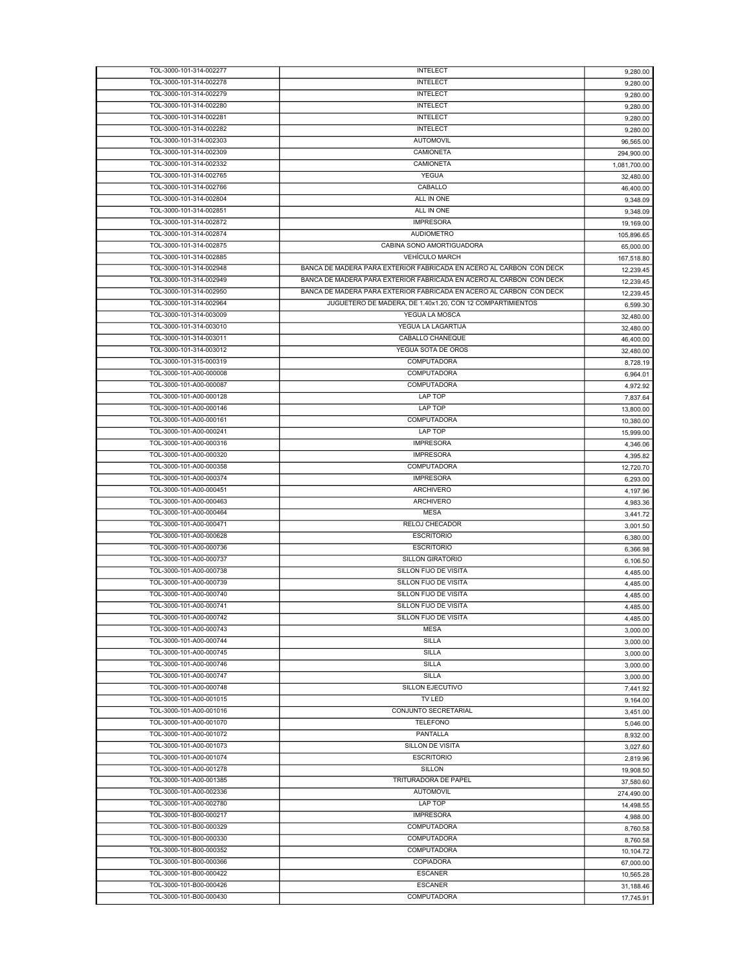| TOL-3000-101-314-002277 | <b>INTELECT</b>                                                     | 9,280.00     |
|-------------------------|---------------------------------------------------------------------|--------------|
| TOL-3000-101-314-002278 | <b>INTELECT</b>                                                     | 9,280.00     |
| TOL-3000-101-314-002279 | <b>INTELECT</b>                                                     | 9,280.00     |
| TOL-3000-101-314-002280 | <b>INTELECT</b>                                                     |              |
|                         |                                                                     | 9,280.00     |
| TOL-3000-101-314-002281 | <b>INTELECT</b>                                                     | 9,280.00     |
| TOL-3000-101-314-002282 | <b>INTELECT</b>                                                     | 9,280.00     |
| TOL-3000-101-314-002303 | <b>AUTOMOVIL</b>                                                    | 96,565.00    |
| TOL-3000-101-314-002309 | CAMIONETA                                                           | 294,900.00   |
| TOL-3000-101-314-002332 | CAMIONETA                                                           |              |
|                         |                                                                     | 1,081,700.00 |
| TOL-3000-101-314-002765 | <b>YEGUA</b>                                                        | 32,480.00    |
| TOL-3000-101-314-002766 | CABALLO                                                             | 46,400.00    |
| TOL-3000-101-314-002804 | ALL IN ONE                                                          | 9,348.09     |
| TOL-3000-101-314-002851 | ALL IN ONE                                                          | 9,348.09     |
| TOL-3000-101-314-002872 | <b>IMPRESORA</b>                                                    |              |
|                         | <b>AUDIOMETRO</b>                                                   | 19,169.00    |
| TOL-3000-101-314-002874 |                                                                     | 105,896.65   |
| TOL-3000-101-314-002875 | CABINA SONO AMORTIGUADORA                                           | 65,000.00    |
| TOL-3000-101-314-002885 | <b>VEHÍCULO MARCH</b>                                               | 167,518.80   |
| TOL-3000-101-314-002948 | BANCA DE MADERA PARA EXTERIOR FABRICADA EN ACERO AL CARBON CON DECK | 12,239.45    |
| TOL-3000-101-314-002949 | BANCA DE MADERA PARA EXTERIOR FABRICADA EN ACERO AL CARBON CON DECK | 12,239.45    |
| TOL-3000-101-314-002950 | BANCA DE MADERA PARA EXTERIOR FABRICADA EN ACERO AL CARBON CON DECK |              |
|                         |                                                                     | 12,239.45    |
| TOL-3000-101-314-002964 | JUGUETERO DE MADERA, DE 1.40x1.20, CON 12 COMPARTIMIENTOS           | 6,599.30     |
| TOL-3000-101-314-003009 | YEGUA LA MOSCA                                                      | 32,480.00    |
| TOL-3000-101-314-003010 | YEGUA LA LAGARTIJA                                                  | 32,480.00    |
| TOL-3000-101-314-003011 | CABALLO CHANEQUE                                                    | 46,400.00    |
| TOL-3000-101-314-003012 | YEGUA SOTA DE OROS                                                  | 32,480.00    |
|                         | COMPUTADORA                                                         |              |
| TOL-3000-101-315-000319 |                                                                     | 8,728.19     |
| TOL-3000-101-A00-000008 | COMPUTADORA                                                         | 6,964.01     |
| TOL-3000-101-A00-000087 | <b>COMPUTADORA</b>                                                  | 4,972.92     |
| TOL-3000-101-A00-000128 | LAP TOP                                                             | 7,837.64     |
| TOL-3000-101-A00-000146 | LAP TOP                                                             | 13,800.00    |
| TOL-3000-101-A00-000161 | <b>COMPUTADORA</b>                                                  |              |
|                         |                                                                     | 10,380.00    |
| TOL-3000-101-A00-000241 | <b>LAP TOP</b>                                                      | 15,999.00    |
| TOL-3000-101-A00-000316 | <b>IMPRESORA</b>                                                    | 4,346.06     |
| TOL-3000-101-A00-000320 | <b>IMPRESORA</b>                                                    | 4,395.82     |
| TOL-3000-101-A00-000358 | COMPUTADORA                                                         | 12,720.70    |
| TOL-3000-101-A00-000374 | <b>IMPRESORA</b>                                                    |              |
|                         |                                                                     | 6,293.00     |
| TOL-3000-101-A00-000451 | <b>ARCHIVERO</b>                                                    | 4,197.96     |
| TOL-3000-101-A00-000463 | <b>ARCHIVERO</b>                                                    | 4,983.36     |
| TOL-3000-101-A00-000464 | <b>MESA</b>                                                         | 3,441.72     |
| TOL-3000-101-A00-000471 | RELOJ CHECADOR                                                      | 3,001.50     |
| TOL-3000-101-A00-000628 | <b>ESCRITORIO</b>                                                   | 6,380.00     |
| TOL-3000-101-A00-000736 | <b>ESCRITORIO</b>                                                   |              |
|                         |                                                                     | 6.366.98     |
| TOL-3000-101-A00-000737 | <b>SILLON GIRATORIO</b>                                             | 6,106.50     |
| TOL-3000-101-A00-000738 | SILLON FIJO DE VISITA                                               | 4,485.00     |
| TOL-3000-101-A00-000739 | SILLON FIJO DE VISITA                                               | 4,485.00     |
| TOL-3000-101-A00-000740 | SILLON FIJO DE VISITA                                               | 4,485.00     |
| TOL-3000-101-A00-000741 | SILLON FIJO DE VISITA                                               |              |
|                         |                                                                     | 4.485.00     |
| TOL-3000-101-A00-000742 | SILLON FIJO DE VISITA                                               | 4,485.00     |
| TOL-3000-101-A00-000743 | <b>MESA</b>                                                         | 3,000.00     |
| TOL-3000-101-A00-000744 | SILLA                                                               |              |
|                         |                                                                     | 3,000.00     |
| TOL-3000-101-A00-000745 | <b>SILLA</b>                                                        |              |
|                         |                                                                     | 3,000.00     |
| TOL-3000-101-A00-000746 | <b>SILLA</b>                                                        | 3,000.00     |
| TOL-3000-101-A00-000747 | <b>SILLA</b>                                                        | 3,000.00     |
| TOL-3000-101-A00-000748 | SILLON EJECUTIVO                                                    | 7,441.92     |
| TOL-3000-101-A00-001015 | TV LED                                                              | 9,164.00     |
| TOL-3000-101-A00-001016 | CONJUNTO SECRETARIAL                                                |              |
| TOL-3000-101-A00-001070 | <b>TELEFONO</b>                                                     | 3,451.00     |
|                         |                                                                     | 5,046.00     |
| TOL-3000-101-A00-001072 | PANTALLA                                                            | 8,932.00     |
| TOL-3000-101-A00-001073 | <b>SILLON DE VISITA</b>                                             | 3,027.60     |
| TOL-3000-101-A00-001074 | <b>ESCRITORIO</b>                                                   | 2.819.96     |
| TOL-3000-101-A00-001278 | <b>SILLON</b>                                                       | 19,908.50    |
| TOL-3000-101-A00-001385 | TRITURADORA DE PAPEL                                                |              |
|                         |                                                                     | 37,580.60    |
| TOL-3000-101-A00-002336 | <b>AUTOMOVIL</b>                                                    | 274,490.00   |
| TOL-3000-101-A00-002780 | LAP TOP                                                             | 14,498.55    |
| TOL-3000-101-B00-000217 | <b>IMPRESORA</b>                                                    | 4,988.00     |
| TOL-3000-101-B00-000329 | COMPUTADORA                                                         | 8,760.58     |
| TOL-3000-101-B00-000330 | COMPUTADORA                                                         |              |
|                         |                                                                     | 8,760.58     |
| TOL-3000-101-B00-000352 | <b>COMPUTADORA</b>                                                  | 10,104.72    |
| TOL-3000-101-B00-000366 | COPIADORA                                                           | 67,000.00    |
| TOL-3000-101-B00-000422 | <b>ESCANER</b>                                                      | 10,565.28    |
| TOL-3000-101-B00-000426 | <b>ESCANER</b>                                                      | 31,188.46    |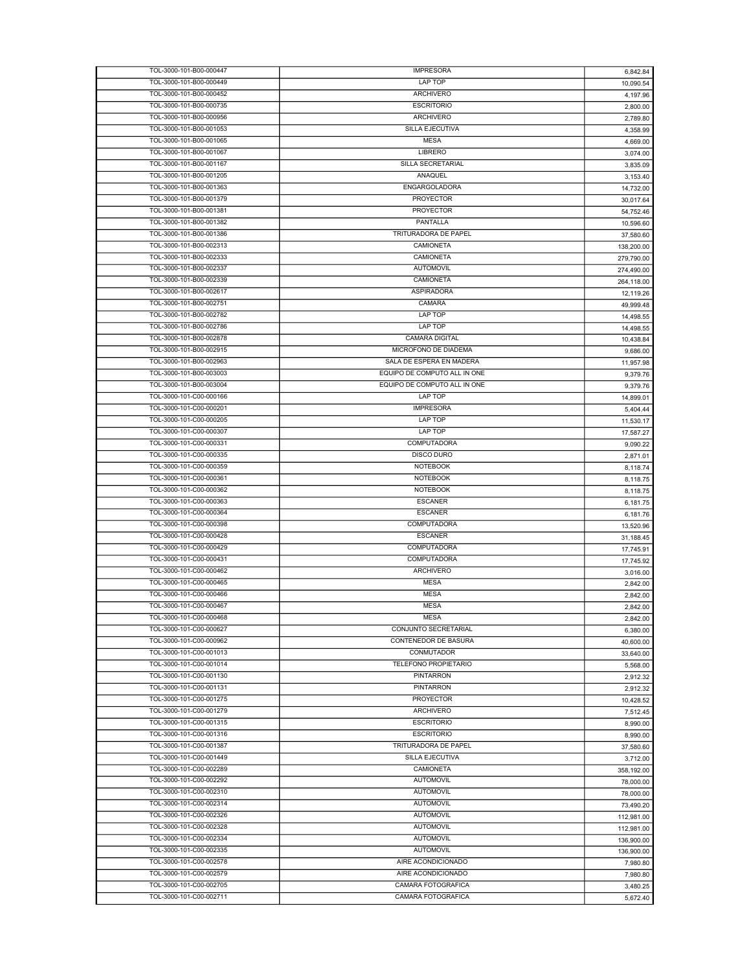| TOL-3000-101-B00-000447 | <b>IMPRESORA</b>             | 6,842.84   |
|-------------------------|------------------------------|------------|
| TOL-3000-101-B00-000449 | <b>LAP TOP</b>               | 10,090.54  |
| TOL-3000-101-B00-000452 | <b>ARCHIVERO</b>             | 4,197.96   |
|                         |                              |            |
| TOL-3000-101-B00-000735 | <b>ESCRITORIO</b>            | 2,800.00   |
| TOL-3000-101-B00-000956 | <b>ARCHIVERO</b>             | 2,789.80   |
| TOL-3000-101-B00-001053 | SILLA EJECUTIVA              | 4,358.99   |
| TOL-3000-101-B00-001065 | <b>MESA</b>                  | 4,669.00   |
| TOL-3000-101-B00-001067 | <b>LIBRERO</b>               | 3,074.00   |
| TOL-3000-101-B00-001167 | SILLA SECRETARIAL            |            |
|                         | ANAQUEL                      | 3,835.09   |
| TOL-3000-101-B00-001205 |                              | 3,153.40   |
| TOL-3000-101-B00-001363 | ENGARGOLADORA                | 14.732.00  |
| TOL-3000-101-B00-001379 | <b>PROYECTOR</b>             | 30,017.64  |
| TOL-3000-101-B00-001381 | <b>PROYECTOR</b>             | 54,752.46  |
| TOL-3000-101-B00-001382 | PANTALLA                     | 10,596.60  |
| TOL-3000-101-B00-001386 | TRITURADORA DE PAPEL         |            |
|                         |                              | 37,580.60  |
| TOL-3000-101-B00-002313 | CAMIONETA                    | 138,200.00 |
| TOL-3000-101-B00-002333 | CAMIONETA                    | 279,790.00 |
| TOL-3000-101-B00-002337 | <b>AUTOMOVIL</b>             | 274,490.00 |
| TOL-3000-101-B00-002339 | CAMIONETA                    | 264,118.00 |
| TOL-3000-101-B00-002617 | <b>ASPIRADORA</b>            |            |
| TOL-3000-101-B00-002751 |                              | 12,119.26  |
|                         | CAMARA                       | 49,999.48  |
| TOL-3000-101-B00-002782 | LAP TOP                      | 14,498.55  |
| TOL-3000-101-B00-002786 | LAP TOP                      | 14,498.55  |
| TOL-3000-101-B00-002878 | <b>CAMARA DIGITAL</b>        | 10,438.84  |
| TOL-3000-101-B00-002915 | MICROFONO DE DIADEMA         | 9,686.00   |
| TOL-3000-101-B00-002963 | SALA DE ESPERA EN MADERA     |            |
|                         |                              | 11,957.98  |
| TOL-3000-101-B00-003003 | EQUIPO DE COMPUTO ALL IN ONE | 9.379.76   |
| TOL-3000-101-B00-003004 | EQUIPO DE COMPUTO ALL IN ONE | 9,379.76   |
| TOL-3000-101-C00-000166 | LAP TOP                      | 14,899.01  |
| TOL-3000-101-C00-000201 | <b>IMPRESORA</b>             | 5,404.44   |
| TOL-3000-101-C00-000205 | LAP TOP                      |            |
|                         |                              | 11,530.17  |
| TOL-3000-101-C00-000307 | LAP TOP                      | 17,587.27  |
| TOL-3000-101-C00-000331 | COMPUTADORA                  | 9,090.22   |
| TOL-3000-101-C00-000335 | <b>DISCO DURO</b>            | 2,871.01   |
| TOL-3000-101-C00-000359 | <b>NOTEBOOK</b>              | 8,118.74   |
| TOL-3000-101-C00-000361 | <b>NOTEBOOK</b>              | 8,118.75   |
| TOL-3000-101-C00-000362 | <b>NOTEBOOK</b>              |            |
|                         |                              | 8,118.75   |
| TOL-3000-101-C00-000363 | <b>ESCANER</b>               | 6,181.75   |
| TOL-3000-101-C00-000364 | <b>ESCANER</b>               | 6,181.76   |
| TOL-3000-101-C00-000398 | COMPUTADORA                  | 13,520.96  |
| TOL-3000-101-C00-000428 | <b>ESCANER</b>               | 31,188.45  |
| TOL-3000-101-C00-000429 | COMPUTADORA                  | 17,745.91  |
|                         | <b>COMPUTADORA</b>           |            |
| TOL-3000-101-C00-000431 |                              | 17,745.92  |
| TOL-3000-101-C00-000462 | ARCHIVERO                    | 3,016.00   |
| TOL-3000-101-C00-000465 | <b>MESA</b>                  | 2,842.00   |
| TOL-3000-101-C00-000466 | <b>MESA</b>                  | 2,842.00   |
| TOL-3000-101-C00-000467 | <b>MESA</b>                  | 2,842.00   |
|                         |                              |            |
| TOL-3000-101-C00-000468 | <b>MESA</b>                  | 2,842.00   |
| TOL-3000-101-C00-000627 | CONJUNTO SECRETARIAL         | 6,380.00   |
| TOL-3000-101-C00-000962 | CONTENEDOR DE BASURA         | 40,600.00  |
| TOL-3000-101-C00-001013 | CONMUTADOR                   | 33,640.00  |
| TOL-3000-101-C00-001014 | TELEFONO PROPIETARIO         | 5,568.00   |
| TOL-3000-101-C00-001130 | <b>PINTARRON</b>             |            |
|                         |                              | 2,912.32   |
| TOL-3000-101-C00-001131 | <b>PINTARRON</b>             | 2,912.32   |
| TOL-3000-101-C00-001275 | <b>PROYECTOR</b>             | 10,428.52  |
| TOL-3000-101-C00-001279 | ARCHIVERO                    | 7,512.45   |
| TOL-3000-101-C00-001315 | <b>ESCRITORIO</b>            | 8,990.00   |
| TOL-3000-101-C00-001316 |                              |            |
| TOL-3000-101-C00-001387 |                              |            |
|                         | <b>ESCRITORIO</b>            | 8.990.00   |
|                         | TRITURADORA DE PAPEL         | 37,580.60  |
| TOL-3000-101-C00-001449 | <b>SILLA EJECUTIVA</b>       | 3,712.00   |
| TOL-3000-101-C00-002289 | CAMIONETA                    | 358,192.00 |
| TOL-3000-101-C00-002292 | AUTOMOVIL                    | 78,000.00  |
|                         |                              |            |
| TOL-3000-101-C00-002310 | AUTOMOVIL                    | 78,000.00  |
| TOL-3000-101-C00-002314 | <b>AUTOMOVIL</b>             | 73,490.20  |
| TOL-3000-101-C00-002326 | <b>AUTOMOVIL</b>             | 112,981.00 |
| TOL-3000-101-C00-002328 | <b>AUTOMOVIL</b>             | 112,981.00 |
| TOL-3000-101-C00-002334 | <b>AUTOMOVIL</b>             | 136,900.00 |
|                         | <b>AUTOMOVIL</b>             |            |
| TOL-3000-101-C00-002335 |                              | 136,900.00 |
| TOL-3000-101-C00-002578 | AIRE ACONDICIONADO           | 7,980.80   |
| TOL-3000-101-C00-002579 | AIRE ACONDICIONADO           | 7,980.80   |
| TOL-3000-101-C00-002705 | CAMARA FOTOGRAFICA           | 3,480.25   |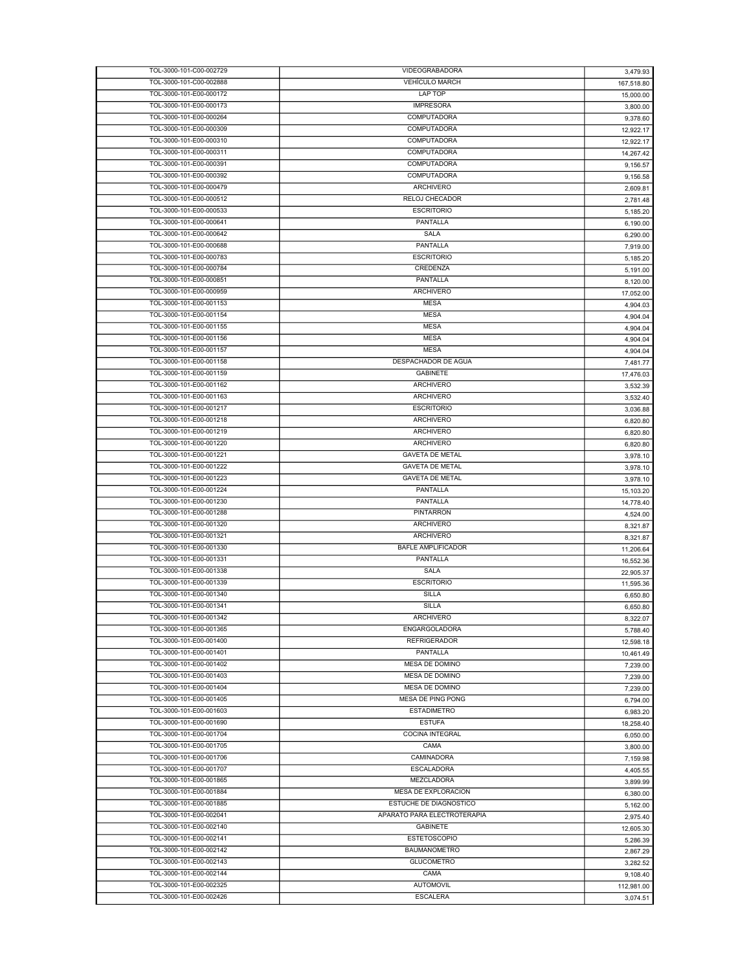| TOL-3000-101-C00-002729 | VIDEOGRABADORA              | 3,479.93   |
|-------------------------|-----------------------------|------------|
| TOL-3000-101-C00-002888 | <b>VEHÍCULO MARCH</b>       | 167,518.80 |
| TOL-3000-101-E00-000172 | LAP TOP                     | 15,000.00  |
| TOL-3000-101-E00-000173 | <b>IMPRESORA</b>            |            |
| TOL-3000-101-E00-000264 | <b>COMPUTADORA</b>          | 3,800.00   |
|                         |                             | 9,378.60   |
| TOL-3000-101-E00-000309 | COMPUTADORA                 | 12,922.17  |
| TOL-3000-101-E00-000310 | <b>COMPUTADORA</b>          | 12,922.17  |
| TOL-3000-101-E00-000311 | COMPUTADORA                 | 14,267.42  |
| TOL-3000-101-E00-000391 | <b>COMPUTADORA</b>          | 9,156.57   |
| TOL-3000-101-E00-000392 | <b>COMPUTADORA</b>          | 9,156.58   |
|                         |                             |            |
| TOL-3000-101-E00-000479 | <b>ARCHIVERO</b>            | 2,609.81   |
| TOL-3000-101-E00-000512 | <b>RELOJ CHECADOR</b>       | 2,781.48   |
| TOL-3000-101-E00-000533 | <b>ESCRITORIO</b>           | 5,185.20   |
| TOL-3000-101-E00-000641 | PANTALLA                    | 6,190.00   |
| TOL-3000-101-E00-000642 | SALA                        | 6,290.00   |
| TOL-3000-101-E00-000688 | PANTALLA                    |            |
|                         |                             | 7,919.00   |
| TOL-3000-101-E00-000783 | <b>ESCRITORIO</b>           | 5,185.20   |
| TOL-3000-101-E00-000784 | CREDENZA                    | 5,191.00   |
| TOL-3000-101-E00-000851 | PANTALLA                    | 8,120.00   |
| TOL-3000-101-E00-000959 | <b>ARCHIVERO</b>            | 17,052.00  |
| TOL-3000-101-E00-001153 | <b>MESA</b>                 | 4,904.03   |
| TOL-3000-101-E00-001154 |                             |            |
|                         | <b>MESA</b>                 | 4,904.04   |
| TOL-3000-101-E00-001155 | <b>MESA</b>                 | 4,904.04   |
| TOL-3000-101-E00-001156 | <b>MESA</b>                 | 4,904.04   |
| TOL-3000-101-E00-001157 | <b>MESA</b>                 | 4,904.04   |
| TOL-3000-101-E00-001158 | DESPACHADOR DE AGUA         | 7,481.77   |
| TOL-3000-101-E00-001159 | <b>GABINETE</b>             |            |
|                         |                             | 17,476.03  |
| TOL-3000-101-E00-001162 | <b>ARCHIVERO</b>            | 3,532.39   |
| TOL-3000-101-E00-001163 | <b>ARCHIVERO</b>            | 3,532.40   |
| TOL-3000-101-E00-001217 | <b>ESCRITORIO</b>           | 3,036.88   |
| TOL-3000-101-E00-001218 | <b>ARCHIVERO</b>            | 6,820.80   |
| TOL-3000-101-E00-001219 | <b>ARCHIVERO</b>            | 6,820.80   |
| TOL-3000-101-E00-001220 | <b>ARCHIVERO</b>            |            |
|                         |                             | 6,820.80   |
| TOL-3000-101-E00-001221 | <b>GAVETA DE METAL</b>      | 3,978.10   |
| TOL-3000-101-E00-001222 | <b>GAVETA DE METAL</b>      | 3,978.10   |
| TOL-3000-101-E00-001223 | <b>GAVETA DE METAL</b>      | 3,978.10   |
| TOL-3000-101-E00-001224 | PANTALLA                    | 15,103.20  |
| TOL-3000-101-E00-001230 | PANTALLA                    |            |
|                         | <b>PINTARRON</b>            | 14,778.40  |
| TOL-3000-101-E00-001288 |                             | 4,524.00   |
| TOL-3000-101-E00-001320 | <b>ARCHIVERO</b>            | 8,321.87   |
| TOL-3000-101-E00-001321 | <b>ARCHIVERO</b>            | 8,321.87   |
| TOL-3000-101-E00-001330 | BAFLE AMPLIFICADOR          | 11,206.64  |
| TOL-3000-101-E00-001331 | PANTALLA                    | 16,552.36  |
| TOL-3000-101-E00-001338 | SALA                        |            |
|                         |                             | 22,905.37  |
| TOL-3000-101-E00-001339 | <b>ESCRITORIO</b>           | 11,595.36  |
| TOL-3000-101-E00-001340 | <b>SILLA</b>                | 6,650.80   |
| TOL-3000-101-E00-001341 | <b>SILLA</b>                | 6,650.80   |
| TOL-3000-101-E00-001342 | ARCHIVERO                   | 8,322.07   |
| TOL-3000-101-E00-001365 | ENGARGOLADORA               |            |
| TOL-3000-101-E00-001400 | <b>REFRIGERADOR</b>         | 5,788.40   |
|                         |                             | 12,598.18  |
| TOL-3000-101-E00-001401 | PANTALLA                    | 10,461.49  |
| TOL-3000-101-E00-001402 | MESA DE DOMINO              | 7,239.00   |
| TOL-3000-101-E00-001403 | <b>MESA DE DOMINO</b>       | 7,239.00   |
| TOL-3000-101-E00-001404 | MESA DE DOMINO              | 7,239.00   |
| TOL-3000-101-E00-001405 | <b>MESA DE PING PONG</b>    |            |
|                         |                             | 6,794.00   |
| TOL-3000-101-E00-001603 | <b>ESTADIMETRO</b>          | 6,983.20   |
| TOL-3000-101-E00-001690 | <b>ESTUFA</b>               | 18,258.40  |
| TOL-3000-101-E00-001704 | COCINA INTEGRAL             | 6,050.00   |
| TOL-3000-101-E00-001705 | CAMA                        | 3,800.00   |
| TOL-3000-101-E00-001706 | CAMINADORA                  |            |
|                         |                             | 7,159.98   |
| TOL-3000-101-E00-001707 | <b>ESCALADORA</b>           | 4,405.55   |
| TOL-3000-101-E00-001865 | MEZCLADORA                  | 3,899.99   |
| TOL-3000-101-E00-001884 | MESA DE EXPLORACION         | 6,380.00   |
| TOL-3000-101-E00-001885 | ESTUCHE DE DIAGNOSTICO      | 5,162.00   |
| TOL-3000-101-E00-002041 | APARATO PARA ELECTROTERAPIA | 2,975.40   |
| TOL-3000-101-E00-002140 | <b>GABINETE</b>             |            |
|                         |                             | 12,605.30  |
| TOL-3000-101-E00-002141 | <b>ESTETOSCOPIO</b>         | 5,286.39   |
| TOL-3000-101-E00-002142 | <b>BAUMANOMETRO</b>         | 2,867.29   |
| TOL-3000-101-E00-002143 | <b>GLUCOMETRO</b>           | 3,282.52   |
| TOL-3000-101-E00-002144 | CAMA                        | 9,108.40   |
| TOL-3000-101-E00-002325 | <b>AUTOMOVIL</b>            |            |
| TOL-3000-101-E00-002426 |                             | 112,981.00 |
|                         | <b>ESCALERA</b>             | 3,074.51   |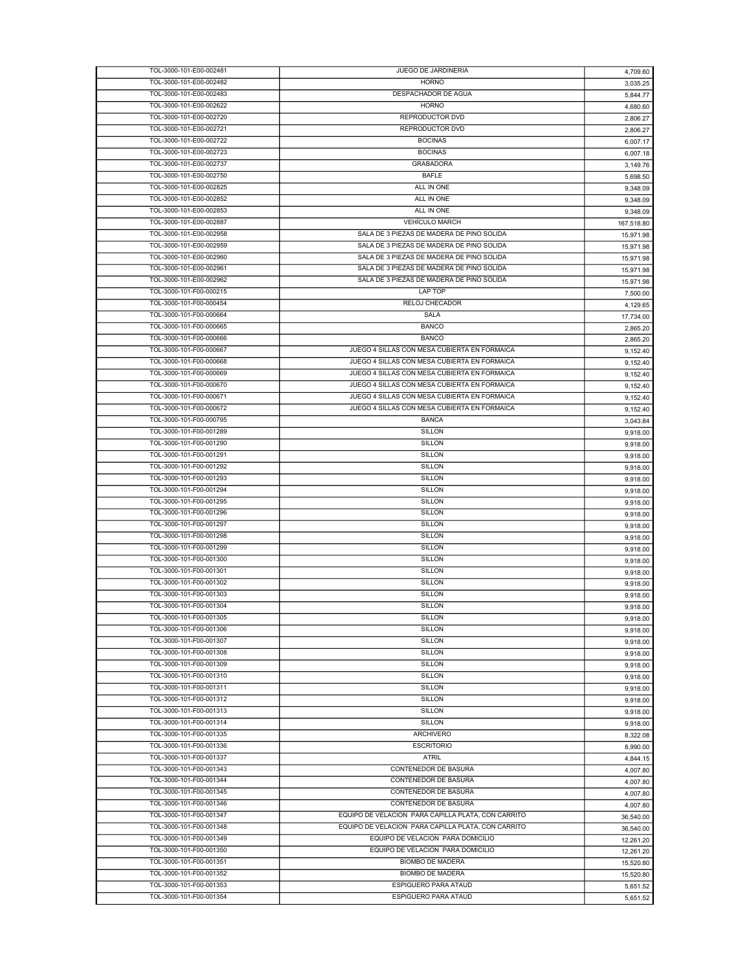| TOL-3000-101-E00-002481 | JUEGO DE JARDINERIA                                | 4,709.60   |
|-------------------------|----------------------------------------------------|------------|
| TOL-3000-101-E00-002482 | <b>HORNO</b>                                       | 3,035.25   |
| TOL-3000-101-E00-002483 | DESPACHADOR DE AGUA                                | 5,844.77   |
| TOL-3000-101-E00-002622 | <b>HORNO</b>                                       | 4,680.60   |
| TOL-3000-101-E00-002720 | REPRODUCTOR DVD                                    | 2,806.27   |
| TOL-3000-101-E00-002721 | REPRODUCTOR DVD                                    | 2,806.27   |
| TOL-3000-101-E00-002722 | <b>BOCINAS</b>                                     |            |
|                         |                                                    | 6,007.17   |
| TOL-3000-101-E00-002723 | <b>BOCINAS</b>                                     | 6,007.18   |
| TOL-3000-101-E00-002737 | <b>GRABADORA</b>                                   | 3,149.76   |
| TOL-3000-101-E00-002750 | <b>BAFLE</b>                                       | 5,698.50   |
| TOL-3000-101-E00-002825 | ALL IN ONE                                         | 9,348.09   |
| TOL-3000-101-E00-002852 | ALL IN ONE                                         | 9,348.09   |
| TOL-3000-101-E00-002853 | ALL IN ONE                                         | 9,348.09   |
| TOL-3000-101-E00-002887 | <b>VEHÍCULO MARCH</b>                              | 167,518.80 |
| TOL-3000-101-E00-002958 | SALA DE 3 PIEZAS DE MADERA DE PINO SOLIDA          |            |
| TOL-3000-101-E00-002959 | SALA DE 3 PIEZAS DE MADERA DE PINO SOLIDA          | 15,971.98  |
|                         |                                                    | 15,971.98  |
| TOL-3000-101-E00-002960 | SALA DE 3 PIEZAS DE MADERA DE PINO SOLIDA          | 15,971.98  |
| TOL-3000-101-E00-002961 | SALA DE 3 PIEZAS DE MADERA DE PINO SOLIDA          | 15,971.98  |
| TOL-3000-101-E00-002962 | SALA DE 3 PIEZAS DE MADERA DE PINO SOLIDA          | 15,971.98  |
| TOL-3000-101-F00-000215 | LAP TOP                                            | 7,500.00   |
| TOL-3000-101-F00-000454 | RELOJ CHECADOR                                     | 4,129.65   |
| TOL-3000-101-F00-000664 | SALA                                               | 17,734.00  |
| TOL-3000-101-F00-000665 | <b>BANCO</b>                                       |            |
|                         |                                                    | 2,865.20   |
| TOL-3000-101-F00-000666 | <b>BANCO</b>                                       | 2,865.20   |
| TOL-3000-101-F00-000667 | JUEGO 4 SILLAS CON MESA CUBIERTA EN FORMAICA       | 9,152.40   |
| TOL-3000-101-F00-000668 | JUEGO 4 SILLAS CON MESA CUBIERTA EN FORMAICA       | 9,152.40   |
| TOL-3000-101-F00-000669 | JUEGO 4 SILLAS CON MESA CUBIERTA EN FORMAICA       | 9,152.40   |
| TOL-3000-101-F00-000670 | JUEGO 4 SILLAS CON MESA CUBIERTA EN FORMAICA       | 9,152.40   |
| TOL-3000-101-F00-000671 | JUEGO 4 SILLAS CON MESA CUBIERTA EN FORMAICA       | 9,152.40   |
| TOL-3000-101-F00-000672 | JUEGO 4 SILLAS CON MESA CUBIERTA EN FORMAICA       | 9,152.40   |
| TOL-3000-101-F00-000795 | <b>BANCA</b>                                       |            |
|                         |                                                    | 3,043.84   |
| TOL-3000-101-F00-001289 | <b>SILLON</b>                                      | 9,918.00   |
| TOL-3000-101-F00-001290 | <b>SILLON</b>                                      | 9,918.00   |
| TOL-3000-101-F00-001291 | SILLON                                             | 9,918.00   |
| TOL-3000-101-F00-001292 | <b>SILLON</b>                                      | 9,918.00   |
| TOL-3000-101-F00-001293 | <b>SILLON</b>                                      | 9,918.00   |
| TOL-3000-101-F00-001294 | <b>SILLON</b>                                      | 9,918.00   |
| TOL-3000-101-F00-001295 | SILLON                                             | 9,918.00   |
| TOL-3000-101-F00-001296 | <b>SILLON</b>                                      |            |
|                         |                                                    | 9,918.00   |
| TOL-3000-101-F00-001297 | SILLON                                             | 9,918.00   |
| TOL-3000-101-F00-001298 | SILLON                                             | 9,918.00   |
| TOL-3000-101-F00-001299 | <b>SILLON</b>                                      | 9,918.00   |
| TOL-3000-101-F00-001300 | <b>SILLON</b>                                      | 9,918.00   |
| TOL-3000-101-F00-001301 | SILLON                                             | 9,918.00   |
| TOL-3000-101-F00-001302 | <b>SILLON</b>                                      | 9,918.00   |
| TOL-3000-101-F00-001303 | <b>SILLON</b>                                      | 9,918.00   |
| TOL-3000-101-F00-001304 | SILLON                                             |            |
|                         |                                                    | 9,918.00   |
| TOL-3000-101-F00-001305 | <b>SILLON</b>                                      | 9.918.00   |
| TOL-3000-101-F00-001306 | SILLON                                             | 9,918.00   |
| TOL-3000-101-F00-001307 | <b>SILLON</b>                                      | 9,918.00   |
| TOL-3000-101-F00-001308 | SILLON                                             | 9,918.00   |
| TOL-3000-101-F00-001309 | <b>SILLON</b>                                      | 9,918.00   |
| TOL-3000-101-F00-001310 | SILLON                                             | 9.918.00   |
| TOL-3000-101-F00-001311 | SILLON                                             | 9,918.00   |
| TOL-3000-101-F00-001312 | <b>SILLON</b>                                      |            |
|                         |                                                    | 9,918.00   |
| TOL-3000-101-F00-001313 | SILLON                                             | 9,918.00   |
| TOL-3000-101-F00-001314 | SILLON                                             | 9,918.00   |
| TOL-3000-101-F00-001335 | <b>ARCHIVERO</b>                                   | 8,322.08   |
| TOL-3000-101-F00-001336 | <b>ESCRITORIO</b>                                  | 8,990.00   |
| TOL-3000-101-F00-001337 | <b>ATRIL</b>                                       | 4,844.15   |
| TOL-3000-101-F00-001343 | CONTENEDOR DE BASURA                               | 4,007.80   |
| TOL-3000-101-F00-001344 | CONTENEDOR DE BASURA                               | 4,007.80   |
| TOL-3000-101-F00-001345 | CONTENEDOR DE BASURA                               | 4,007.80   |
| TOL-3000-101-F00-001346 | CONTENEDOR DE BASURA                               |            |
|                         |                                                    | 4,007.80   |
| TOL-3000-101-F00-001347 | EQUIPO DE VELACION PARA CAPILLA PLATA, CON CARRITO | 36,540.00  |
| TOL-3000-101-F00-001348 | EQUIPO DE VELACION PARA CAPILLA PLATA, CON CARRITO | 36,540.00  |
| TOL-3000-101-F00-001349 | EQUIPO DE VELACION PARA DOMICILIO                  | 12,261.20  |
| TOL-3000-101-F00-001350 | EQUIPO DE VELACION PARA DOMICILIO                  | 12,261.20  |
| TOL-3000-101-F00-001351 | <b>BIOMBO DE MADERA</b>                            | 15,520.80  |
| TOL-3000-101-F00-001352 | <b>BIOMBO DE MADERA</b>                            | 15,520.80  |
| TOL-3000-101-F00-001353 | <b>ESPIGUERO PARA ATAUD</b>                        | 5,651.52   |
| TOL-3000-101-F00-001354 | ESPIGUERO PARA ATAUD                               |            |
|                         |                                                    | 5,651.52   |